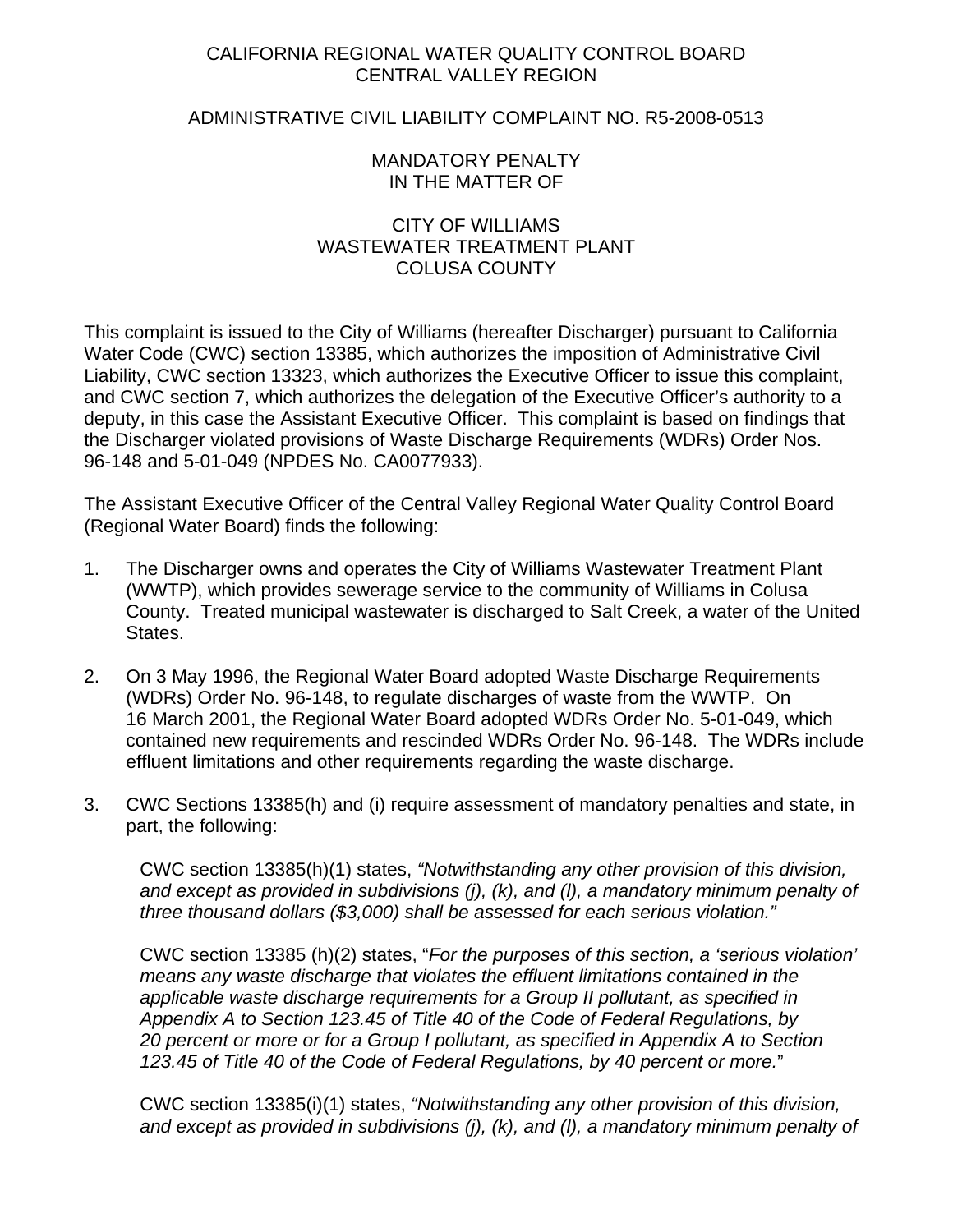# CALIFORNIA REGIONAL WATER QUALITY CONTROL BOARD CENTRAL VALLEY REGION

## ADMINISTRATIVE CIVIL LIABILITY COMPLAINT NO. R5-2008-0513

## MANDATORY PENALTY IN THE MATTER OF

## CITY OF WILLIAMS WASTEWATER TREATMENT PLANT COLUSA COUNTY

This complaint is issued to the City of Williams (hereafter Discharger) pursuant to California Water Code (CWC) section 13385, which authorizes the imposition of Administrative Civil Liability, CWC section 13323, which authorizes the Executive Officer to issue this complaint, and CWC section 7, which authorizes the delegation of the Executive Officer's authority to a deputy, in this case the Assistant Executive Officer. This complaint is based on findings that the Discharger violated provisions of Waste Discharge Requirements (WDRs) Order Nos. 96-148 and 5-01-049 (NPDES No. CA0077933).

The Assistant Executive Officer of the Central Valley Regional Water Quality Control Board (Regional Water Board) finds the following:

- 1. The Discharger owns and operates the City of Williams Wastewater Treatment Plant (WWTP), which provides sewerage service to the community of Williams in Colusa County. Treated municipal wastewater is discharged to Salt Creek, a water of the United States.
- 2. On 3 May 1996, the Regional Water Board adopted Waste Discharge Requirements (WDRs) Order No. 96-148, to regulate discharges of waste from the WWTP. On 16 March 2001, the Regional Water Board adopted WDRs Order No. 5-01-049, which contained new requirements and rescinded WDRs Order No. 96-148. The WDRs include effluent limitations and other requirements regarding the waste discharge.
- 3. CWC Sections 13385(h) and (i) require assessment of mandatory penalties and state, in part, the following:

CWC section 13385(h)(1) states, *"Notwithstanding any other provision of this division, and except as provided in subdivisions (j), (k), and (l), a mandatory minimum penalty of three thousand dollars (\$3,000) shall be assessed for each serious violation."* 

CWC section 13385 (h)(2) states, "*For the purposes of this section, a 'serious violation' means any waste discharge that violates the effluent limitations contained in the applicable waste discharge requirements for a Group II pollutant, as specified in Appendix A to Section 123.45 of Title 40 of the Code of Federal Regulations, by 20 percent or more or for a Group I pollutant, as specified in Appendix A to Section 123.45 of Title 40 of the Code of Federal Regulations, by 40 percent or more.*"

CWC section 13385(i)(1) states, *"Notwithstanding any other provision of this division, and except as provided in subdivisions (j), (k), and (l), a mandatory minimum penalty of*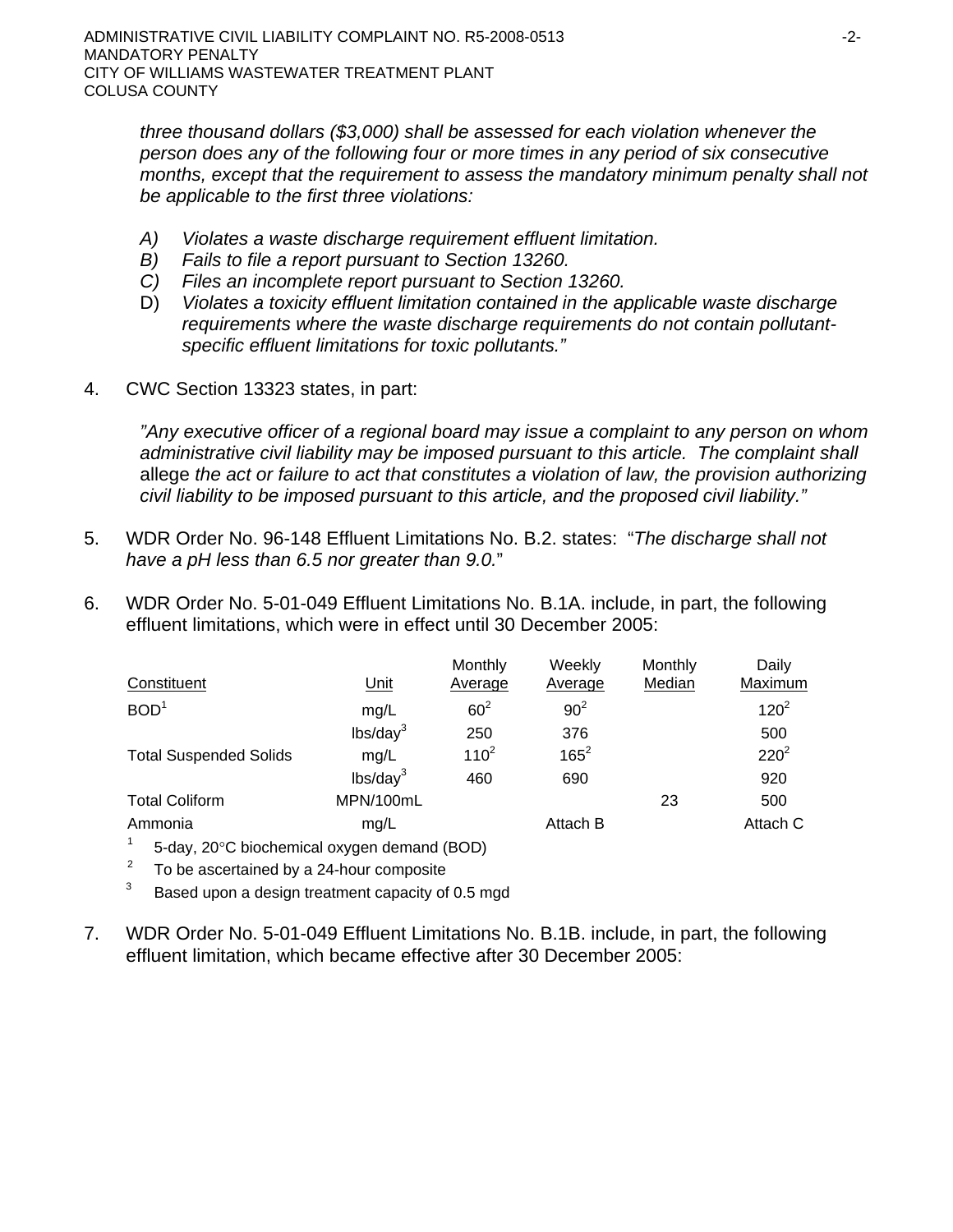*three thousand dollars (\$3,000) shall be assessed for each violation whenever the person does any of the following four or more times in any period of six consecutive months, except that the requirement to assess the mandatory minimum penalty shall not be applicable to the first three violations:* 

- *A) Violates a waste discharge requirement effluent limitation.*
- *B) Fails to file a report pursuant to Section 13260.*
- *C) Files an incomplete report pursuant to Section 13260.*
- D) *Violates a toxicity effluent limitation contained in the applicable waste discharge requirements where the waste discharge requirements do not contain pollutantspecific effluent limitations for toxic pollutants."*
- 4. CWC Section 13323 states, in part:

*"Any executive officer of a regional board may issue a complaint to any person on whom administrative civil liability may be imposed pursuant to this article. The complaint shall*  allege *the act or failure to act that constitutes a violation of law, the provision authorizing civil liability to be imposed pursuant to this article, and the proposed civil liability."*

- 5. WDR Order No. 96-148 Effluent Limitations No. B.2. states: "*The discharge shall not have a pH less than 6.5 nor greater than 9.0.*"
- 6. WDR Order No. 5-01-049 Effluent Limitations No. B.1A. include, in part, the following effluent limitations, which were in effect until 30 December 2005:

| Constituent                   | Unit                 | Monthly<br>Average | Weekly<br>Average | Monthly<br>Median | Daily<br>Maximum |
|-------------------------------|----------------------|--------------------|-------------------|-------------------|------------------|
| BOD <sup>1</sup>              | mg/L                 | $60^2$             | $90^2$            |                   | $120^2$          |
|                               | lbs/day <sup>3</sup> | 250                | 376               |                   | 500              |
| <b>Total Suspended Solids</b> | mg/L                 | $110^{2}$          | $165^2$           |                   | $220^2$          |
|                               | lbs/day <sup>3</sup> | 460                | 690               |                   | 920              |
| <b>Total Coliform</b>         | MPN/100mL            |                    |                   | 23                | 500              |
| Ammonia                       | mg/L                 |                    | Attach B          |                   | Attach C         |
|                               |                      |                    |                   |                   |                  |

- 1 5-day, 20°C biochemical oxygen demand (BOD)
- $2^2$  To be ascertained by a 24-hour composite
- $3$  Based upon a design treatment capacity of 0.5 mgd
- 7. WDR Order No. 5-01-049 Effluent Limitations No. B.1B. include, in part, the following effluent limitation, which became effective after 30 December 2005: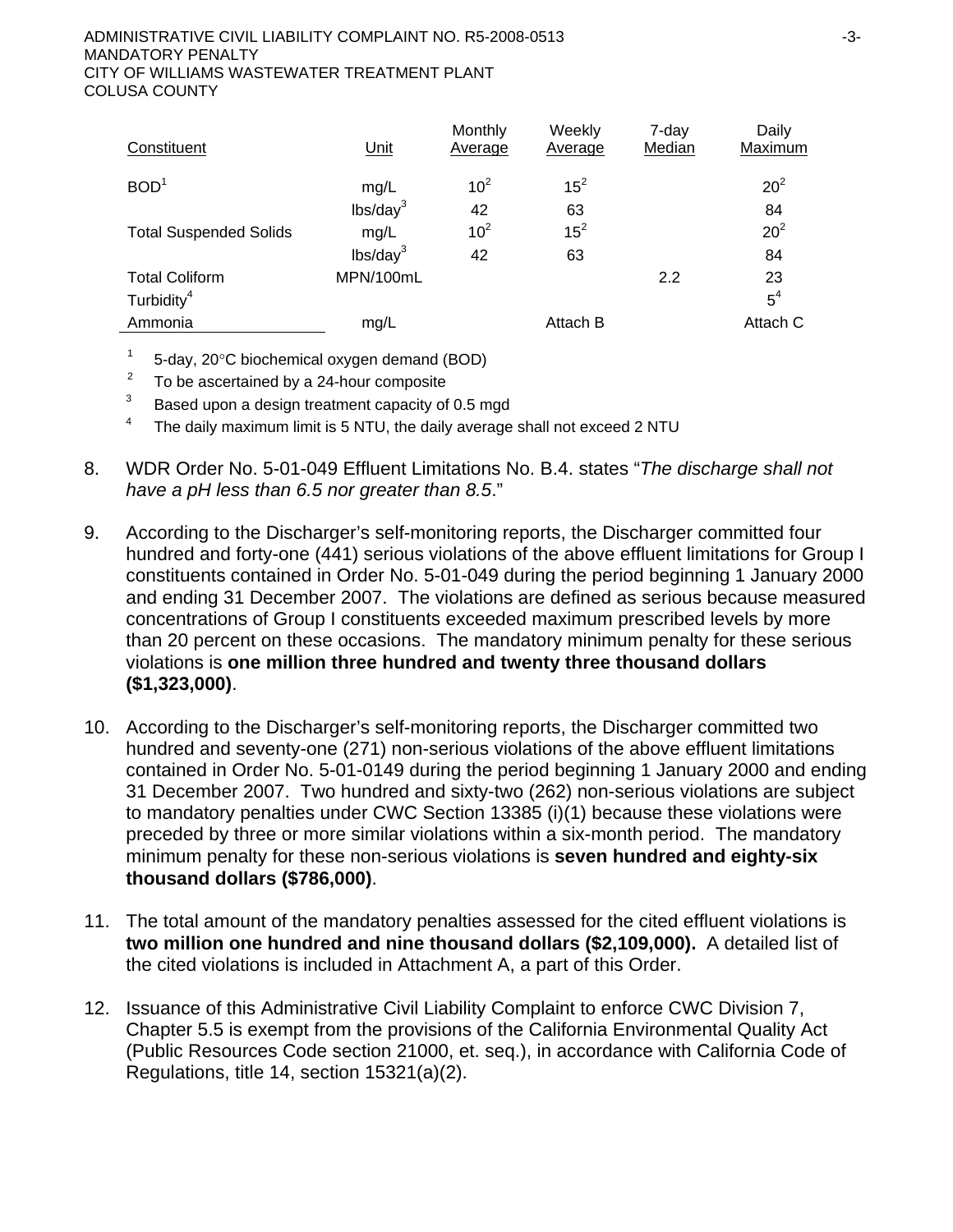| Constituent                   | Unit                 | Monthly<br>Average | Weekly<br>Average | 7-day<br>Median | Daily<br><b>Maximum</b> |
|-------------------------------|----------------------|--------------------|-------------------|-----------------|-------------------------|
| BOD <sup>1</sup>              | mg/L                 | 10 <sup>2</sup>    | $15^2$            |                 | $20^2$                  |
|                               | lbs/day <sup>3</sup> | 42                 | 63                |                 | 84                      |
| <b>Total Suspended Solids</b> | mg/L                 | 10 <sup>2</sup>    | $15^2$            |                 | 20 <sup>2</sup>         |
|                               | lbs/day <sup>3</sup> | 42                 | 63                |                 | 84                      |
| <b>Total Coliform</b>         | MPN/100mL            |                    |                   | 2.2             | 23                      |
| Turbidity <sup>4</sup>        |                      |                    |                   |                 | 5 <sup>4</sup>          |
| Ammonia                       | mg/L                 |                    | Attach B          |                 | Attach C                |

- $1 5$ -day, 20 $\degree$ C biochemical oxygen demand (BOD)
- $2^2$  To be ascertained by a 24-hour composite
- $3$  Based upon a design treatment capacity of 0.5 mgd
- <sup>4</sup> The daily maximum limit is 5 NTU, the daily average shall not exceed 2 NTU
- 8. WDR Order No. 5-01-049 Effluent Limitations No. B.4. states "*The discharge shall not have a pH less than 6.5 nor greater than 8.5*."
- 9. According to the Discharger's self-monitoring reports, the Discharger committed four hundred and forty-one (441) serious violations of the above effluent limitations for Group I constituents contained in Order No. 5-01-049 during the period beginning 1 January 2000 and ending 31 December 2007. The violations are defined as serious because measured concentrations of Group I constituents exceeded maximum prescribed levels by more than 20 percent on these occasions. The mandatory minimum penalty for these serious violations is **one million three hundred and twenty three thousand dollars (\$1,323,000)**.
- 10. According to the Discharger's self-monitoring reports, the Discharger committed two hundred and seventy-one (271) non-serious violations of the above effluent limitations contained in Order No. 5-01-0149 during the period beginning 1 January 2000 and ending 31 December 2007. Two hundred and sixty-two (262) non-serious violations are subject to mandatory penalties under CWC Section 13385 (i)(1) because these violations were preceded by three or more similar violations within a six-month period. The mandatory minimum penalty for these non-serious violations is **seven hundred and eighty-six thousand dollars (\$786,000)**.
- 11. The total amount of the mandatory penalties assessed for the cited effluent violations is **two million one hundred and nine thousand dollars (\$2,109,000).** A detailed list of the cited violations is included in Attachment A, a part of this Order.
- 12. Issuance of this Administrative Civil Liability Complaint to enforce CWC Division 7, Chapter 5.5 is exempt from the provisions of the California Environmental Quality Act (Public Resources Code section 21000, et. seq.), in accordance with California Code of Regulations, title 14, section 15321(a)(2).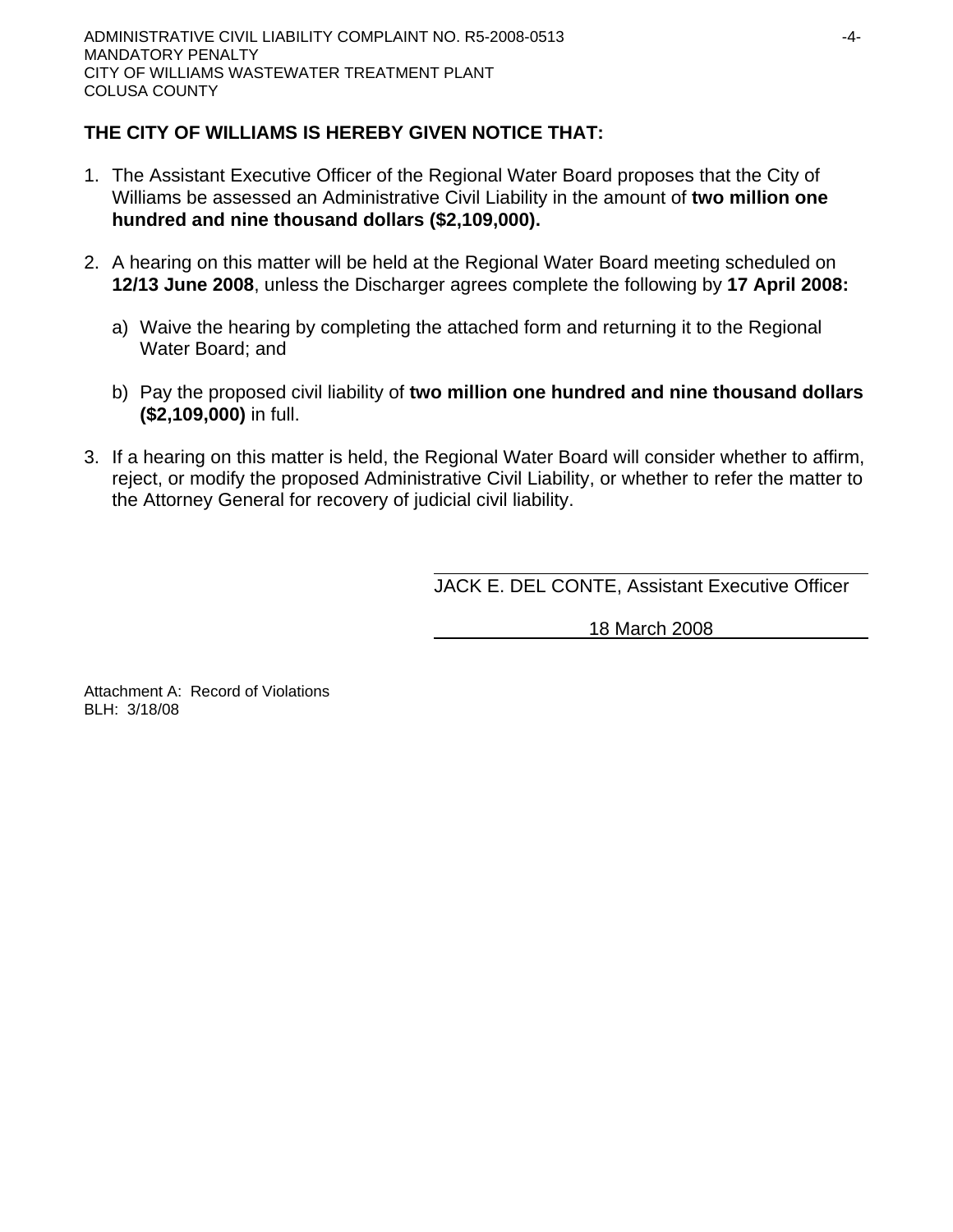# **THE CITY OF WILLIAMS IS HEREBY GIVEN NOTICE THAT:**

- 1. The Assistant Executive Officer of the Regional Water Board proposes that the City of Williams be assessed an Administrative Civil Liability in the amount of **two million one hundred and nine thousand dollars (\$2,109,000).**
- 2. A hearing on this matter will be held at the Regional Water Board meeting scheduled on **12/13 June 2008**, unless the Discharger agrees complete the following by **17 April 2008:**
	- a) Waive the hearing by completing the attached form and returning it to the Regional Water Board; and
	- b) Pay the proposed civil liability of **two million one hundred and nine thousand dollars (\$2,109,000)** in full.
- 3. If a hearing on this matter is held, the Regional Water Board will consider whether to affirm, reject, or modify the proposed Administrative Civil Liability, or whether to refer the matter to the Attorney General for recovery of judicial civil liability.

JACK E. DEL CONTE, Assistant Executive Officer

18 March 2008

Attachment A: Record of Violations BLH: 3/18/08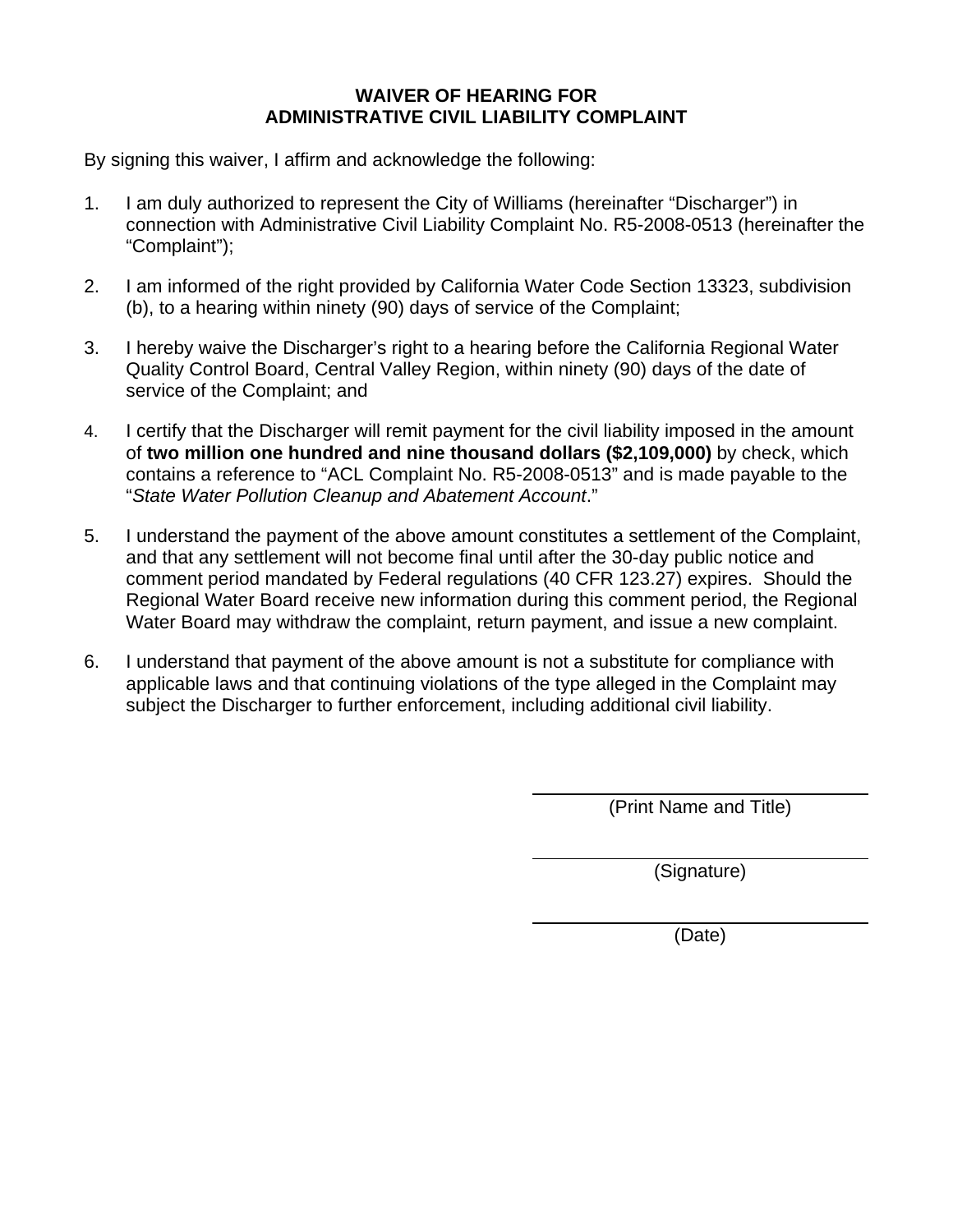# **WAIVER OF HEARING FOR ADMINISTRATIVE CIVIL LIABILITY COMPLAINT**

By signing this waiver, I affirm and acknowledge the following:

- 1. I am duly authorized to represent the City of Williams (hereinafter "Discharger") in connection with Administrative Civil Liability Complaint No. R5-2008-0513 (hereinafter the "Complaint");
- 2. I am informed of the right provided by California Water Code Section 13323, subdivision (b), to a hearing within ninety (90) days of service of the Complaint;
- 3. I hereby waive the Discharger's right to a hearing before the California Regional Water Quality Control Board, Central Valley Region, within ninety (90) days of the date of service of the Complaint; and
- 4. I certify that the Discharger will remit payment for the civil liability imposed in the amount of **two million one hundred and nine thousand dollars (\$2,109,000)** by check, which contains a reference to "ACL Complaint No. R5-2008-0513" and is made payable to the "*State Water Pollution Cleanup and Abatement Account*."
- 5. I understand the payment of the above amount constitutes a settlement of the Complaint, and that any settlement will not become final until after the 30-day public notice and comment period mandated by Federal regulations (40 CFR 123.27) expires. Should the Regional Water Board receive new information during this comment period, the Regional Water Board may withdraw the complaint, return payment, and issue a new complaint.
- 6. I understand that payment of the above amount is not a substitute for compliance with applicable laws and that continuing violations of the type alleged in the Complaint may subject the Discharger to further enforcement, including additional civil liability.

(Print Name and Title)

(Signature)

(Date)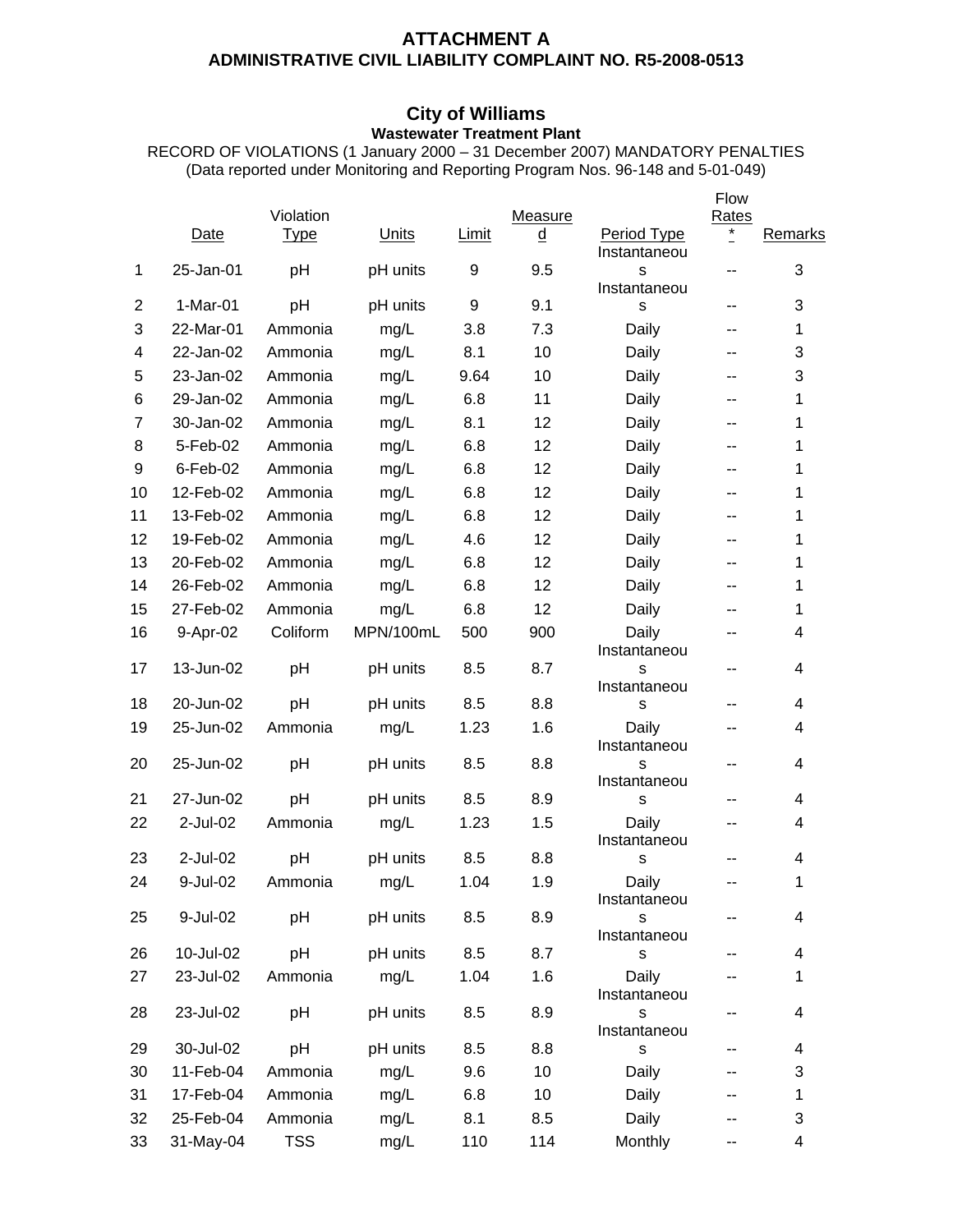## **ATTACHMENT A ADMINISTRATIVE CIVIL LIABILITY COMPLAINT NO. R5-2008-0513**

### **City of Williams Wastewater Treatment Plant**

RECORD OF VIOLATIONS (1 January 2000 – 31 December 2007) MANDATORY PENALTIES (Data reported under Monitoring and Reporting Program Nos. 96-148 and 5-01-049)

|                |             |             |           |       |          |                             | Flow       |             |
|----------------|-------------|-------------|-----------|-------|----------|-----------------------------|------------|-------------|
|                |             | Violation   |           |       | Measure  |                             | Rates<br>* |             |
|                | Date        | <u>Type</u> | Units     | Limit | <u>d</u> | Period Type<br>Instantaneou |            | Remarks     |
| 1              | 25-Jan-01   | pH          | pH units  | 9     | 9.5      | S                           | --         | 3           |
|                |             |             |           |       |          | Instantaneou                |            |             |
| $\overline{c}$ | $1-Mar-01$  | pH          | pH units  | 9     | 9.1      | S                           | --         | 3           |
| 3              | 22-Mar-01   | Ammonia     | mg/L      | 3.8   | 7.3      | Daily                       | --         | 1           |
| 4              | 22-Jan-02   | Ammonia     | mg/L      | 8.1   | 10       | Daily                       | --         | 3           |
| 5              | 23-Jan-02   | Ammonia     | mg/L      | 9.64  | 10       | Daily                       | --         | 3           |
| 6              | 29-Jan-02   | Ammonia     | mg/L      | 6.8   | 11       | Daily                       | --         | 1           |
| $\overline{7}$ | 30-Jan-02   | Ammonia     | mg/L      | 8.1   | 12       | Daily                       | --         | 1           |
| 8              | 5-Feb-02    | Ammonia     | mg/L      | 6.8   | 12       | Daily                       | --         | 1           |
| 9              | $6$ -Feb-02 | Ammonia     | mg/L      | 6.8   | 12       | Daily                       | --         | 1           |
| 10             | 12-Feb-02   | Ammonia     | mg/L      | 6.8   | 12       | Daily                       | --         | 1           |
| 11             | 13-Feb-02   | Ammonia     | mg/L      | 6.8   | 12       | Daily                       | --         | 1           |
| 12             | 19-Feb-02   | Ammonia     | mg/L      | 4.6   | 12       | Daily                       | --         | 1           |
| 13             | 20-Feb-02   | Ammonia     | mg/L      | 6.8   | 12       | Daily                       | --         | 1           |
| 14             | 26-Feb-02   | Ammonia     | mg/L      | 6.8   | 12       | Daily                       | --         | 1           |
| 15             | 27-Feb-02   | Ammonia     | mg/L      | 6.8   | 12       | Daily                       | --         | 1           |
| 16             | 9-Apr-02    | Coliform    | MPN/100mL | 500   | 900      | Daily<br>Instantaneou       | --         | 4           |
| 17             | 13-Jun-02   | pH          | pH units  | 8.5   | 8.7      | S                           | --         | 4           |
|                |             |             |           |       |          | Instantaneou                |            |             |
| 18             | 20-Jun-02   | pH          | pH units  | 8.5   | 8.8      | S                           | --         | 4           |
| 19             | 25-Jun-02   | Ammonia     | mg/L      | 1.23  | 1.6      | Daily<br>Instantaneou       | --         | 4           |
| 20             | 25-Jun-02   | pH          | pH units  | 8.5   | 8.8      | S<br>Instantaneou           | --         | 4           |
| 21             | 27-Jun-02   | pH          | pH units  | 8.5   | 8.9      | S                           | --         | 4           |
| 22             | 2-Jul-02    | Ammonia     | mg/L      | 1.23  | 1.5      | Daily<br>Instantaneou       | --         | 4           |
| 23             | 2-Jul-02    | pH          | pH units  | 8.5   | 8.8      | S                           | --         | 4           |
| 24             | 9-Jul-02    | Ammonia     | mg/L      | 1.04  | 1.9      | Daily<br>Instantaneou       | --         | 1           |
| 25             | 9-Jul-02    | pH          | pH units  | 8.5   | 8.9      | S<br>Instantaneou           | --         | 4           |
| 26             | 10-Jul-02   | pH          | pH units  | 8.5   | 8.7      | S                           |            | 4           |
| 27             | 23-Jul-02   | Ammonia     | mg/L      | 1.04  | 1.6      | Daily<br>Instantaneou       |            | $\mathbf 1$ |
| 28             | 23-Jul-02   | pH          | pH units  | 8.5   | 8.9      | s<br>Instantaneou           | --         | 4           |
| 29             | 30-Jul-02   | pH          | pH units  | 8.5   | 8.8      | s                           | --         | 4           |
| 30             | 11-Feb-04   | Ammonia     | mg/L      | 9.6   | 10       | Daily                       | --         | 3           |
| 31             | 17-Feb-04   | Ammonia     | mg/L      | 6.8   | 10       | Daily                       | --         | 1           |
| 32             | 25-Feb-04   | Ammonia     | mg/L      | 8.1   | 8.5      | Daily                       |            | 3           |
| 33             | 31-May-04   | <b>TSS</b>  | mg/L      | 110   | 114      | Monthly                     | --         | 4           |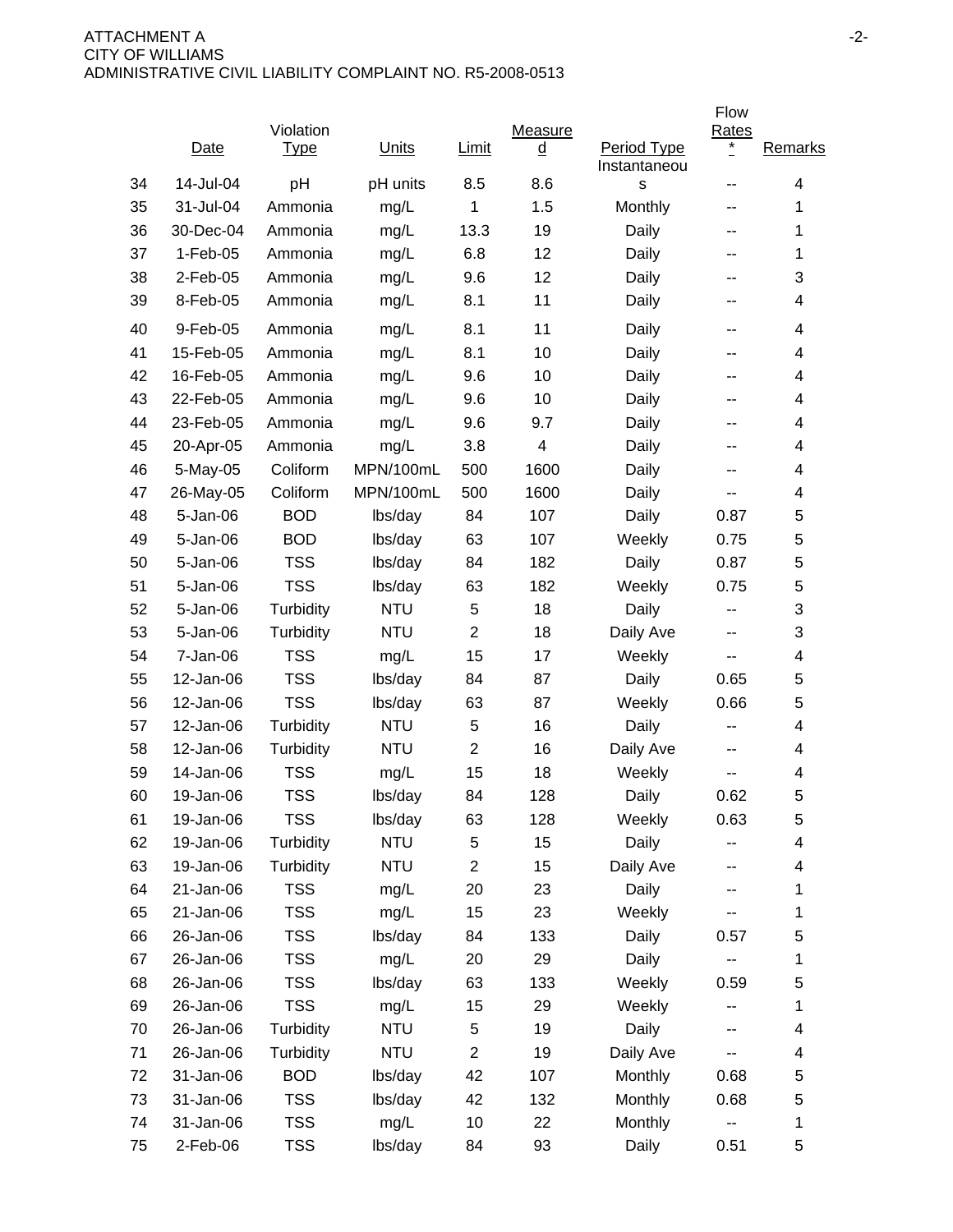|    |            |             |              |                |                          |                             | Flow             |         |
|----|------------|-------------|--------------|----------------|--------------------------|-----------------------------|------------------|---------|
|    |            | Violation   |              |                | Measure                  |                             | Rates<br>$\star$ |         |
|    | Date       | <b>Type</b> | <b>Units</b> | <b>Limit</b>   | $\underline{\mathsf{d}}$ | Period Type<br>Instantaneou |                  | Remarks |
| 34 | 14-Jul-04  | pH          | pH units     | 8.5            | 8.6                      | $\mathsf{s}$                | --               | 4       |
| 35 | 31-Jul-04  | Ammonia     | mg/L         | 1              | 1.5                      | Monthly                     | --               | 1       |
| 36 | 30-Dec-04  | Ammonia     | mg/L         | 13.3           | 19                       | Daily                       | --               | 1       |
| 37 | $1-Feb-05$ | Ammonia     | mg/L         | 6.8            | 12                       | Daily                       | --               | 1       |
| 38 | 2-Feb-05   | Ammonia     | mg/L         | 9.6            | 12                       | Daily                       | --               | 3       |
| 39 | 8-Feb-05   | Ammonia     | mg/L         | 8.1            | 11                       | Daily                       | --               | 4       |
| 40 | 9-Feb-05   | Ammonia     | mg/L         | 8.1            | 11                       | Daily                       | $-$              | 4       |
| 41 | 15-Feb-05  | Ammonia     | mg/L         | 8.1            | 10                       | Daily                       | --               | 4       |
| 42 | 16-Feb-05  | Ammonia     | mg/L         | 9.6            | 10                       | Daily                       | --               | 4       |
| 43 | 22-Feb-05  | Ammonia     | mg/L         | 9.6            | 10                       | Daily                       | --               | 4       |
| 44 | 23-Feb-05  | Ammonia     | mg/L         | 9.6            | 9.7                      | Daily                       | --               | 4       |
| 45 | 20-Apr-05  | Ammonia     | mg/L         | 3.8            | 4                        | Daily                       | --               | 4       |
| 46 | 5-May-05   | Coliform    | MPN/100mL    | 500            | 1600                     | Daily                       | $-$              | 4       |
| 47 | 26-May-05  | Coliform    | MPN/100mL    | 500            | 1600                     | Daily                       | --               | 4       |
| 48 | 5-Jan-06   | <b>BOD</b>  | lbs/day      | 84             | 107                      | Daily                       | 0.87             | 5       |
| 49 | 5-Jan-06   | <b>BOD</b>  | lbs/day      | 63             | 107                      | Weekly                      | 0.75             | 5       |
| 50 | 5-Jan-06   | <b>TSS</b>  | lbs/day      | 84             | 182                      | Daily                       | 0.87             | 5       |
| 51 | 5-Jan-06   | <b>TSS</b>  | lbs/day      | 63             | 182                      | Weekly                      | 0.75             | 5       |
| 52 | 5-Jan-06   | Turbidity   | <b>NTU</b>   | 5              | 18                       | Daily                       | --               | 3       |
| 53 | 5-Jan-06   | Turbidity   | <b>NTU</b>   | $\overline{2}$ | 18                       | Daily Ave                   | --               | 3       |
| 54 | 7-Jan-06   | <b>TSS</b>  | mg/L         | 15             | 17                       | Weekly                      | $-$              | 4       |
| 55 | 12-Jan-06  | <b>TSS</b>  | lbs/day      | 84             | 87                       | Daily                       | 0.65             | 5       |
| 56 | 12-Jan-06  | <b>TSS</b>  | lbs/day      | 63             | 87                       | Weekly                      | 0.66             | 5       |
| 57 | 12-Jan-06  | Turbidity   | <b>NTU</b>   | 5              | 16                       | Daily                       | --               | 4       |
| 58 | 12-Jan-06  | Turbidity   | <b>NTU</b>   | $\overline{2}$ | 16                       | Daily Ave                   | $-$              | 4       |
| 59 | 14-Jan-06  | <b>TSS</b>  | mg/L         | 15             | 18                       | Weekly                      | --               | 4       |
| 60 | 19-Jan-06  | <b>TSS</b>  | lbs/day      | 84             | 128                      | Daily                       | 0.62             | 5       |
| 61 | 19-Jan-06  | <b>TSS</b>  | lbs/day      | 63             | 128                      | Weekly                      | 0.63             | 5       |
| 62 | 19-Jan-06  | Turbidity   | <b>NTU</b>   | 5              | 15                       | Daily                       |                  | 4       |
| 63 | 19-Jan-06  | Turbidity   | <b>NTU</b>   | $\overline{2}$ | 15                       | Daily Ave                   | --               | 4       |
| 64 | 21-Jan-06  | <b>TSS</b>  | mg/L         | 20             | 23                       | Daily                       |                  | 1       |
| 65 | 21-Jan-06  | <b>TSS</b>  | mg/L         | 15             | 23                       | Weekly                      |                  | 1       |
| 66 | 26-Jan-06  | <b>TSS</b>  | lbs/day      | 84             | 133                      | Daily                       | 0.57             | 5       |
| 67 | 26-Jan-06  | <b>TSS</b>  | mg/L         | 20             | 29                       | Daily                       |                  | 1       |
| 68 | 26-Jan-06  | <b>TSS</b>  | lbs/day      | 63             | 133                      | Weekly                      | 0.59             | 5       |
| 69 | 26-Jan-06  | <b>TSS</b>  | mg/L         | 15             | 29                       | Weekly                      | --               | 1       |
| 70 | 26-Jan-06  | Turbidity   | <b>NTU</b>   | 5              | 19                       | Daily                       | --               | 4       |
| 71 | 26-Jan-06  | Turbidity   | <b>NTU</b>   | $\overline{2}$ | 19                       | Daily Ave                   |                  | 4       |
| 72 | 31-Jan-06  | <b>BOD</b>  | lbs/day      | 42             | 107                      | Monthly                     | 0.68             | 5       |
| 73 | 31-Jan-06  | <b>TSS</b>  | lbs/day      | 42             | 132                      | Monthly                     | 0.68             | 5       |
| 74 | 31-Jan-06  | <b>TSS</b>  | mg/L         | 10             | 22                       | Monthly                     | --               | 1       |
| 75 | 2-Feb-06   | <b>TSS</b>  | lbs/day      | 84             | 93                       | Daily                       | 0.51             | 5       |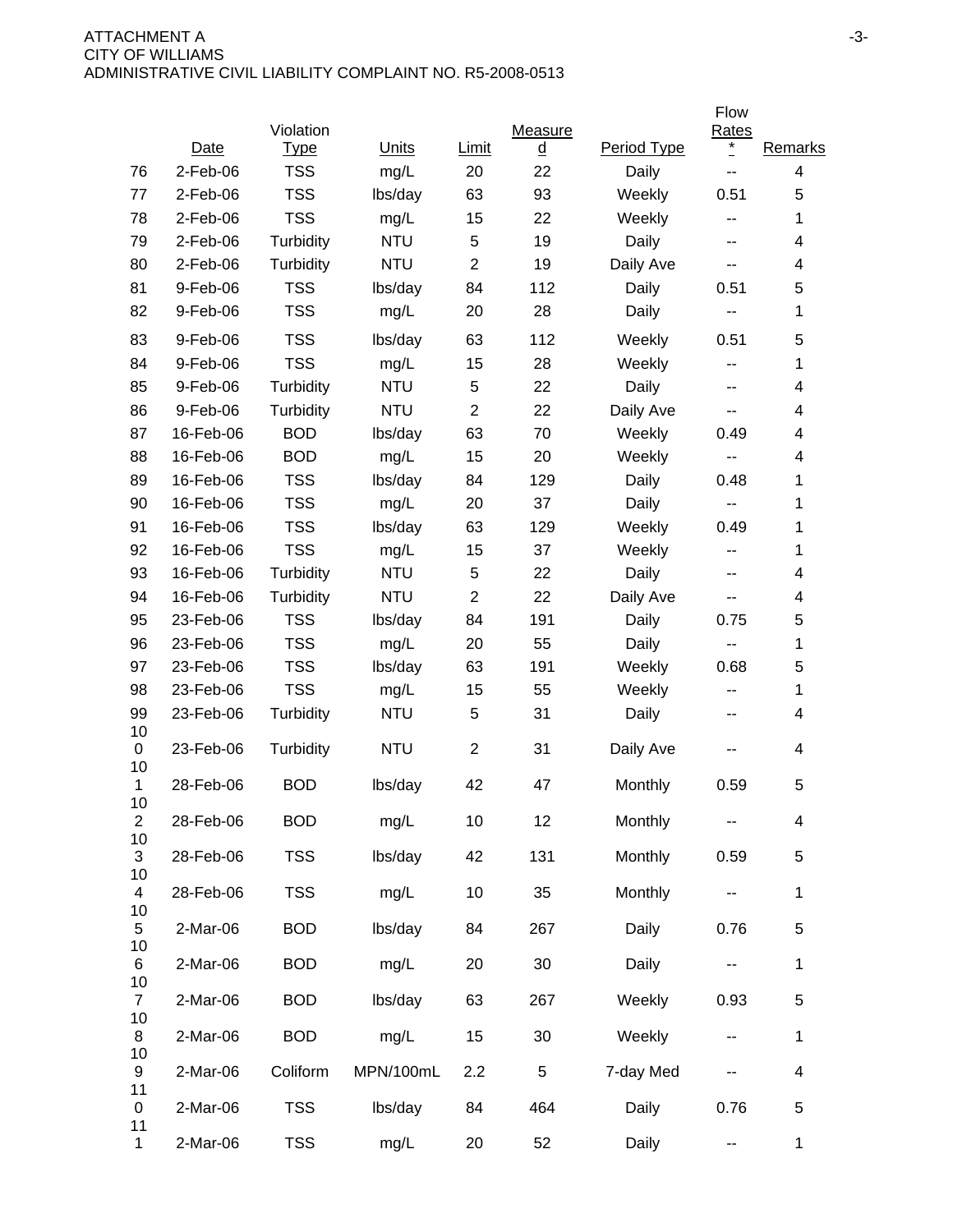|                      |             |                          |              |                |                            |             | Flow                    |                          |
|----------------------|-------------|--------------------------|--------------|----------------|----------------------------|-------------|-------------------------|--------------------------|
|                      | Date        | Violation<br><u>Type</u> | <b>Units</b> | Limit          | <b>Measure</b><br><u>d</u> | Period Type | <b>Rates</b><br>$\cdot$ | Remarks                  |
| 76                   | $2-Feb-06$  | <b>TSS</b>               | mg/L         | 20             | 22                         | Daily       | --                      | 4                        |
| 77                   | $2$ -Feb-06 | <b>TSS</b>               | lbs/day      | 63             | 93                         | Weekly      | 0.51                    | 5                        |
| 78                   | 2-Feb-06    | <b>TSS</b>               | mg/L         | 15             | 22                         | Weekly      | --                      | 1                        |
| 79                   | 2-Feb-06    | Turbidity                | <b>NTU</b>   | 5              | 19                         | Daily       | --                      | 4                        |
| 80                   | 2-Feb-06    | Turbidity                | <b>NTU</b>   | $\overline{2}$ | 19                         | Daily Ave   | --                      | 4                        |
| 81                   | 9-Feb-06    | <b>TSS</b>               | lbs/day      | 84             | 112                        | Daily       | 0.51                    | 5                        |
| 82                   | 9-Feb-06    | <b>TSS</b>               | mg/L         | 20             | 28                         | Daily       | ۰.                      | 1                        |
| 83                   | 9-Feb-06    | <b>TSS</b>               | lbs/day      | 63             | 112                        | Weekly      | 0.51                    | 5                        |
| 84                   | 9-Feb-06    | <b>TSS</b>               | mg/L         | 15             | 28                         | Weekly      | --                      | 1                        |
| 85                   | 9-Feb-06    | Turbidity                | <b>NTU</b>   | 5              | 22                         | Daily       | --                      | 4                        |
| 86                   | 9-Feb-06    | Turbidity                | <b>NTU</b>   | $\overline{2}$ | 22                         | Daily Ave   | --                      | 4                        |
| 87                   | 16-Feb-06   | <b>BOD</b>               | lbs/day      | 63             | 70                         | Weekly      | 0.49                    | 4                        |
| 88                   | 16-Feb-06   | <b>BOD</b>               | mg/L         | 15             | 20                         | Weekly      | --                      | 4                        |
| 89                   | 16-Feb-06   | <b>TSS</b>               | lbs/day      | 84             | 129                        | Daily       | 0.48                    | 1                        |
| 90                   | 16-Feb-06   | <b>TSS</b>               | mg/L         | 20             | 37                         | Daily       |                         | 1                        |
| 91                   | 16-Feb-06   | <b>TSS</b>               | lbs/day      | 63             | 129                        | Weekly      | 0.49                    | 1                        |
| 92                   | 16-Feb-06   | <b>TSS</b>               | mg/L         | 15             | 37                         | Weekly      | --                      | 1                        |
| 93                   | 16-Feb-06   | Turbidity                | <b>NTU</b>   | 5              | 22                         | Daily       | --                      | 4                        |
| 94                   | 16-Feb-06   | Turbidity                | <b>NTU</b>   | $\overline{2}$ | 22                         | Daily Ave   | --                      | 4                        |
| 95                   | 23-Feb-06   | <b>TSS</b>               | lbs/day      | 84             | 191                        | Daily       | 0.75                    | 5                        |
| 96                   | 23-Feb-06   | <b>TSS</b>               | mg/L         | 20             | 55                         | Daily       | --                      | 1                        |
| 97                   | 23-Feb-06   | <b>TSS</b>               | lbs/day      | 63             | 191                        | Weekly      | 0.68                    | 5                        |
| 98                   | 23-Feb-06   | <b>TSS</b>               | mg/L         | 15             | 55                         | Weekly      | --                      | 1                        |
| 99<br>10             | 23-Feb-06   | Turbidity                | <b>NTU</b>   | 5              | 31                         | Daily       | --                      | 4                        |
| 0<br>10              | 23-Feb-06   | Turbidity                | <b>NTU</b>   | $\overline{2}$ | 31                         | Daily Ave   |                         | 4                        |
| 1<br>10              | 28-Feb-06   | <b>BOD</b>               | lbs/day      | 42             | 47                         | Monthly     | 0.59                    | 5                        |
| $\overline{c}$<br>10 | 28-Feb-06   | <b>BOD</b>               | mg/L         | 10             | 12                         | Monthly     |                         | 4                        |
| 3                    | 28-Feb-06   | <b>TSS</b>               | lbs/day      | 42             | 131                        | Monthly     | 0.59                    | 5                        |
| 10<br>4<br>10        | 28-Feb-06   | <b>TSS</b>               | mg/L         | 10             | 35                         | Monthly     | --                      | $\mathbf{1}$             |
| 5<br>10              | 2-Mar-06    | <b>BOD</b>               | lbs/day      | 84             | 267                        | Daily       | 0.76                    | 5                        |
| 6<br>10              | 2-Mar-06    | <b>BOD</b>               | mg/L         | 20             | 30                         | Daily       | ۰.                      | $\mathbf 1$              |
| $\overline{7}$<br>10 | 2-Mar-06    | <b>BOD</b>               | lbs/day      | 63             | 267                        | Weekly      | 0.93                    | $\mathbf 5$              |
| 8<br>10              | 2-Mar-06    | <b>BOD</b>               | mg/L         | 15             | 30                         | Weekly      | --                      | $\mathbf{1}$             |
| 9<br>11              | 2-Mar-06    | Coliform                 | MPN/100mL    | 2.2            | 5                          | 7-day Med   |                         | $\overline{\mathcal{A}}$ |
| 0<br>11              | 2-Mar-06    | <b>TSS</b>               | lbs/day      | 84             | 464                        | Daily       | 0.76                    | 5                        |
| $\mathbf{1}$         | 2-Mar-06    | <b>TSS</b>               | mg/L         | 20             | 52                         | Daily       | --                      | $\mathbf{1}$             |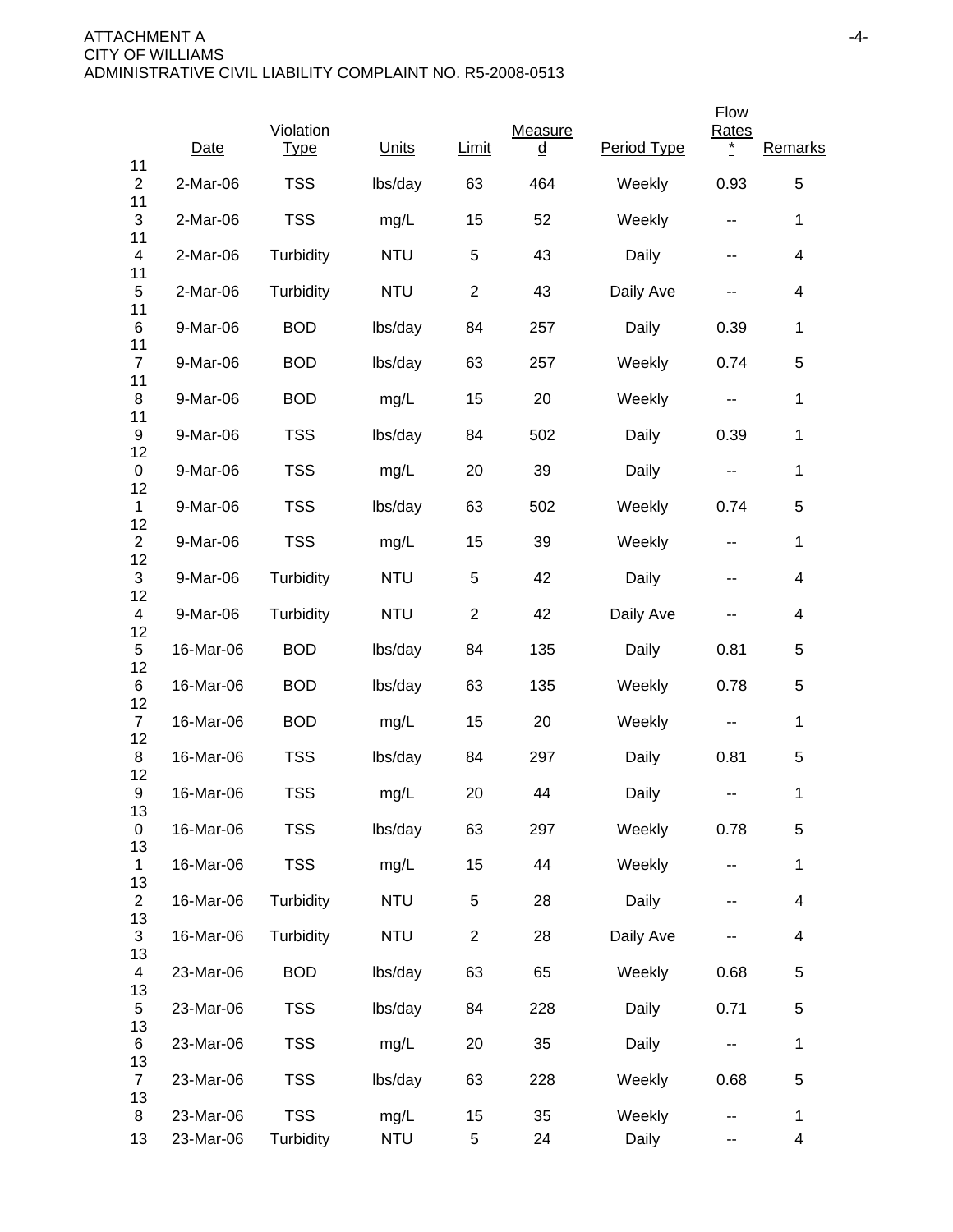|                      |           |                          |            |                |                     |             | Flow                     |                          |
|----------------------|-----------|--------------------------|------------|----------------|---------------------|-------------|--------------------------|--------------------------|
| 11                   | Date      | Violation<br><b>Type</b> | Units      | Limit          | Measure<br><u>d</u> | Period Type | <b>Rates</b><br>$\ast$   | Remarks                  |
| $\overline{2}$<br>11 | 2-Mar-06  | <b>TSS</b>               | lbs/day    | 63             | 464                 | Weekly      | 0.93                     | 5                        |
| 3<br>11              | 2-Mar-06  | <b>TSS</b>               | mg/L       | 15             | 52                  | Weekly      | $\overline{\phantom{a}}$ | $\mathbf 1$              |
| 4<br>11              | 2-Mar-06  | Turbidity                | <b>NTU</b> | 5              | 43                  | Daily       | $\sim$ $\sim$            | $\overline{\mathbf{4}}$  |
| 5<br>11              | 2-Mar-06  | Turbidity                | <b>NTU</b> | $\overline{2}$ | 43                  | Daily Ave   |                          | 4                        |
| 6                    | 9-Mar-06  | <b>BOD</b>               | lbs/day    | 84             | 257                 | Daily       | 0.39                     | $\mathbf 1$              |
| 11<br>7              | 9-Mar-06  | <b>BOD</b>               | lbs/day    | 63             | 257                 | Weekly      | 0.74                     | 5                        |
| 11<br>8              | 9-Mar-06  | <b>BOD</b>               | mg/L       | 15             | 20                  | Weekly      | $\sim$ $\sim$            | $\mathbf 1$              |
| 11<br>9              | 9-Mar-06  | <b>TSS</b>               | lbs/day    | 84             | 502                 | Daily       | 0.39                     | $\mathbf 1$              |
| 12<br>0              | 9-Mar-06  | <b>TSS</b>               | mg/L       | 20             | 39                  | Daily       | --                       | $\mathbf 1$              |
| 12<br>$\mathbf 1$    | 9-Mar-06  | <b>TSS</b>               | lbs/day    | 63             | 502                 | Weekly      | 0.74                     | 5                        |
| 12<br>$\overline{2}$ | 9-Mar-06  | <b>TSS</b>               | mg/L       | 15             | 39                  | Weekly      | $\sim$ $\sim$            | $\mathbf 1$              |
| 12<br>3              | 9-Mar-06  | Turbidity                | <b>NTU</b> | 5              | 42                  | Daily       | $\overline{\phantom{a}}$ | 4                        |
| 12<br>4              | 9-Mar-06  | Turbidity                | <b>NTU</b> | $\overline{2}$ | 42                  | Daily Ave   | $\sim$ $\sim$            | 4                        |
| 12<br>5              | 16-Mar-06 | <b>BOD</b>               | lbs/day    | 84             | 135                 | Daily       | 0.81                     | 5                        |
| 12<br>6              | 16-Mar-06 | <b>BOD</b>               | lbs/day    | 63             | 135                 | Weekly      | 0.78                     | 5                        |
| 12<br>$\overline{7}$ | 16-Mar-06 | <b>BOD</b>               | mg/L       | 15             | 20                  | Weekly      | $\overline{\phantom{a}}$ | 1                        |
| 12<br>8              | 16-Mar-06 | <b>TSS</b>               | lbs/day    | 84             | 297                 | Daily       | 0.81                     | 5                        |
| 12<br>9              | 16-Mar-06 | <b>TSS</b>               | mg/L       | 20             | 44                  | Daily       | --                       | 1                        |
| 13<br>0              | 16-Mar-06 | <b>TSS</b>               | lbs/day    | 63             | 297                 | Weekly      | 0.78                     | 5                        |
| 13<br>1              | 16-Mar-06 | <b>TSS</b>               | mg/L       | 15             | 44                  | Weekly      | $\overline{\phantom{a}}$ | $\mathbf 1$              |
| 13<br>$\overline{c}$ | 16-Mar-06 | Turbidity                | <b>NTU</b> | 5              | 28                  | Daily       | --                       | $\overline{\mathcal{A}}$ |
| 13<br>3              | 16-Mar-06 | Turbidity                | <b>NTU</b> | $\overline{2}$ | 28                  | Daily Ave   |                          | $\overline{\mathcal{A}}$ |
| 13<br>4              | 23-Mar-06 | <b>BOD</b>               | lbs/day    | 63             | 65                  | Weekly      | 0.68                     | 5                        |
| 13<br>5              | 23-Mar-06 | <b>TSS</b>               | lbs/day    | 84             | 228                 | Daily       | 0.71                     | 5                        |
| 13<br>6              | 23-Mar-06 | <b>TSS</b>               | mg/L       | 20             | 35                  | Daily       | $\sim$ $\sim$            | $\mathbf 1$              |
| 13<br>$\overline{7}$ | 23-Mar-06 | <b>TSS</b>               | lbs/day    | 63             | 228                 | Weekly      | 0.68                     | 5                        |
| 13<br>8              | 23-Mar-06 | <b>TSS</b>               | mg/L       | 15             | 35                  | Weekly      |                          | $\mathbf 1$              |
| 13                   | 23-Mar-06 | Turbidity                | <b>NTU</b> | 5              | 24                  | Daily       | ۰.                       | 4                        |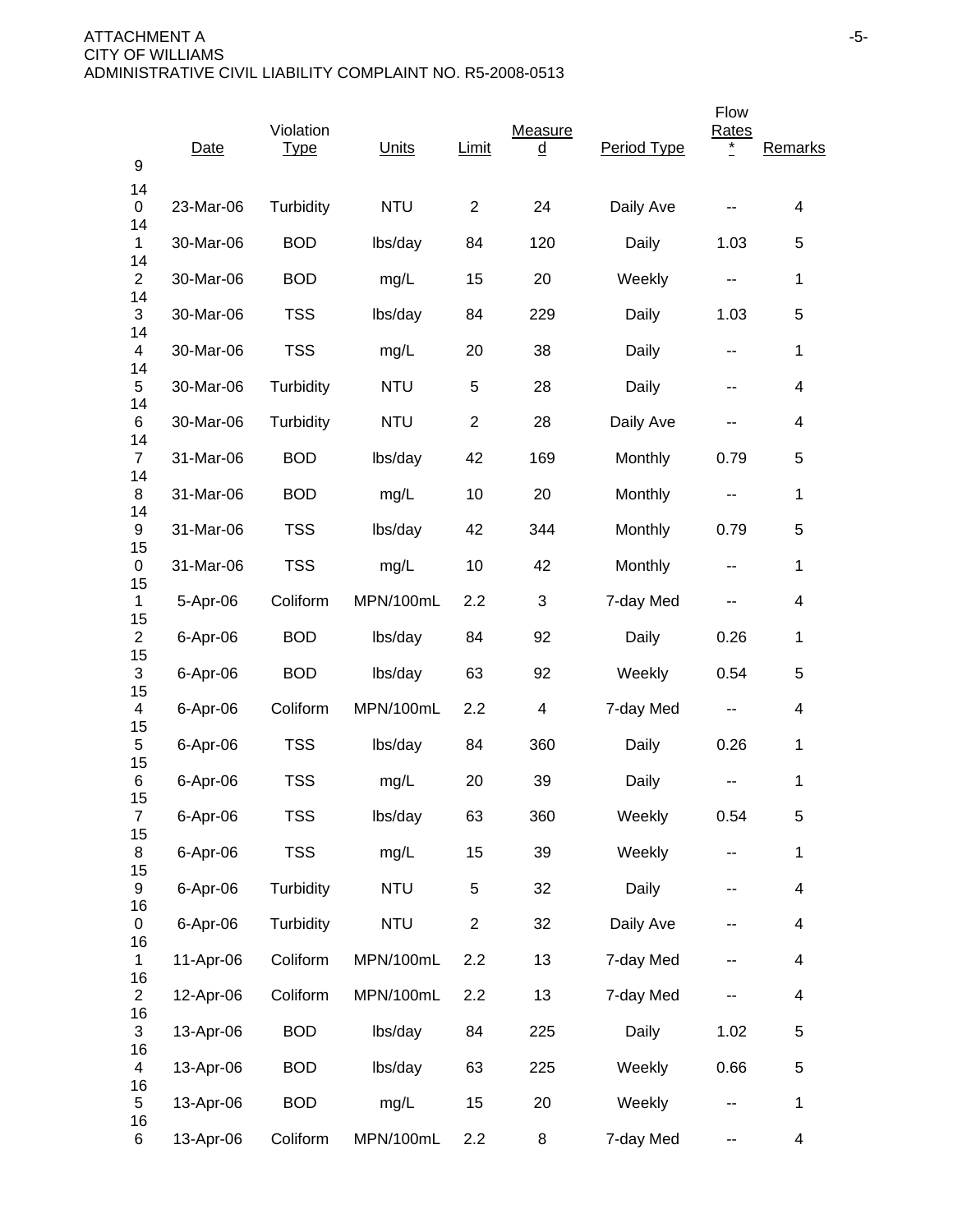| 9                    | Date      | Violation<br><b>Type</b> | Units      | Limit          | Measure<br><u>d</u> | Period Type | Flow<br><b>Rates</b><br>* | Remarks                  |
|----------------------|-----------|--------------------------|------------|----------------|---------------------|-------------|---------------------------|--------------------------|
| 14<br>0              | 23-Mar-06 | Turbidity                | <b>NTU</b> | $\overline{2}$ | 24                  | Daily Ave   |                           | 4                        |
| 14<br>1              | 30-Mar-06 | <b>BOD</b>               | lbs/day    | 84             | 120                 | Daily       | 1.03                      | 5                        |
| 14<br>$\overline{c}$ | 30-Mar-06 | <b>BOD</b>               | mg/L       | 15             | 20                  | Weekly      | ۰.                        | 1                        |
| 14<br>3              | 30-Mar-06 | <b>TSS</b>               | lbs/day    | 84             | 229                 | Daily       | 1.03                      | 5                        |
| 14<br>4              | 30-Mar-06 | <b>TSS</b>               | mg/L       | 20             | 38                  | Daily       | ۰.                        | $\mathbf 1$              |
| 14<br>5              | 30-Mar-06 | Turbidity                | <b>NTU</b> | $\sqrt{5}$     | 28                  | Daily       | --                        | 4                        |
| 14<br>6              | 30-Mar-06 | Turbidity                | <b>NTU</b> | $\overline{2}$ | 28                  | Daily Ave   |                           | 4                        |
| 14<br>$\overline{7}$ | 31-Mar-06 | <b>BOD</b>               | lbs/day    | 42             | 169                 | Monthly     | 0.79                      | 5                        |
| 14<br>8              | 31-Mar-06 | <b>BOD</b>               | mg/L       | 10             | 20                  | Monthly     | --                        | 1                        |
| 14<br>9              | 31-Mar-06 | <b>TSS</b>               | lbs/day    | 42             | 344                 | Monthly     | 0.79                      | 5                        |
| 15<br>0              | 31-Mar-06 | <b>TSS</b>               | mg/L       | 10             | 42                  | Monthly     | --                        | $\mathbf 1$              |
| 15<br>1              | 5-Apr-06  | Coliform                 | MPN/100mL  | 2.2            | 3                   | 7-day Med   | --                        | 4                        |
| 15<br>$\overline{2}$ | 6-Apr-06  | <b>BOD</b>               | lbs/day    | 84             | 92                  | Daily       | 0.26                      | 1                        |
| 15<br>3              | 6-Apr-06  | <b>BOD</b>               | lbs/day    | 63             | 92                  | Weekly      | 0.54                      | 5                        |
| 15<br>4              | 6-Apr-06  | Coliform                 | MPN/100mL  | 2.2            | 4                   | 7-day Med   | --                        | 4                        |
| 15<br>5              | 6-Apr-06  | <b>TSS</b>               | lbs/day    | 84             | 360                 | Daily       | 0.26                      | 1                        |
| 15<br>6<br>15        | 6-Apr-06  | <b>TSS</b>               | mg/L       | 20             | 39                  | Daily       |                           | $\mathbf 1$              |
| $\overline{7}$<br>15 | 6-Apr-06  | <b>TSS</b>               | lbs/day    | 63             | 360                 | Weekly      | 0.54                      | 5                        |
| 8<br>15              | 6-Apr-06  | <b>TSS</b>               | mg/L       | 15             | 39                  | Weekly      | ۰.                        | $\mathbf 1$              |
| 9<br>16              | 6-Apr-06  | Turbidity                | <b>NTU</b> | 5              | 32                  | Daily       | --                        | $\overline{\mathbf{4}}$  |
| 0<br>16              | 6-Apr-06  | Turbidity                | <b>NTU</b> | $\overline{2}$ | 32                  | Daily Ave   | --                        | 4                        |
| 1<br>16              | 11-Apr-06 | Coliform                 | MPN/100mL  | 2.2            | 13                  | 7-day Med   | --                        | 4                        |
| $\overline{2}$<br>16 | 12-Apr-06 | Coliform                 | MPN/100mL  | 2.2            | 13                  | 7-day Med   |                           | 4                        |
| 3<br>16              | 13-Apr-06 | <b>BOD</b>               | lbs/day    | 84             | 225                 | Daily       | 1.02                      | 5                        |
| 4<br>16              | 13-Apr-06 | <b>BOD</b>               | lbs/day    | 63             | 225                 | Weekly      | 0.66                      | 5                        |
| 5<br>16              | 13-Apr-06 | <b>BOD</b>               | mg/L       | 15             | 20                  | Weekly      | ۰.                        | $\mathbf 1$              |
| 6                    | 13-Apr-06 | Coliform                 | MPN/100mL  | 2.2            | 8                   | 7-day Med   | --                        | $\overline{\mathcal{A}}$ |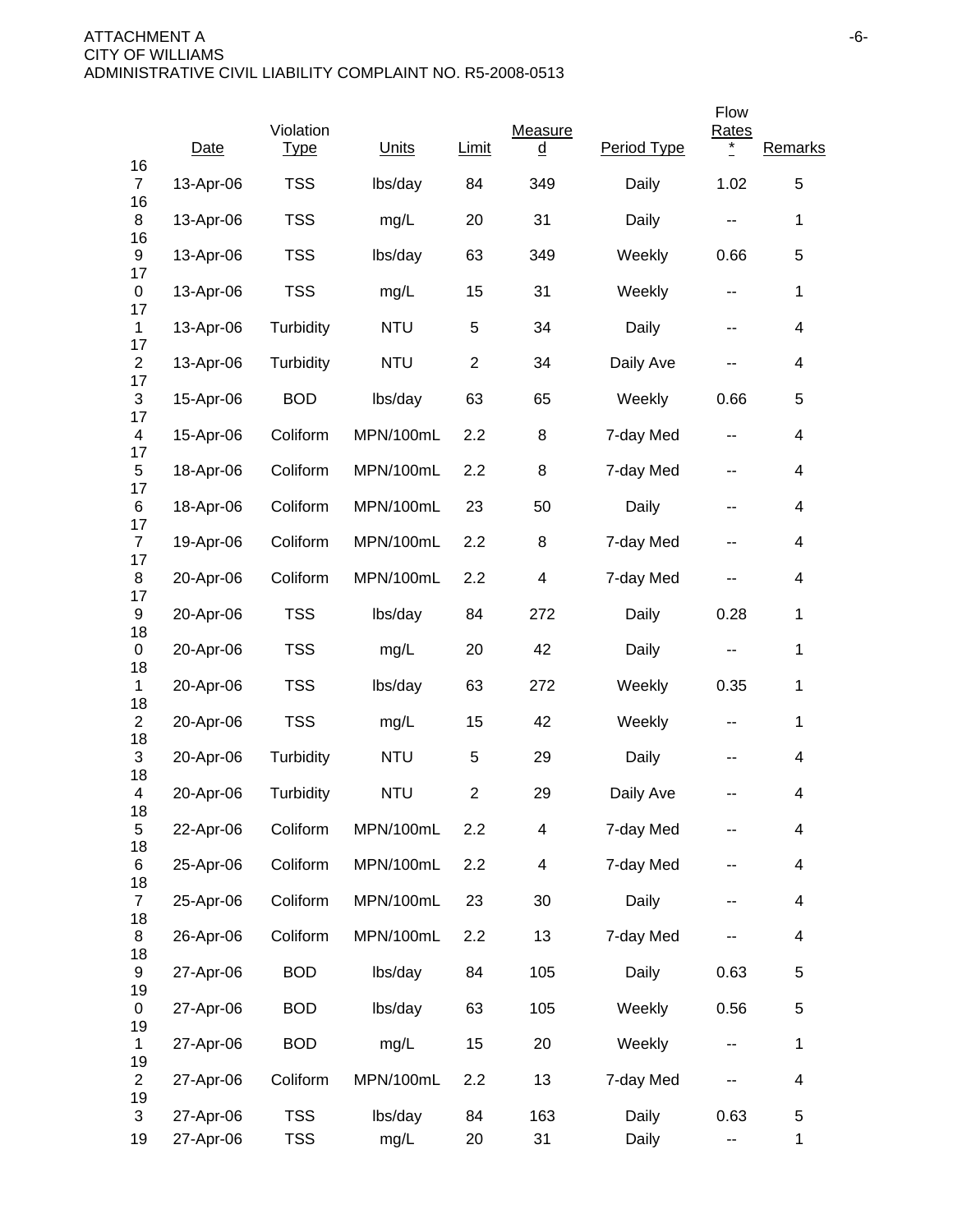|                      |           |                          |            |                |                     |             | Flow                     |                          |
|----------------------|-----------|--------------------------|------------|----------------|---------------------|-------------|--------------------------|--------------------------|
| 16                   | Date      | Violation<br><b>Type</b> | Units      | <b>Limit</b>   | Measure<br><u>d</u> | Period Type | <b>Rates</b><br>$\ast$   | Remarks                  |
| $\overline{7}$<br>16 | 13-Apr-06 | <b>TSS</b>               | lbs/day    | 84             | 349                 | Daily       | 1.02                     | 5                        |
| 8                    | 13-Apr-06 | <b>TSS</b>               | mg/L       | 20             | 31                  | Daily       | н.                       | $\mathbf 1$              |
| 16<br>9              | 13-Apr-06 | <b>TSS</b>               | lbs/day    | 63             | 349                 | Weekly      | 0.66                     | 5                        |
| 17<br>0              | 13-Apr-06 | <b>TSS</b>               | mg/L       | 15             | 31                  | Weekly      | $\overline{\phantom{a}}$ | $\mathbf 1$              |
| 17<br>1              | 13-Apr-06 | Turbidity                | <b>NTU</b> | 5              | 34                  | Daily       | н.                       | $\overline{\mathcal{A}}$ |
| 17<br>$\overline{2}$ | 13-Apr-06 | Turbidity                | <b>NTU</b> | $\overline{c}$ | 34                  | Daily Ave   | н.                       | $\overline{\mathcal{A}}$ |
| 17<br>3              | 15-Apr-06 | <b>BOD</b>               | lbs/day    | 63             | 65                  | Weekly      | 0.66                     | 5                        |
| 17<br>4              | 15-Apr-06 | Coliform                 | MPN/100mL  | 2.2            | 8                   | 7-day Med   | н.                       | $\overline{\mathcal{A}}$ |
| 17<br>5              | 18-Apr-06 | Coliform                 | MPN/100mL  | 2.2            | 8                   | 7-day Med   | ۰.                       | 4                        |
| 17<br>6<br>17        | 18-Apr-06 | Coliform                 | MPN/100mL  | 23             | 50                  | Daily       | ۰.                       | 4                        |
| $\overline{7}$<br>17 | 19-Apr-06 | Coliform                 | MPN/100mL  | 2.2            | 8                   | 7-day Med   | н.                       | $\overline{\mathcal{A}}$ |
| 8<br>17              | 20-Apr-06 | Coliform                 | MPN/100mL  | 2.2            | 4                   | 7-day Med   | н.                       | 4                        |
| 9<br>18              | 20-Apr-06 | <b>TSS</b>               | lbs/day    | 84             | 272                 | Daily       | 0.28                     | $\mathbf 1$              |
| 0<br>18              | 20-Apr-06 | <b>TSS</b>               | mg/L       | 20             | 42                  | Daily       | --                       | $\mathbf 1$              |
| 1<br>18              | 20-Apr-06 | <b>TSS</b>               | lbs/day    | 63             | 272                 | Weekly      | 0.35                     | $\mathbf 1$              |
| $\overline{2}$<br>18 | 20-Apr-06 | <b>TSS</b>               | mg/L       | 15             | 42                  | Weekly      | ۰.                       | $\mathbf{1}$             |
| 3<br>18              | 20-Apr-06 | Turbidity                | <b>NTU</b> | 5              | 29                  | Daily       |                          | 4                        |
| 4<br>18              | 20-Apr-06 | Turbidity                | <b>NTU</b> | $\overline{2}$ | 29                  | Daily Ave   |                          | 4                        |
| 5<br>18              | 22-Apr-06 | Coliform                 | MPN/100mL  | 2.2            | 4                   | 7-day Med   |                          | $\overline{\mathcal{A}}$ |
| 6<br>18              | 25-Apr-06 | Coliform                 | MPN/100mL  | 2.2            | 4                   | 7-day Med   |                          | 4                        |
| $\overline{7}$<br>18 | 25-Apr-06 | Coliform                 | MPN/100mL  | 23             | 30                  | Daily       | --                       | $\overline{\mathcal{A}}$ |
| 8<br>18              | 26-Apr-06 | Coliform                 | MPN/100mL  | 2.2            | 13                  | 7-day Med   |                          | $\overline{\mathcal{A}}$ |
| 9<br>19              | 27-Apr-06 | <b>BOD</b>               | lbs/day    | 84             | 105                 | Daily       | 0.63                     | 5                        |
| 0<br>19              | 27-Apr-06 | <b>BOD</b>               | lbs/day    | 63             | 105                 | Weekly      | 0.56                     | 5                        |
| 1<br>19              | 27-Apr-06 | <b>BOD</b>               | mg/L       | 15             | 20                  | Weekly      | $\overline{\phantom{m}}$ | $\mathbf 1$              |
| $\overline{2}$<br>19 | 27-Apr-06 | Coliform                 | MPN/100mL  | 2.2            | 13                  | 7-day Med   |                          | $\overline{\mathcal{A}}$ |
| 3                    | 27-Apr-06 | <b>TSS</b>               | lbs/day    | 84             | 163                 | Daily       | 0.63                     | 5                        |
| 19                   | 27-Apr-06 | <b>TSS</b>               | mg/L       | 20             | 31                  | Daily       | ۰.                       | 1                        |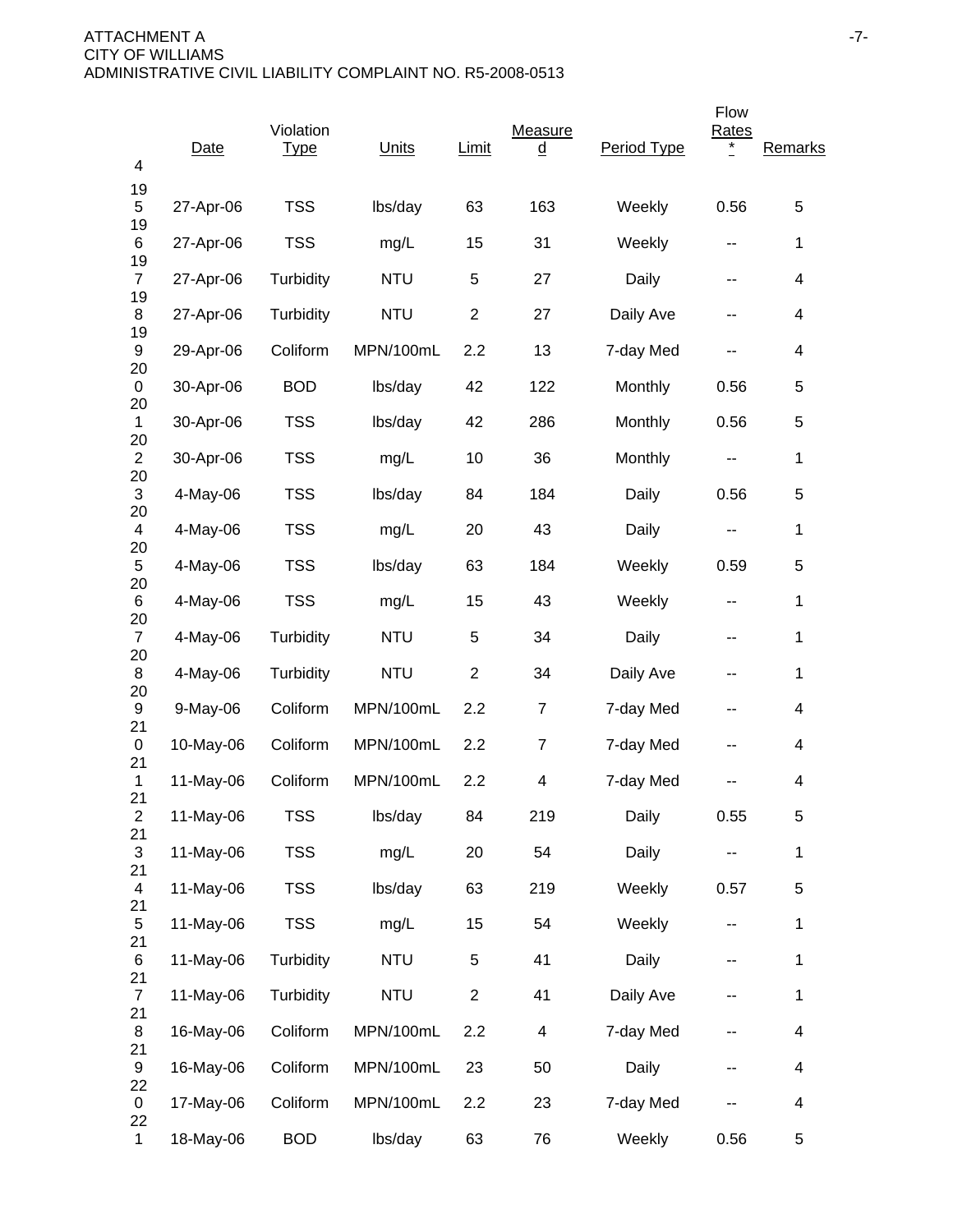| 4                             | Date      | Violation<br><b>Type</b> | Units      | Limit          | Measure<br><u>d</u> | Period Type | Flow<br><b>Rates</b>     | Remarks                  |
|-------------------------------|-----------|--------------------------|------------|----------------|---------------------|-------------|--------------------------|--------------------------|
| 19<br>5                       | 27-Apr-06 | <b>TSS</b>               | lbs/day    | 63             | 163                 | Weekly      | 0.56                     | 5                        |
| 19<br>6                       | 27-Apr-06 | <b>TSS</b>               | mg/L       | 15             | 31                  | Weekly      | $\sim$ $\sim$            | 1                        |
| 19<br>$\overline{7}$          | 27-Apr-06 | Turbidity                | <b>NTU</b> | 5              | 27                  | Daily       | --                       | 4                        |
| 19<br>8                       | 27-Apr-06 | Turbidity                | <b>NTU</b> | $\overline{2}$ | 27                  | Daily Ave   | --                       | 4                        |
| 19<br>9                       | 29-Apr-06 | Coliform                 | MPN/100mL  | 2.2            | 13                  | 7-day Med   |                          | 4                        |
| 20<br>0                       | 30-Apr-06 | <b>BOD</b>               | lbs/day    | 42             | 122                 | Monthly     | 0.56                     | 5                        |
| 20<br>$\mathbf{1}$            | 30-Apr-06 | <b>TSS</b>               | lbs/day    | 42             | 286                 | Monthly     | 0.56                     | 5                        |
| 20<br>$\overline{c}$          | 30-Apr-06 | <b>TSS</b>               | mg/L       | 10             | 36                  | Monthly     | --                       | $\mathbf 1$              |
| 20<br>$\sqrt{3}$              | 4-May-06  | <b>TSS</b>               | lbs/day    | 84             | 184                 | Daily       | 0.56                     | 5                        |
| 20<br>$\overline{4}$          | 4-May-06  | <b>TSS</b>               | mg/L       | 20             | 43                  | Daily       | $\sim$ $\sim$            | 1                        |
| 20<br>5                       | 4-May-06  | <b>TSS</b>               | lbs/day    | 63             | 184                 | Weekly      | 0.59                     | 5                        |
| 20<br>6                       | 4-May-06  | <b>TSS</b>               | mg/L       | 15             | 43                  | Weekly      | --                       | 1                        |
| 20<br>$\overline{7}$          | 4-May-06  | Turbidity                | <b>NTU</b> | 5              | 34                  | Daily       | --                       | $\mathbf{1}$             |
| 20<br>8                       | 4-May-06  | Turbidity                | <b>NTU</b> | $\overline{2}$ | 34                  | Daily Ave   | --                       | 1                        |
| 20<br>9                       | 9-May-06  | Coliform                 | MPN/100mL  | 2.2            | 7                   | 7-day Med   | --                       | 4                        |
| 21<br>0                       | 10-May-06 | Coliform                 | MPN/100mL  | 2.2            | 7                   | 7-day Med   | --                       | 4                        |
| 21<br>1                       | 11-May-06 | Coliform                 | MPN/100mL  | 2.2            | 4                   | 7-day Med   |                          | 4                        |
| 21<br>$\overline{c}$          | 11-May-06 | TSS                      | lbs/day    | 84             | 219                 | Daily       | 0.55                     | 5                        |
| 21<br>3                       | 11-May-06 | <b>TSS</b>               | mg/L       | 20             | 54                  | Daily       | --                       | $\mathbf 1$              |
| 21<br>$\overline{\mathbf{4}}$ | 11-May-06 | <b>TSS</b>               | lbs/day    | 63             | 219                 | Weekly      | 0.57                     | 5                        |
| 21<br>5                       | 11-May-06 | <b>TSS</b>               | mg/L       | 15             | 54                  | Weekly      | $\overline{\phantom{a}}$ | $\mathbf 1$              |
| 21<br>6                       | 11-May-06 | Turbidity                | <b>NTU</b> | 5              | 41                  | Daily       | --                       | $\mathbf 1$              |
| 21<br>$\overline{7}$          | 11-May-06 | Turbidity                | <b>NTU</b> | $\overline{c}$ | 41                  | Daily Ave   | --                       | $\mathbf 1$              |
| 21<br>8                       | 16-May-06 | Coliform                 | MPN/100mL  | 2.2            | 4                   | 7-day Med   | --                       | $\overline{\mathcal{A}}$ |
| 21<br>9                       | 16-May-06 | Coliform                 | MPN/100mL  | 23             | 50                  | Daily       | --                       | $\overline{\mathcal{A}}$ |
| 22<br>0                       | 17-May-06 | Coliform                 | MPN/100mL  | 2.2            | 23                  | 7-day Med   |                          | $\overline{\mathcal{A}}$ |
| 22<br>$\mathbf{1}$            | 18-May-06 | <b>BOD</b>               | lbs/day    | 63             | 76                  | Weekly      | 0.56                     | 5                        |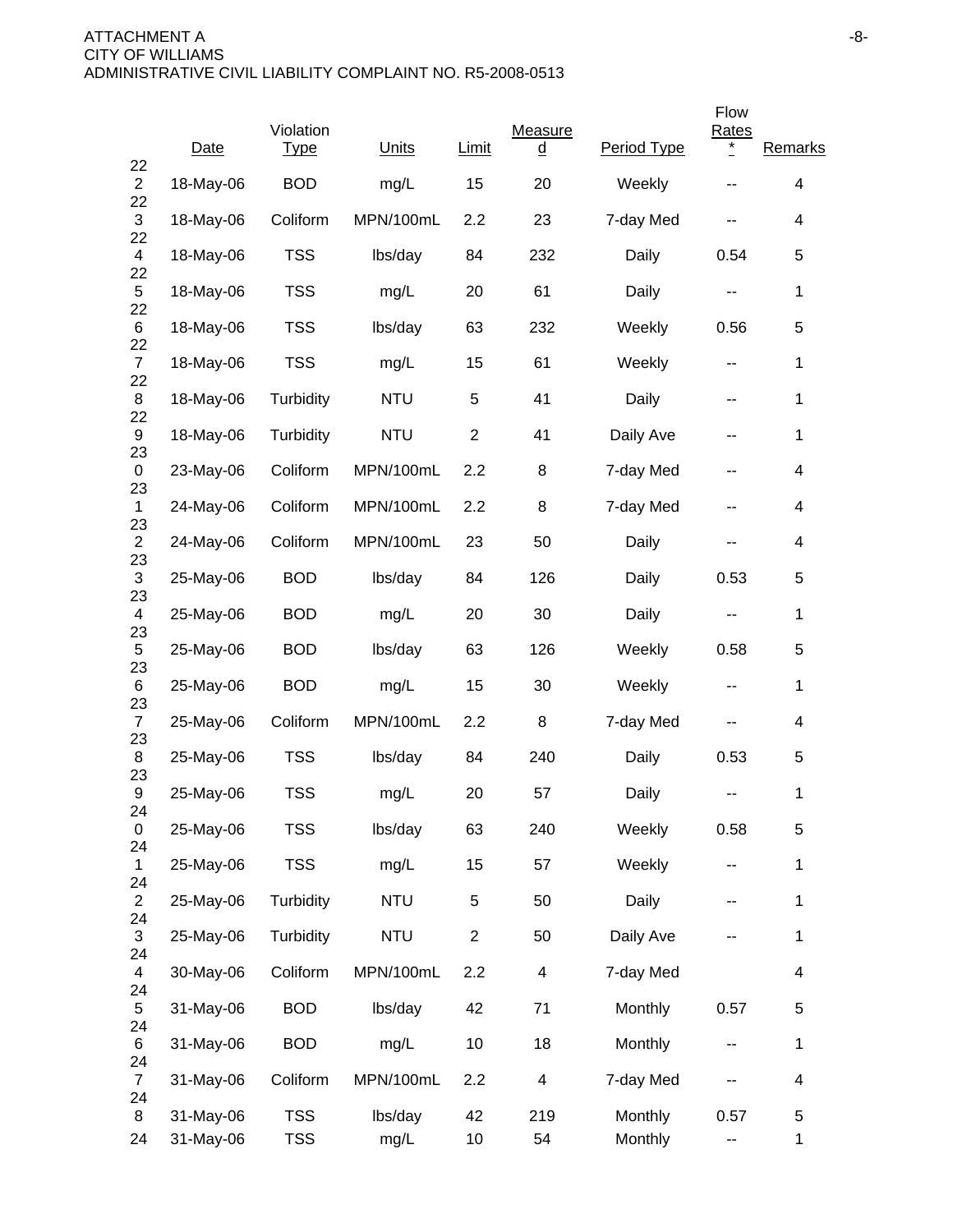|                      | Date      | Violation<br><b>Type</b> | Units      | Limit          | Measure<br><u>d</u> | Period Type | Flow<br><b>Rates</b><br>$\ast$ | Remarks                  |
|----------------------|-----------|--------------------------|------------|----------------|---------------------|-------------|--------------------------------|--------------------------|
| 22<br>$\overline{2}$ | 18-May-06 | <b>BOD</b>               | mg/L       | 15             | 20                  | Weekly      |                                | 4                        |
| 22<br>3              | 18-May-06 | Coliform                 | MPN/100mL  | 2.2            | 23                  | 7-day Med   |                                | 4                        |
| 22<br>$\overline{4}$ | 18-May-06 | <b>TSS</b>               | lbs/day    | 84             | 232                 | Daily       | 0.54                           | 5                        |
| 22<br>$\sqrt{5}$     | 18-May-06 | <b>TSS</b>               | mg/L       | 20             | 61                  | Daily       | --                             | 1                        |
| 22<br>6<br>22        | 18-May-06 | <b>TSS</b>               | lbs/day    | 63             | 232                 | Weekly      | 0.56                           | 5                        |
| $\overline{7}$<br>22 | 18-May-06 | <b>TSS</b>               | mg/L       | 15             | 61                  | Weekly      | $\overline{\phantom{a}}$       | 1                        |
| 8<br>22              | 18-May-06 | Turbidity                | <b>NTU</b> | 5              | 41                  | Daily       | --                             | 1                        |
| 9<br>23              | 18-May-06 | Turbidity                | <b>NTU</b> | $\overline{2}$ | 41                  | Daily Ave   | --                             | 1                        |
| 0<br>23              | 23-May-06 | Coliform                 | MPN/100mL  | 2.2            | 8                   | 7-day Med   | --                             | 4                        |
| $\mathbf{1}$<br>23   | 24-May-06 | Coliform                 | MPN/100mL  | 2.2            | 8                   | 7-day Med   | --                             | $\overline{\mathcal{A}}$ |
| $\overline{2}$<br>23 | 24-May-06 | Coliform                 | MPN/100mL  | 23             | 50                  | Daily       | --                             | 4                        |
| 3<br>23              | 25-May-06 | <b>BOD</b>               | lbs/day    | 84             | 126                 | Daily       | 0.53                           | 5                        |
| 4<br>23              | 25-May-06 | <b>BOD</b>               | mg/L       | 20             | 30                  | Daily       | $\sim$ $\sim$                  | $\mathbf{1}$             |
| 5<br>23              | 25-May-06 | <b>BOD</b>               | lbs/day    | 63             | 126                 | Weekly      | 0.58                           | 5                        |
| 6<br>23              | 25-May-06 | <b>BOD</b>               | mg/L       | 15             | 30                  | Weekly      | --                             | 1                        |
| $\overline{7}$<br>23 | 25-May-06 | Coliform                 | MPN/100mL  | 2.2            | 8                   | 7-day Med   |                                | 4                        |
| 8<br>23              | 25-May-06 | <b>TSS</b>               | lbs/day    | 84             | 240                 | Daily       | 0.53                           | 5                        |
| 9<br>24              | 25-May-06 | <b>TSS</b>               | mg/L       | 20             | 57                  | Daily       | --                             | 1                        |
| 0<br>24              | 25-May-06 | <b>TSS</b>               | lbs/day    | 63             | 240                 | Weekly      | 0.58                           | 5                        |
| $\mathbf{1}$<br>24   | 25-May-06 | <b>TSS</b>               | mg/L       | 15             | 57                  | Weekly      | --                             | 1                        |
| $\overline{2}$<br>24 | 25-May-06 | Turbidity                | <b>NTU</b> | $\,$ 5 $\,$    | 50                  | Daily       | --                             | 1                        |
| 3<br>24              | 25-May-06 | Turbidity                | <b>NTU</b> | $\overline{2}$ | 50                  | Daily Ave   |                                | 1                        |
| 4<br>24              | 30-May-06 | Coliform                 | MPN/100mL  | 2.2            | 4                   | 7-day Med   |                                | 4                        |
| 5<br>24              | 31-May-06 | <b>BOD</b>               | lbs/day    | 42             | 71                  | Monthly     | 0.57                           | 5                        |
| 6<br>24              | 31-May-06 | <b>BOD</b>               | mg/L       | 10             | 18                  | Monthly     | ۰.                             | 1                        |
| $\overline{7}$<br>24 | 31-May-06 | Coliform                 | MPN/100mL  | 2.2            | 4                   | 7-day Med   |                                | 4                        |
| 8                    | 31-May-06 | <b>TSS</b>               | lbs/day    | 42             | 219                 | Monthly     | 0.57                           | 5                        |
| 24                   | 31-May-06 | <b>TSS</b>               | mg/L       | 10             | 54                  | Monthly     | ۰.                             | $\mathbf{1}$             |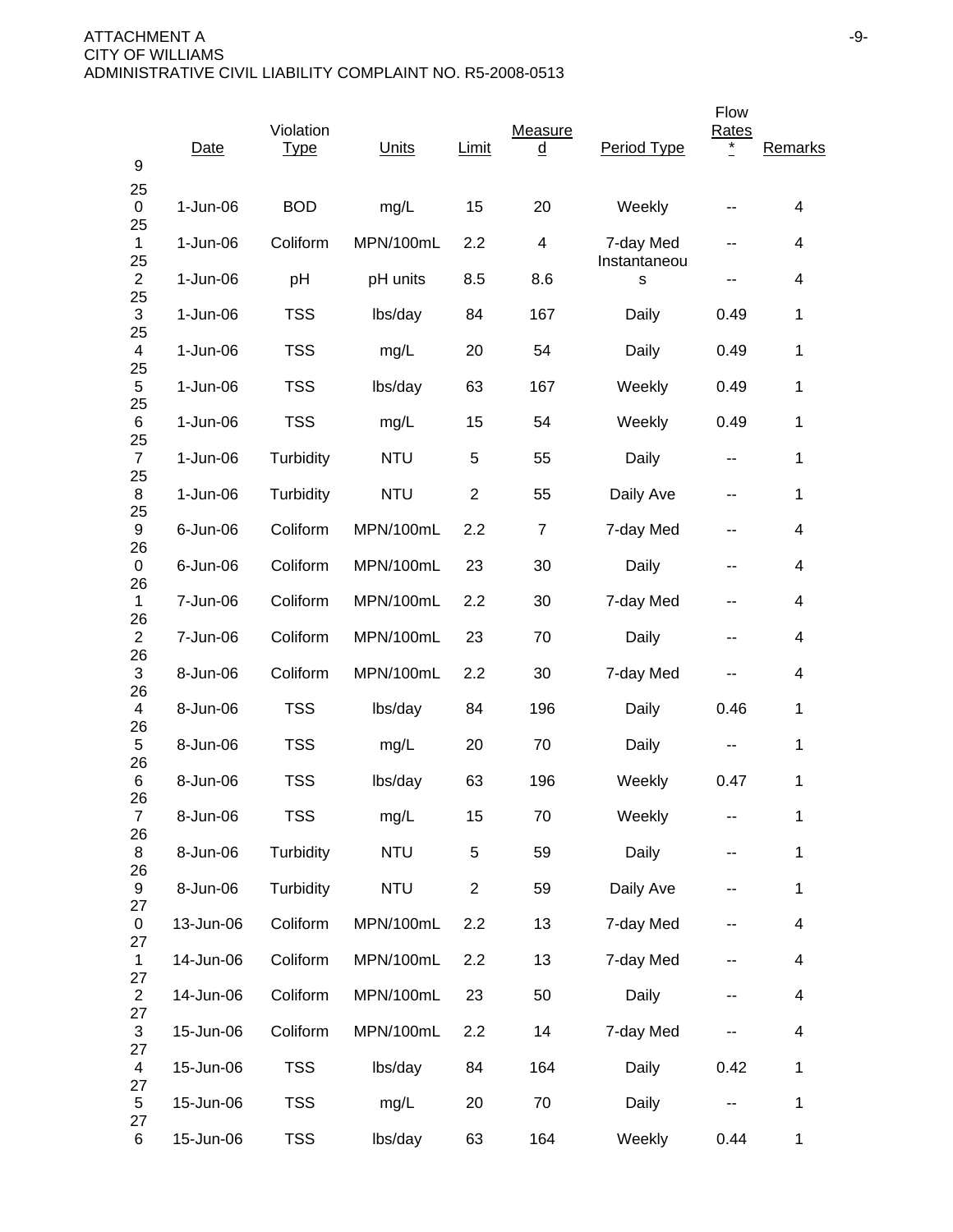| 9                               | Date       | Violation<br><u>Type</u> | Units      | Limit          | Measure<br><u>d</u> | Period Type       | Flow<br>Rates<br>$\ast$ | Remarks      |
|---------------------------------|------------|--------------------------|------------|----------------|---------------------|-------------------|-------------------------|--------------|
| 25<br>0                         | $1-Jun-06$ | <b>BOD</b>               | mg/L       | 15             | 20                  | Weekly            |                         | 4            |
| 25<br>$\mathbf{1}$              | $1-Jun-06$ | Coliform                 | MPN/100mL  | 2.2            | 4                   | 7-day Med         | --                      | 4            |
| 25<br>$\overline{2}$            | 1-Jun-06   | pH                       | pH units   | 8.5            | 8.6                 | Instantaneou<br>s | --                      | 4            |
| 25<br>$\ensuremath{\mathsf{3}}$ | 1-Jun-06   | <b>TSS</b>               | lbs/day    | 84             | 167                 | Daily             | 0.49                    | 1            |
| 25<br>4                         | $1-Jun-06$ | <b>TSS</b>               | mg/L       | 20             | 54                  | Daily             | 0.49                    | 1            |
| 25<br>5                         | $1-Jun-06$ | <b>TSS</b>               | lbs/day    | 63             | 167                 | Weekly            | 0.49                    | 1            |
| 25<br>6                         | $1-Jun-06$ | <b>TSS</b>               | mg/L       | 15             | 54                  | Weekly            | 0.49                    | 1            |
| 25<br>$\overline{7}$            | $1-Jun-06$ | Turbidity                | <b>NTU</b> | 5              | 55                  | Daily             | --                      | 1            |
| 25<br>8                         | $1-Jun-06$ | Turbidity                | <b>NTU</b> | $\overline{2}$ | 55                  | Daily Ave         | --                      | 1            |
| 25<br>9                         | 6-Jun-06   | Coliform                 | MPN/100mL  | 2.2            | $\overline{7}$      | 7-day Med         | --                      | 4            |
| 26<br>0                         | 6-Jun-06   | Coliform                 | MPN/100mL  | 23             | 30                  | Daily             | --                      | 4            |
| 26<br>$\mathbf{1}$              | 7-Jun-06   | Coliform                 | MPN/100mL  | 2.2            | 30                  | 7-day Med         | --                      | 4            |
| 26<br>$\overline{2}$            | 7-Jun-06   | Coliform                 | MPN/100mL  | 23             | 70                  | Daily             | --                      | 4            |
| 26<br>$\ensuremath{\mathsf{3}}$ | 8-Jun-06   | Coliform                 | MPN/100mL  | 2.2            | 30                  | 7-day Med         | --                      | 4            |
| 26<br>4                         | 8-Jun-06   | <b>TSS</b>               | lbs/day    | 84             | 196                 | Daily             | 0.46                    | 1            |
| 26<br>5                         | 8-Jun-06   | <b>TSS</b>               | mg/L       | 20             | 70                  | Daily             | ۰.                      | 1            |
| 26<br>6                         | 8-Jun-06   | <b>TSS</b>               | lbs/day    | 63             | 196                 | Weekly            | 0.47                    | 1            |
| 26<br>$\overline{7}$            | 8-Jun-06   | <b>TSS</b>               | mg/L       | 15             | 70                  | Weekly            | --                      | $\mathbf 1$  |
| 26<br>8                         | 8-Jun-06   | Turbidity                | <b>NTU</b> | 5              | 59                  | Daily             | ۰.                      | $\mathbf 1$  |
| 26<br>$\boldsymbol{9}$          | 8-Jun-06   | Turbidity                | <b>NTU</b> | $\overline{2}$ | 59                  | Daily Ave         |                         | $\mathbf 1$  |
| 27<br>0                         | 13-Jun-06  | Coliform                 | MPN/100mL  | 2.2            | 13                  | 7-day Med         | --                      | 4            |
| 27<br>$\mathbf{1}$              | 14-Jun-06  | Coliform                 | MPN/100mL  | 2.2            | 13                  | 7-day Med         | ۰.                      | 4            |
| 27<br>$\overline{2}$            | 14-Jun-06  | Coliform                 | MPN/100mL  | 23             | 50                  | Daily             | ۰.                      | 4            |
| 27<br>$\mathfrak{S}$            | 15-Jun-06  | Coliform                 | MPN/100mL  | 2.2            | 14                  | 7-day Med         |                         | 4            |
| 27<br>$\overline{4}$            | 15-Jun-06  | <b>TSS</b>               | lbs/day    | 84             | 164                 | Daily             | 0.42                    | $\mathbf 1$  |
| 27<br>$\sqrt{5}$<br>27          | 15-Jun-06  | <b>TSS</b>               | mg/L       | 20             | 70                  | Daily             |                         | $\mathbf 1$  |
| 6                               | 15-Jun-06  | <b>TSS</b>               | lbs/day    | 63             | 164                 | Weekly            | 0.44                    | $\mathbf{1}$ |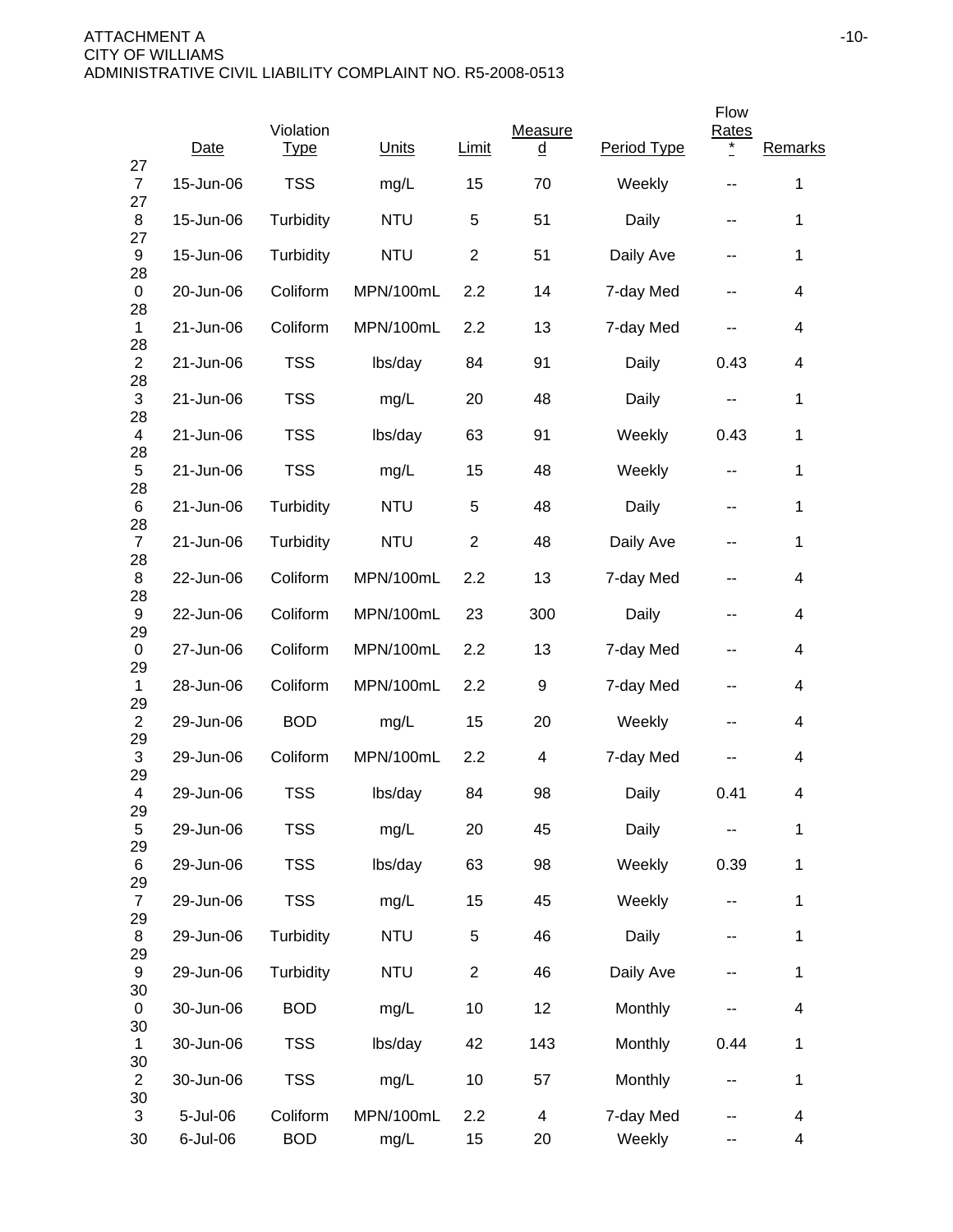|                                 |           |                          |            |                |                     |             | Flow                     |                          |
|---------------------------------|-----------|--------------------------|------------|----------------|---------------------|-------------|--------------------------|--------------------------|
| 27                              | Date      | Violation<br><b>Type</b> | Units      | <b>Limit</b>   | Measure<br><u>d</u> | Period Type | <b>Rates</b><br>$\ast$   | Remarks                  |
| $\overline{7}$<br>27            | 15-Jun-06 | <b>TSS</b>               | mg/L       | 15             | 70                  | Weekly      |                          | $\mathbf 1$              |
| 8<br>27                         | 15-Jun-06 | Turbidity                | <b>NTU</b> | 5              | 51                  | Daily       | --                       | 1                        |
| 9<br>28                         | 15-Jun-06 | Turbidity                | <b>NTU</b> | $\overline{2}$ | 51                  | Daily Ave   | --                       | $\mathbf 1$              |
| 0                               | 20-Jun-06 | Coliform                 | MPN/100mL  | 2.2            | 14                  | 7-day Med   | --                       | 4                        |
| 28<br>1                         | 21-Jun-06 | Coliform                 | MPN/100mL  | 2.2            | 13                  | 7-day Med   | --                       | 4                        |
| 28<br>$\overline{2}$            | 21-Jun-06 | <b>TSS</b>               | lbs/day    | 84             | 91                  | Daily       | 0.43                     | 4                        |
| 28<br>3                         | 21-Jun-06 | <b>TSS</b>               | mg/L       | 20             | 48                  | Daily       | --                       | 1                        |
| 28<br>$\overline{\mathbf{4}}$   | 21-Jun-06 | <b>TSS</b>               | lbs/day    | 63             | 91                  | Weekly      | 0.43                     | 1                        |
| 28<br>5                         | 21-Jun-06 | <b>TSS</b>               | mg/L       | 15             | 48                  | Weekly      | $\overline{\phantom{a}}$ | 1                        |
| 28<br>6                         | 21-Jun-06 | Turbidity                | <b>NTU</b> | 5              | 48                  | Daily       | $\overline{\phantom{a}}$ | 1                        |
| 28<br>$\overline{7}$            | 21-Jun-06 | Turbidity                | <b>NTU</b> | $\overline{2}$ | 48                  | Daily Ave   | --                       | $\mathbf{1}$             |
| 28<br>8                         | 22-Jun-06 | Coliform                 | MPN/100mL  | 2.2            | 13                  | 7-day Med   | $\overline{\phantom{a}}$ | 4                        |
| 28<br>9                         | 22-Jun-06 | Coliform                 | MPN/100mL  | 23             | 300                 | Daily       | --                       | 4                        |
| 29<br>0                         | 27-Jun-06 | Coliform                 | MPN/100mL  | 2.2            | 13                  | 7-day Med   | --                       | 4                        |
| 29<br>1                         | 28-Jun-06 | Coliform                 | MPN/100mL  | 2.2            | 9                   | 7-day Med   | --                       | 4                        |
| 29<br>$\overline{2}$            | 29-Jun-06 | <b>BOD</b>               | mg/L       | 15             | 20                  | Weekly      | --                       | 4                        |
| 29<br>$\ensuremath{\mathsf{3}}$ | 29-Jun-06 | Coliform                 | MPN/100mL  | 2.2            | 4                   | 7-day Med   |                          | 4                        |
| 29<br>4                         | 29-Jun-06 | <b>TSS</b>               | lbs/day    | 84             | 98                  | Daily       | 0.41                     | 4                        |
| 29<br>5                         | 29-Jun-06 | <b>TSS</b>               | mg/L       | 20             | 45                  | Daily       |                          | $\mathbf 1$              |
| 29<br>6                         | 29-Jun-06 | <b>TSS</b>               | lbs/day    | 63             | 98                  | Weekly      | 0.39                     | $\mathbf 1$              |
| 29<br>$\overline{7}$            | 29-Jun-06 | <b>TSS</b>               | mg/L       | 15             | 45                  | Weekly      | ۰.                       | $\mathbf 1$              |
| 29<br>8                         | 29-Jun-06 | Turbidity                | <b>NTU</b> | 5              | 46                  | Daily       | --                       | 1                        |
| 29<br>9                         | 29-Jun-06 | Turbidity                | <b>NTU</b> | $\overline{c}$ | 46                  | Daily Ave   |                          | $\mathbf{1}$             |
| 30<br>0                         | 30-Jun-06 | <b>BOD</b>               | mg/L       | 10             | 12                  | Monthly     | --                       | $\overline{\mathcal{A}}$ |
| 30<br>$\mathbf{1}$              | 30-Jun-06 | <b>TSS</b>               | lbs/day    | 42             | 143                 | Monthly     | 0.44                     | $\mathbf 1$              |
| 30<br>$\overline{2}$            | 30-Jun-06 | <b>TSS</b>               | mg/L       | 10             | 57                  | Monthly     | --                       | $\mathbf 1$              |
| 30<br>3                         | 5-Jul-06  | Coliform                 | MPN/100mL  | 2.2            | 4                   | 7-day Med   | --                       | 4                        |
| 30                              | 6-Jul-06  | <b>BOD</b>               | mg/L       | 15             | 20                  | Weekly      | --                       | 4                        |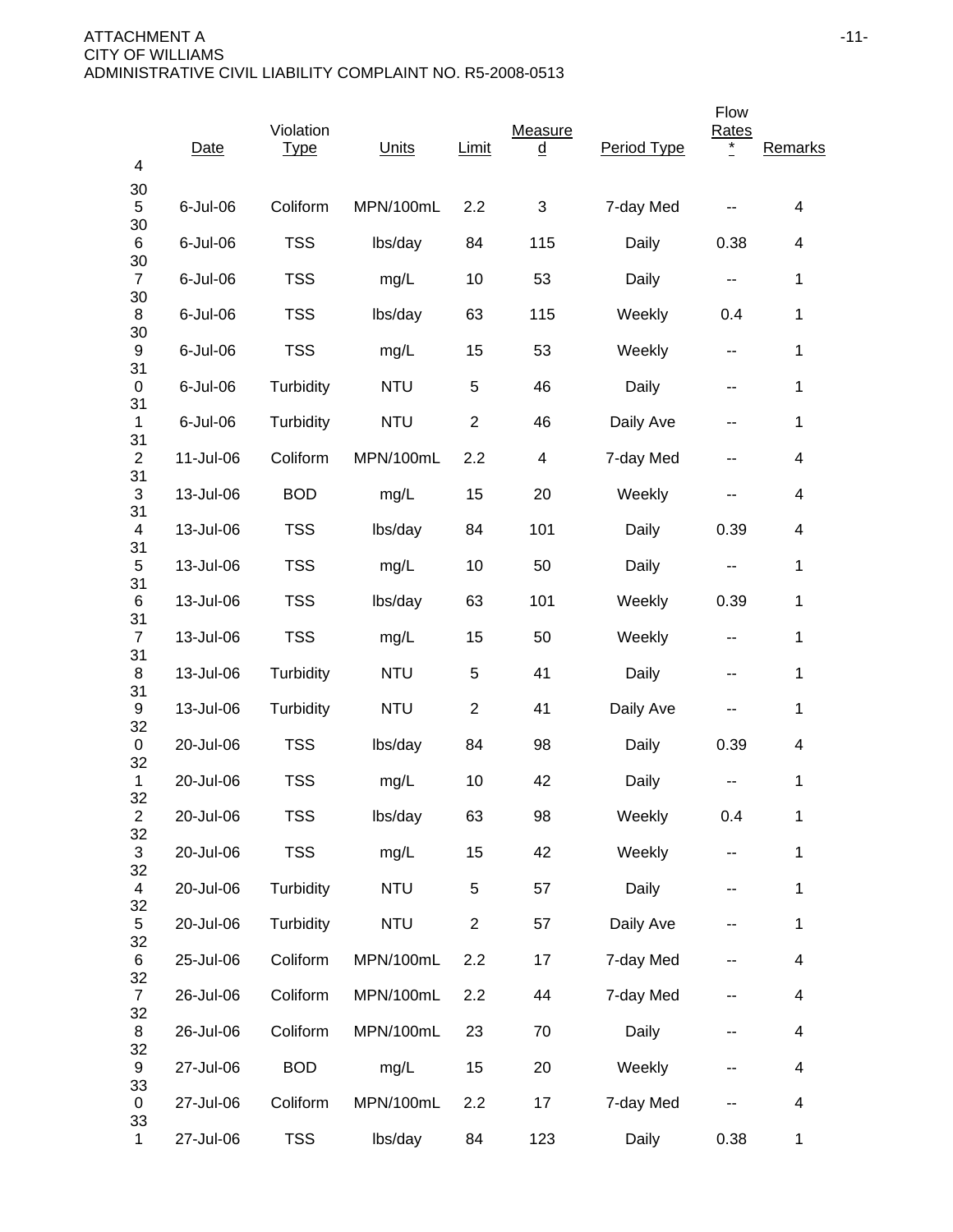| 4                                          | Date      | Violation<br><b>Type</b> | Units      | Limit          | Measure<br><u>d</u>       | Period Type | Flow<br>Rates<br>* | Remarks      |
|--------------------------------------------|-----------|--------------------------|------------|----------------|---------------------------|-------------|--------------------|--------------|
| 30<br>5                                    | 6-Jul-06  | Coliform                 | MPN/100mL  | 2.2            | $\ensuremath{\mathsf{3}}$ | 7-day Med   |                    | 4            |
| 30<br>6                                    | 6-Jul-06  | <b>TSS</b>               | lbs/day    | 84             | 115                       | Daily       | 0.38               | 4            |
| 30<br>$\overline{7}$                       | 6-Jul-06  | <b>TSS</b>               | mg/L       | 10             | 53                        | Daily       | --                 | 1            |
| 30<br>8<br>30<br>9<br>31<br>0              | 6-Jul-06  | <b>TSS</b>               | lbs/day    | 63             | 115                       | Weekly      | 0.4                | 1            |
|                                            | 6-Jul-06  | <b>TSS</b>               | mg/L       | 15             | 53                        | Weekly      | --                 | 1            |
|                                            | 6-Jul-06  | Turbidity                | <b>NTU</b> | 5              | 46                        | Daily       | --                 | 1            |
| 31<br>$\mathbf{1}$                         | 6-Jul-06  | Turbidity                | <b>NTU</b> | $\overline{2}$ | 46                        | Daily Ave   | --                 | 1            |
| 31<br>$\overline{2}$                       | 11-Jul-06 | Coliform                 | MPN/100mL  | 2.2            | 4                         | 7-day Med   |                    | 4            |
| 31<br>3                                    | 13-Jul-06 | <b>BOD</b>               | mg/L       | 15             | 20                        | Weekly      | --                 | 4            |
| 31<br>4                                    | 13-Jul-06 | <b>TSS</b>               | lbs/day    | 84             | 101                       | Daily       | 0.39               | 4            |
| 31<br>5                                    | 13-Jul-06 | <b>TSS</b>               | mg/L       | 10             | 50                        | Daily       | --                 | 1            |
| 31<br>6<br>31<br>$\overline{7}$<br>31<br>8 | 13-Jul-06 | <b>TSS</b>               | lbs/day    | 63             | 101                       | Weekly      | 0.39               | 1            |
|                                            | 13-Jul-06 | <b>TSS</b>               | mg/L       | 15             | 50                        | Weekly      | --                 | 1            |
|                                            | 13-Jul-06 | Turbidity                | <b>NTU</b> | 5              | 41                        | Daily       | --                 | 1            |
| 31<br>9                                    | 13-Jul-06 | Turbidity                | <b>NTU</b> | $\overline{2}$ | 41                        | Daily Ave   | --                 | 1            |
| 32<br>0                                    | 20-Jul-06 | <b>TSS</b>               | lbs/day    | 84             | 98                        | Daily       | 0.39               | 4            |
| 32<br>1                                    | 20-Jul-06 | <b>TSS</b>               | mg/L       | 10             | 42                        | Daily       |                    | 1            |
| 32<br>$\overline{c}$                       | 20-Jul-06 | <b>TSS</b>               | lbs/day    | 63             | 98                        | Weekly      | 0.4                | 1            |
| 32<br>$\mathfrak{S}$                       | 20-Jul-06 | <b>TSS</b>               | mg/L       | 15             | 42                        | Weekly      | ۰.                 | 1            |
| 32<br>$\overline{4}$                       | 20-Jul-06 | Turbidity                | <b>NTU</b> | $\sqrt{5}$     | 57                        | Daily       | --                 | 1            |
| 32<br>5                                    | 20-Jul-06 | Turbidity                | <b>NTU</b> | $\overline{c}$ | 57                        | Daily Ave   | --                 | 1            |
| 32<br>6                                    | 25-Jul-06 | Coliform                 | MPN/100mL  | 2.2            | 17                        | 7-day Med   | --                 | 4            |
| 32<br>$\overline{7}$                       | 26-Jul-06 | Coliform                 | MPN/100mL  | 2.2            | 44                        | 7-day Med   |                    | 4            |
| 32<br>8                                    | 26-Jul-06 | Coliform                 | MPN/100mL  | 23             | 70                        | Daily       | --                 | 4            |
| 32<br>9                                    | 27-Jul-06 | <b>BOD</b>               | mg/L       | 15             | 20                        | Weekly      | --                 | 4            |
| 33<br>0                                    | 27-Jul-06 | Coliform                 | MPN/100mL  | 2.2            | 17                        | 7-day Med   |                    | 4            |
| 33<br>$\mathbf 1$                          | 27-Jul-06 | <b>TSS</b>               | lbs/day    | 84             | 123                       | Daily       | 0.38               | $\mathbf{1}$ |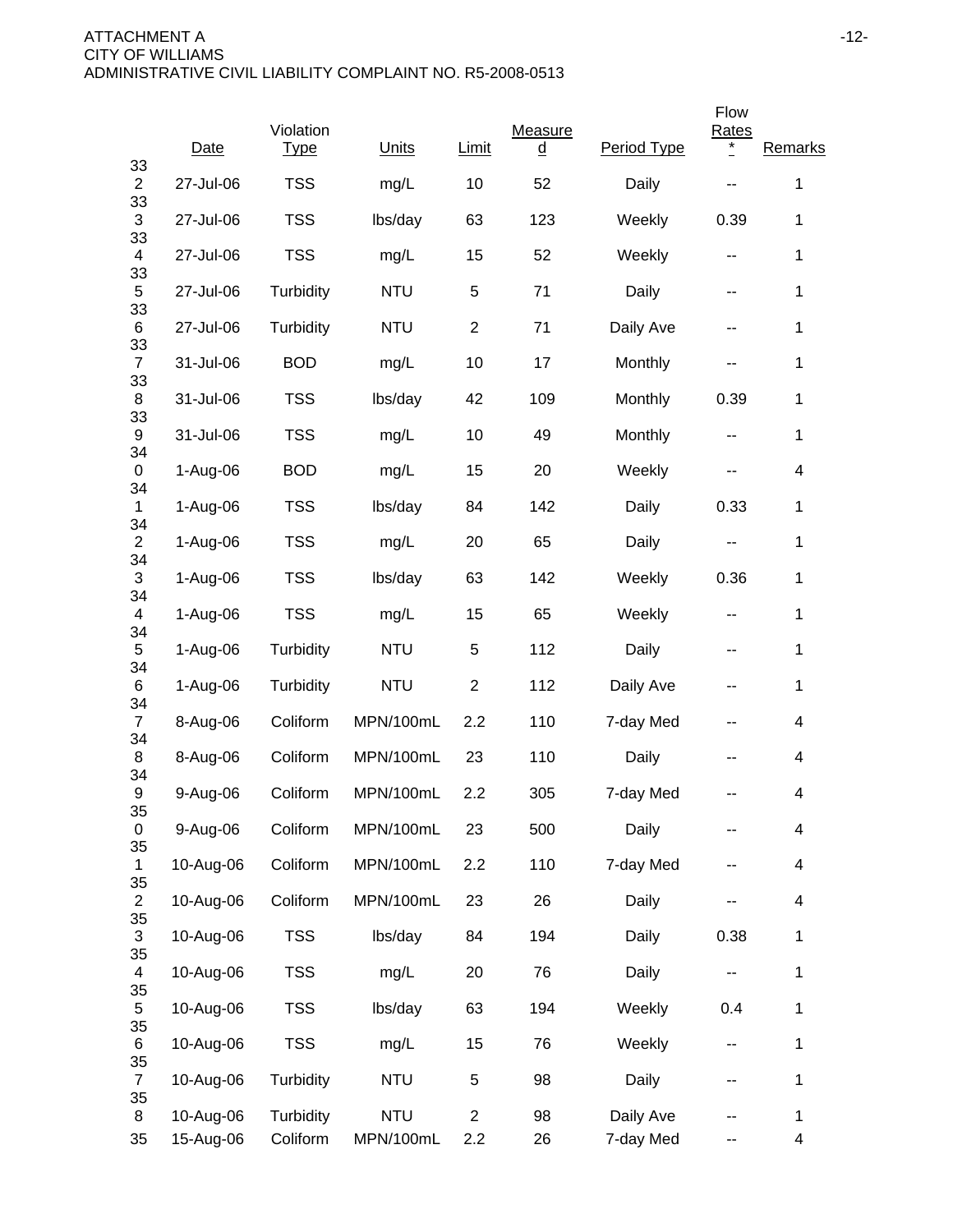|                      |                        |                          |                         |                       |                     |                        | Flow                     |                          |
|----------------------|------------------------|--------------------------|-------------------------|-----------------------|---------------------|------------------------|--------------------------|--------------------------|
| 33                   | Date                   | Violation<br><b>Type</b> | Units                   | <b>Limit</b>          | Measure<br><u>d</u> | Period Type            | <b>Rates</b><br>$\ast$   | Remarks                  |
| $\overline{2}$<br>33 | 27-Jul-06              | <b>TSS</b>               | mg/L                    | 10                    | 52                  | Daily                  |                          | $\mathbf 1$              |
| 3<br>33              | 27-Jul-06              | <b>TSS</b>               | lbs/day                 | 63                    | 123                 | Weekly                 | 0.39                     | 1                        |
| 4<br>33              | 27-Jul-06              | <b>TSS</b>               | mg/L                    | 15                    | 52                  | Weekly                 | --                       | 1                        |
| 5<br>33              | 27-Jul-06              | Turbidity                | <b>NTU</b>              | 5                     | 71                  | Daily                  | --                       | 1                        |
| 6<br>33              | 27-Jul-06              | Turbidity                | <b>NTU</b>              | $\overline{2}$        | 71                  | Daily Ave              | --                       | 1                        |
| $\overline{7}$       | 31-Jul-06              | <b>BOD</b>               | mg/L                    | 10                    | 17                  | Monthly                | --                       | 1                        |
| 33<br>8              | 31-Jul-06              | <b>TSS</b>               | lbs/day                 | 42                    | 109                 | Monthly                | 0.39                     | 1                        |
| 33<br>9              | 31-Jul-06              | <b>TSS</b>               | mg/L                    | 10                    | 49                  | Monthly                | $\overline{\phantom{a}}$ | 1                        |
| 34<br>0              | 1-Aug-06               | <b>BOD</b>               | mg/L                    | 15                    | 20                  | Weekly                 | --                       | 4                        |
| 34<br>$\mathbf{1}$   | 1-Aug-06               | <b>TSS</b>               | lbs/day                 | 84                    | 142                 | Daily                  | 0.33                     | 1                        |
| 34<br>$\overline{2}$ | 1-Aug-06               | <b>TSS</b>               | mg/L                    | 20                    | 65                  | Daily                  | --                       | $\mathbf 1$              |
| 34<br>3<br>34<br>4   | 1-Aug-06               | <b>TSS</b>               | lbs/day                 | 63                    | 142                 | Weekly                 | 0.36                     | $\mathbf 1$              |
|                      | 1-Aug-06               | <b>TSS</b>               | mg/L                    | 15                    | 65                  | Weekly                 | $\sim$ $\sim$            | 1                        |
| 34<br>$\mathbf 5$    | 1-Aug-06               | Turbidity                | <b>NTU</b>              | 5                     | 112                 | Daily                  | --                       | $\mathbf 1$              |
| 34<br>6              | 1-Aug-06               | Turbidity                | <b>NTU</b>              | $\overline{c}$        | 112                 | Daily Ave              | --                       | $\mathbf 1$              |
| 34<br>$\overline{7}$ | 8-Aug-06               | Coliform                 | MPN/100mL               | 2.2                   | 110                 | 7-day Med              | --                       | 4                        |
| 34<br>8              | 8-Aug-06               | Coliform                 | MPN/100mL               | 23                    | 110                 | Daily                  |                          | 4                        |
| 34<br>9              | 9-Aug-06               | Coliform                 | MPN/100mL               | 2.2                   | 305                 | 7-day Med              |                          | 4                        |
| 35<br>0              | 9-Aug-06               | Coliform                 | MPN/100mL               | 23                    | 500                 | Daily                  |                          | 4                        |
| 35<br>1              | 10-Aug-06              | Coliform                 | MPN/100mL               | 2.2                   | 110                 | 7-day Med              |                          | 4                        |
| 35<br>$\overline{c}$ | 10-Aug-06              | Coliform                 | MPN/100mL               | 23                    | 26                  | Daily                  | --                       | $\overline{\mathcal{A}}$ |
| 35<br>3              | 10-Aug-06              | <b>TSS</b>               | lbs/day                 | 84                    | 194                 | Daily                  | 0.38                     | 1                        |
| 35<br>4              | 10-Aug-06              | <b>TSS</b>               | mg/L                    | 20                    | 76                  | Daily                  | --                       | 1                        |
| 35<br>5              | 10-Aug-06              | <b>TSS</b>               | lbs/day                 | 63                    | 194                 | Weekly                 | 0.4                      | 1                        |
| 35<br>6              | 10-Aug-06              | <b>TSS</b>               | mg/L                    | 15                    | 76                  | Weekly                 | $\overline{\phantom{a}}$ | $\mathbf 1$              |
| 35<br>$\overline{7}$ | 10-Aug-06              | Turbidity                | <b>NTU</b>              | 5                     | 98                  | Daily                  | --                       | 1                        |
| 35<br>8<br>35        | 10-Aug-06<br>15-Aug-06 | Turbidity<br>Coliform    | <b>NTU</b><br>MPN/100mL | $\overline{2}$<br>2.2 | 98<br>26            | Daily Ave<br>7-day Med | --                       | 1<br>4                   |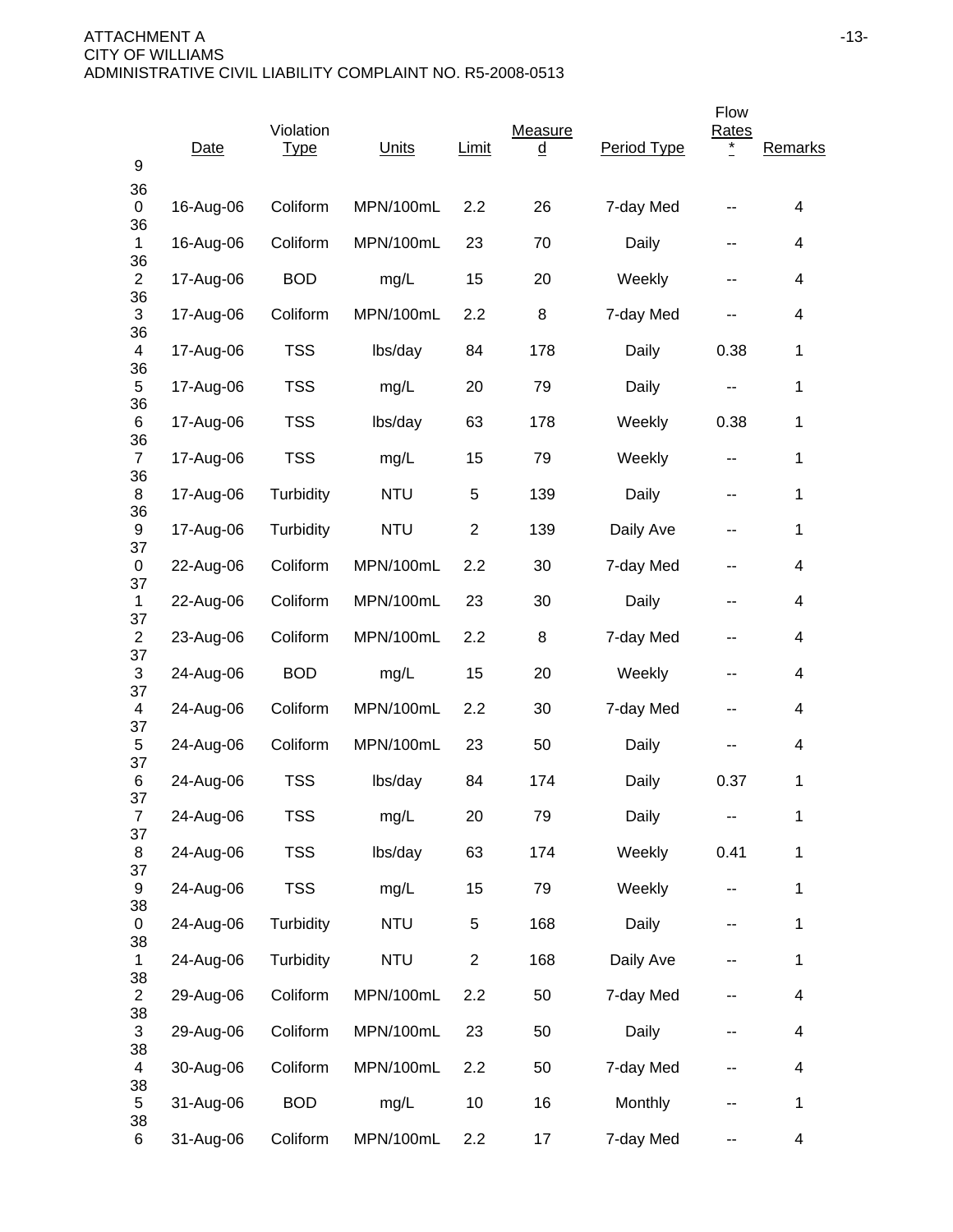| 9                    | Date      | Violation<br><u>Type</u> | Units      | Limit          | Measure<br><u>d</u> | Period Type | Flow<br>Rates | <b>Remarks</b> |
|----------------------|-----------|--------------------------|------------|----------------|---------------------|-------------|---------------|----------------|
| 36<br>0              | 16-Aug-06 | Coliform                 | MPN/100mL  | 2.2            | 26                  | 7-day Med   | --            | 4              |
| 36<br>$\mathbf 1$    | 16-Aug-06 | Coliform                 | MPN/100mL  | 23             | 70                  | Daily       | --            | 4              |
| 36<br>$\overline{c}$ | 17-Aug-06 | <b>BOD</b>               | mg/L       | 15             | 20                  | Weekly      | --            | 4              |
| 36<br>3              | 17-Aug-06 | Coliform                 | MPN/100mL  | 2.2            | 8                   | 7-day Med   | --            | 4              |
| 36<br>4              | 17-Aug-06 | <b>TSS</b>               | lbs/day    | 84             | 178                 | Daily       | 0.38          | 1              |
| 36<br>5              | 17-Aug-06 | <b>TSS</b>               | mg/L       | 20             | 79                  | Daily       | --            | 1              |
| 36<br>6              | 17-Aug-06 | <b>TSS</b>               | lbs/day    | 63             | 178                 | Weekly      | 0.38          | 1              |
| 36<br>$\overline{7}$ | 17-Aug-06 | <b>TSS</b>               | mg/L       | 15             | 79                  | Weekly      | --            | 1              |
| 36<br>8              | 17-Aug-06 | Turbidity                | <b>NTU</b> | 5              | 139                 | Daily       | --            | 1              |
| 36<br>9              | 17-Aug-06 | Turbidity                | <b>NTU</b> | $\overline{2}$ | 139                 | Daily Ave   |               | $\mathbf{1}$   |
| 37<br>0              | 22-Aug-06 | Coliform                 | MPN/100mL  | 2.2            | 30                  | 7-day Med   |               | 4              |
| 37<br>1              | 22-Aug-06 | Coliform                 | MPN/100mL  | 23             | 30                  | Daily       | --            | 4              |
| 37<br>$\overline{c}$ | 23-Aug-06 | Coliform                 | MPN/100mL  | 2.2            | 8                   | 7-day Med   | --            | 4              |
| 37<br>3              | 24-Aug-06 | <b>BOD</b>               | mg/L       | 15             | 20                  | Weekly      | --            | 4              |
| 37<br>4              | 24-Aug-06 | Coliform                 | MPN/100mL  | 2.2            | 30                  | 7-day Med   | --            | 4              |
| 37<br>5              | 24-Aug-06 | Coliform                 | MPN/100mL  | 23             | 50                  | Daily       |               | 4              |
| 37<br>6              | 24-Aug-06 | <b>TSS</b>               | lbs/day    | 84             | 174                 | Daily       | 0.37          | $\mathbf{1}$   |
| 37<br>$\overline{7}$ | 24-Aug-06 | <b>TSS</b>               | mg/L       | 20             | 79                  | Daily       |               | $\mathbf 1$    |
| 37<br>8              | 24-Aug-06 | <b>TSS</b>               | lbs/day    | 63             | 174                 | Weekly      | 0.41          | $\mathbf 1$    |
| 37<br>9              | 24-Aug-06 | <b>TSS</b>               | mg/L       | 15             | 79                  | Weekly      | --            | $\mathbf 1$    |
| 38<br>0              | 24-Aug-06 | Turbidity                | <b>NTU</b> | 5              | 168                 | Daily       | --            | $\mathbf 1$    |
| 38<br>$\mathbf{1}$   | 24-Aug-06 | Turbidity                | <b>NTU</b> | $\overline{2}$ | 168                 | Daily Ave   | --            | $\mathbf 1$    |
| 38<br>$\overline{2}$ | 29-Aug-06 | Coliform                 | MPN/100mL  | 2.2            | 50                  | 7-day Med   |               | 4              |
| 38<br>$\mathbf{3}$   | 29-Aug-06 | Coliform                 | MPN/100mL  | 23             | 50                  | Daily       |               | 4              |
| 38<br>4              | 30-Aug-06 | Coliform                 | MPN/100mL  | 2.2            | 50                  | 7-day Med   | --            | 4              |
| 38<br>5              | 31-Aug-06 | <b>BOD</b>               | mg/L       | 10             | 16                  | Monthly     |               | $\mathbf 1$    |
| 38<br>6              | 31-Aug-06 | Coliform                 | MPN/100mL  | 2.2            | 17                  | 7-day Med   | --            | 4              |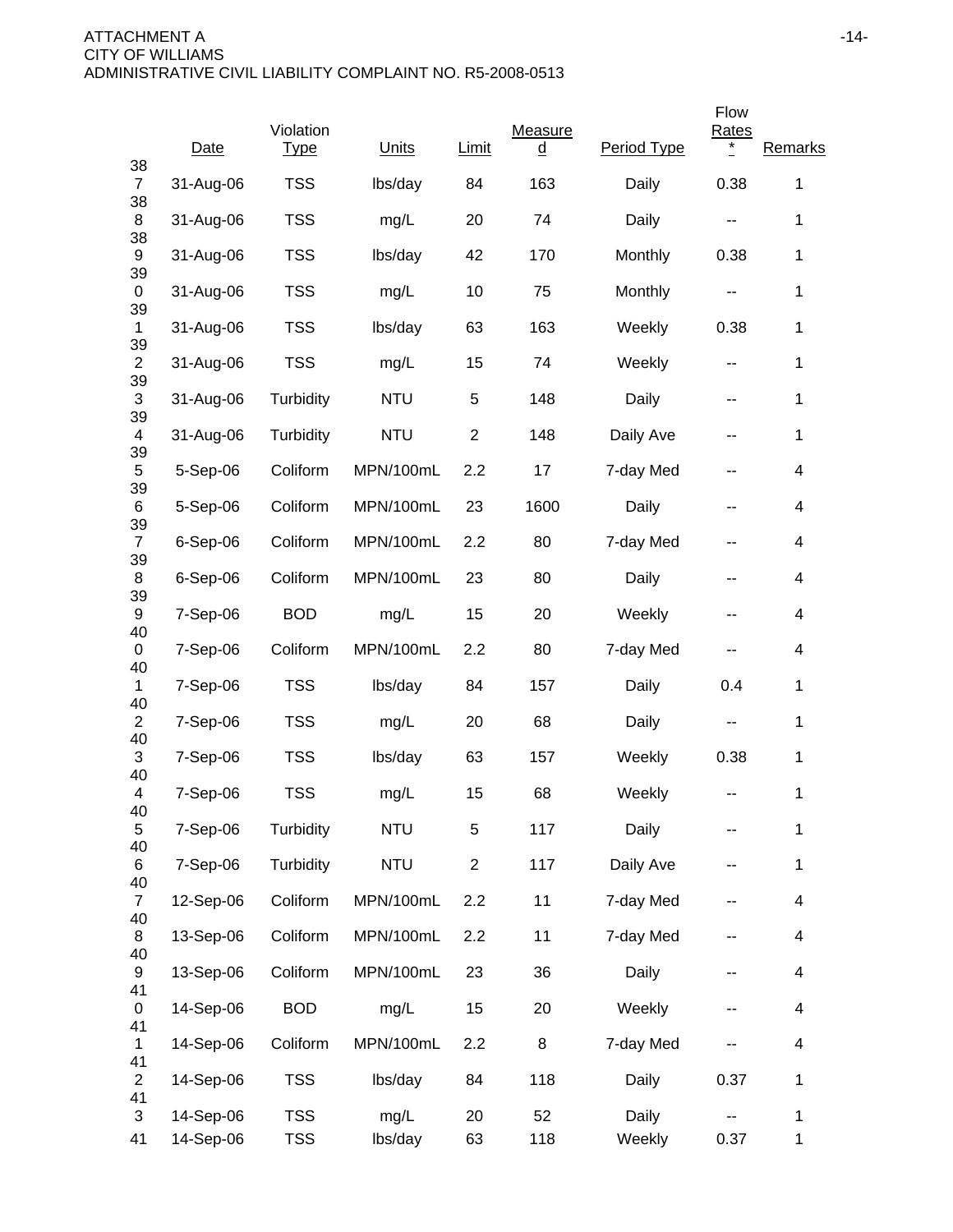|                            |            |                          |            |                |                     |             | Flow                     |             |
|----------------------------|------------|--------------------------|------------|----------------|---------------------|-------------|--------------------------|-------------|
| 38                         | Date       | Violation<br><b>Type</b> | Units      | <b>Limit</b>   | Measure<br><u>d</u> | Period Type | <b>Rates</b><br>$\ast$   | Remarks     |
| $\overline{7}$<br>38       | 31-Aug-06  | <b>TSS</b>               | lbs/day    | 84             | 163                 | Daily       | 0.38                     | $\mathbf 1$ |
| 8<br>38                    | 31-Aug-06  | <b>TSS</b>               | mg/L       | 20             | 74                  | Daily       | --                       | 1           |
| 9                          | 31-Aug-06  | <b>TSS</b>               | lbs/day    | 42             | 170                 | Monthly     | 0.38                     | $\mathbf 1$ |
| 39<br>0                    | 31-Aug-06  | <b>TSS</b>               | mg/L       | 10             | 75                  | Monthly     |                          | 1           |
| 39<br>$\mathbf{1}$         | 31-Aug-06  | <b>TSS</b>               | lbs/day    | 63             | 163                 | Weekly      | 0.38                     | 1           |
| 39<br>$\overline{c}$       | 31-Aug-06  | <b>TSS</b>               | mg/L       | 15             | 74                  | Weekly      | $\overline{\phantom{a}}$ | $\mathbf 1$ |
| 39<br>3                    | 31-Aug-06  | Turbidity                | <b>NTU</b> | 5              | 148                 | Daily       | --                       | 1           |
| 39<br>4                    | 31-Aug-06  | Turbidity                | <b>NTU</b> | $\overline{2}$ | 148                 | Daily Ave   | --                       | 1           |
| 39<br>5                    | 5-Sep-06   | Coliform                 | MPN/100mL  | 2.2            | 17                  | 7-day Med   | --                       | 4           |
| 39<br>6                    | 5-Sep-06   | Coliform                 | MPN/100mL  | 23             | 1600                | Daily       | --                       | 4           |
| 39<br>$\overline{7}$       | $6-Sep-06$ | Coliform                 | MPN/100mL  | 2.2            | 80                  | 7-day Med   | --                       | 4           |
| 39<br>8                    | $6-Sep-06$ | Coliform                 | MPN/100mL  | 23             | 80                  | Daily       | --                       | 4           |
| 39<br>9                    | 7-Sep-06   | <b>BOD</b>               | mg/L       | 15             | 20                  | Weekly      | --                       | 4           |
| 40<br>0                    | 7-Sep-06   | Coliform                 | MPN/100mL  | 2.2            | 80                  | 7-day Med   |                          | 4           |
| 40<br>1                    | 7-Sep-06   | <b>TSS</b>               | lbs/day    | 84             | 157                 | Daily       | 0.4                      | 1           |
| 40<br>$\overline{2}$       | 7-Sep-06   | <b>TSS</b>               | mg/L       | 20             | 68                  | Daily       |                          | $\mathbf 1$ |
| 40<br>3                    | 7-Sep-06   | <b>TSS</b>               | lbs/day    | 63             | 157                 | Weekly      | 0.38                     | $\mathbf 1$ |
| 40<br>4                    | 7-Sep-06   | <b>TSS</b>               | mg/L       | 15             | 68                  | Weekly      |                          | 1           |
| 40<br>5                    | 7-Sep-06   | Turbidity                | <b>NTU</b> | 5              | 117                 | Daily       |                          | 1           |
| 40<br>6                    | 7-Sep-06   | Turbidity                | <b>NTU</b> | $\overline{c}$ | 117                 | Daily Ave   |                          | $\mathbf 1$ |
| 40<br>$\overline{7}$<br>40 | 12-Sep-06  | Coliform                 | MPN/100mL  | 2.2            | 11                  | 7-day Med   | --                       | 4           |
| 8<br>40                    | 13-Sep-06  | Coliform                 | MPN/100mL  | 2.2            | 11                  | 7-day Med   | --                       | 4           |
| 9<br>41                    | 13-Sep-06  | Coliform                 | MPN/100mL  | 23             | 36                  | Daily       |                          | 4           |
| 0<br>41                    | 14-Sep-06  | <b>BOD</b>               | mg/L       | 15             | 20                  | Weekly      | --                       | 4           |
| $\mathbf{1}$<br>41         | 14-Sep-06  | Coliform                 | MPN/100mL  | 2.2            | 8                   | 7-day Med   | --                       | 4           |
| $\overline{2}$<br>41       | 14-Sep-06  | <b>TSS</b>               | lbs/day    | 84             | 118                 | Daily       | 0.37                     | 1           |
| 3                          | 14-Sep-06  | <b>TSS</b>               | mg/L       | 20             | 52                  | Daily       |                          | 1           |
| 41                         | 14-Sep-06  | <b>TSS</b>               | lbs/day    | 63             | 118                 | Weekly      | 0.37                     | $\mathbf 1$ |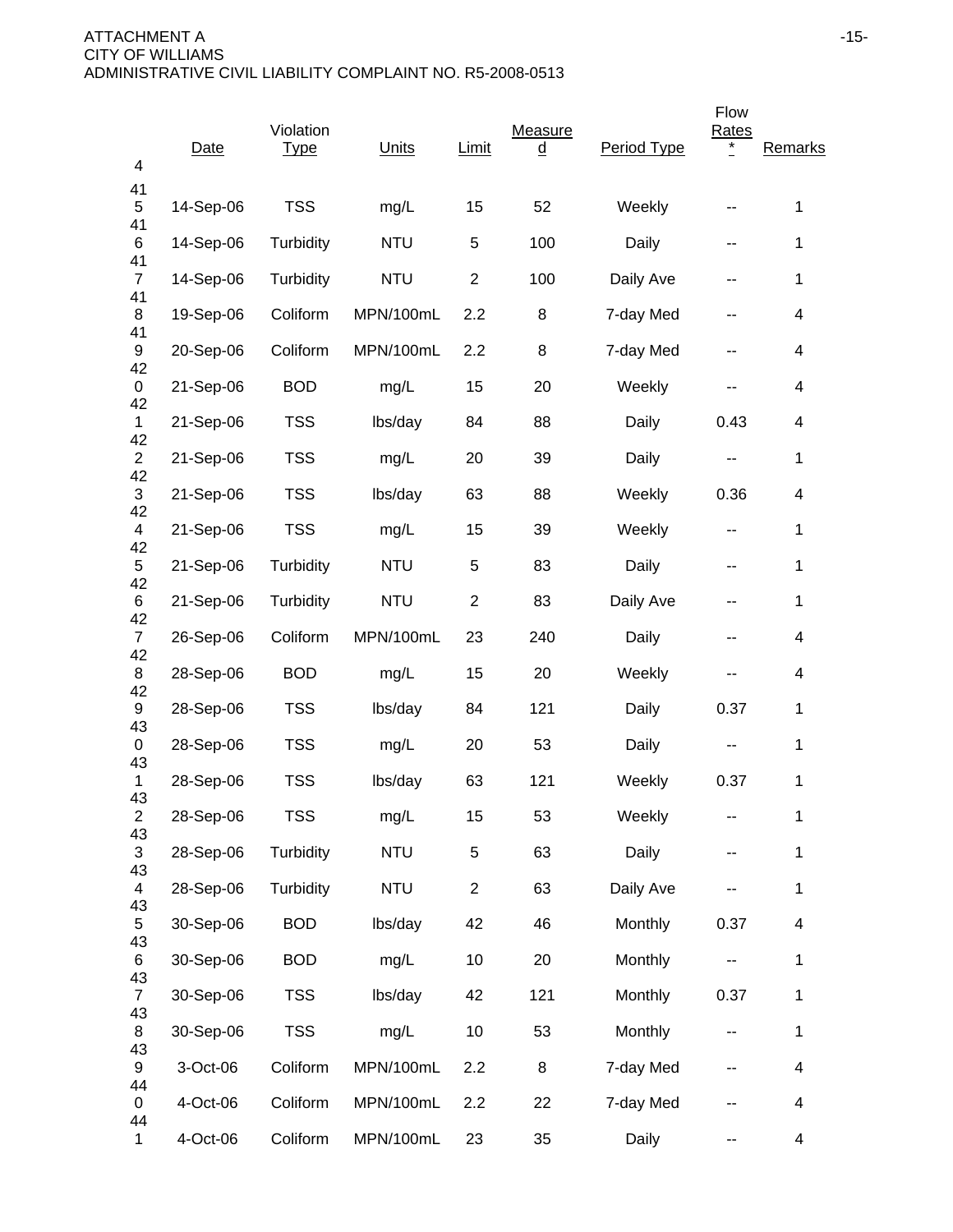| 4                          | Date      | Violation<br><b>Type</b> | Units      | Limit          | Measure<br><u>d</u> | Period Type | Flow<br>Rates            | Remarks |
|----------------------------|-----------|--------------------------|------------|----------------|---------------------|-------------|--------------------------|---------|
| 41<br>5                    | 14-Sep-06 | <b>TSS</b>               | mg/L       | 15             | 52                  | Weekly      |                          | 1       |
| 41<br>6                    | 14-Sep-06 | Turbidity                | <b>NTU</b> | 5              | 100                 | Daily       | --                       | 1       |
| 41<br>$\overline{7}$       | 14-Sep-06 | Turbidity                | <b>NTU</b> | $\overline{2}$ | 100                 | Daily Ave   | --                       | 1       |
| 41<br>8                    | 19-Sep-06 | Coliform                 | MPN/100mL  | 2.2            | 8                   | 7-day Med   |                          | 4       |
| 41<br>9                    | 20-Sep-06 | Coliform                 | MPN/100mL  | 2.2            | 8                   | 7-day Med   | --                       | 4       |
| 42<br>0                    | 21-Sep-06 | <b>BOD</b>               | mg/L       | 15             | 20                  | Weekly      |                          | 4       |
| 42<br>$\mathbf{1}$         | 21-Sep-06 | <b>TSS</b>               | lbs/day    | 84             | 88                  | Daily       | 0.43                     | 4       |
| 42<br>$\overline{2}$<br>42 | 21-Sep-06 | <b>TSS</b>               | mg/L       | 20             | 39                  | Daily       | --                       | 1       |
| 3<br>42                    | 21-Sep-06 | <b>TSS</b>               | lbs/day    | 63             | 88                  | Weekly      | 0.36                     | 4       |
| 4<br>42                    | 21-Sep-06 | <b>TSS</b>               | mg/L       | 15             | 39                  | Weekly      | --                       | 1       |
| 5<br>42                    | 21-Sep-06 | Turbidity                | <b>NTU</b> | 5              | 83                  | Daily       | --                       | 1       |
| 6<br>42                    | 21-Sep-06 | Turbidity                | <b>NTU</b> | $\overline{2}$ | 83                  | Daily Ave   | --                       | 1       |
| $\overline{7}$<br>42       | 26-Sep-06 | Coliform                 | MPN/100mL  | 23             | 240                 | Daily       | --                       | 4       |
| 8<br>42                    | 28-Sep-06 | <b>BOD</b>               | mg/L       | 15             | 20                  | Weekly      | --                       | 4       |
| 9<br>43                    | 28-Sep-06 | <b>TSS</b>               | lbs/day    | 84             | 121                 | Daily       | 0.37                     | 1       |
| 0<br>43                    | 28-Sep-06 | <b>TSS</b>               | mg/L       | 20             | 53                  | Daily       | ۰.                       | 1       |
| 1<br>43                    | 28-Sep-06 | <b>TSS</b>               | lbs/day    | 63             | 121                 | Weekly      | 0.37                     | 1       |
| $\overline{c}$<br>43       | 28-Sep-06 | <b>TSS</b>               | mg/L       | 15             | 53                  | Weekly      | --                       | 1       |
| 3<br>43                    | 28-Sep-06 | Turbidity                | <b>NTU</b> | 5              | 63                  | Daily       | --                       | 1       |
| $\overline{4}$<br>43       | 28-Sep-06 | Turbidity                | <b>NTU</b> | $\overline{2}$ | 63                  | Daily Ave   |                          | 1       |
| 5<br>43                    | 30-Sep-06 | <b>BOD</b>               | lbs/day    | 42             | 46                  | Monthly     | 0.37                     | 4       |
| 6<br>43                    | 30-Sep-06 | <b>BOD</b>               | mg/L       | 10             | 20                  | Monthly     | $\overline{\phantom{m}}$ | 1       |
| $\overline{7}$<br>43       | 30-Sep-06 | <b>TSS</b>               | lbs/day    | 42             | 121                 | Monthly     | 0.37                     | 1       |
| 8<br>43                    | 30-Sep-06 | <b>TSS</b>               | mg/L       | 10             | 53                  | Monthly     | ۰.                       | 1       |
| 9<br>44                    | 3-Oct-06  | Coliform                 | MPN/100mL  | 2.2            | 8                   | 7-day Med   | --                       | 4       |
| 0<br>44                    | 4-Oct-06  | Coliform                 | MPN/100mL  | 2.2            | 22                  | 7-day Med   |                          | 4       |
| 1                          | 4-Oct-06  | Coliform                 | MPN/100mL  | 23             | 35                  | Daily       | --                       | 4       |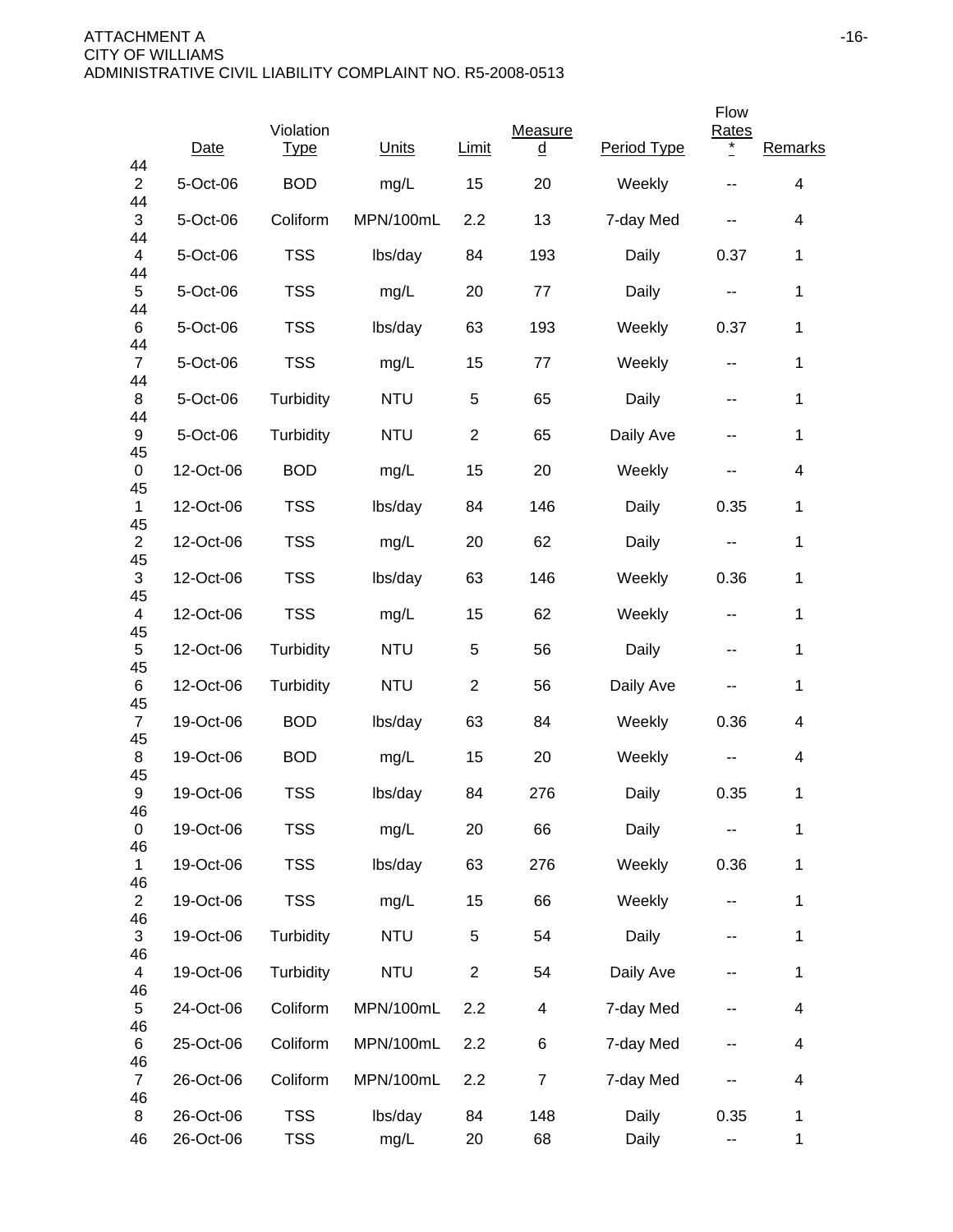|                               |           | Violation   |            |                | Measure  |             | Flow<br><b>Rates</b>     |                          |
|-------------------------------|-----------|-------------|------------|----------------|----------|-------------|--------------------------|--------------------------|
| 44                            | Date      | <b>Type</b> | Units      | <b>Limit</b>   | <u>d</u> | Period Type | $^{\star}$               | Remarks                  |
| $\overline{2}$<br>44          | 5-Oct-06  | <b>BOD</b>  | mg/L       | 15             | 20       | Weekly      |                          | 4                        |
| 3<br>44                       | 5-Oct-06  | Coliform    | MPN/100mL  | 2.2            | 13       | 7-day Med   | --                       | 4                        |
| $\overline{\mathbf{4}}$<br>44 | 5-Oct-06  | <b>TSS</b>  | lbs/day    | 84             | 193      | Daily       | 0.37                     | $\mathbf 1$              |
| $\sqrt{5}$<br>44              | 5-Oct-06  | <b>TSS</b>  | mg/L       | 20             | 77       | Daily       | ۰.                       | 1                        |
| 6<br>44                       | 5-Oct-06  | <b>TSS</b>  | lbs/day    | 63             | 193      | Weekly      | 0.37                     | 1                        |
| $\overline{7}$<br>44          | 5-Oct-06  | <b>TSS</b>  | mg/L       | 15             | 77       | Weekly      | $\sim$ $\sim$            | 1                        |
| 8<br>44                       | 5-Oct-06  | Turbidity   | <b>NTU</b> | 5              | 65       | Daily       | $\sim$ $\sim$            | 1                        |
| 9<br>45                       | 5-Oct-06  | Turbidity   | <b>NTU</b> | $\overline{2}$ | 65       | Daily Ave   | $\sim$ $\sim$            | 1                        |
| 0<br>45                       | 12-Oct-06 | <b>BOD</b>  | mg/L       | 15             | 20       | Weekly      | н.                       | 4                        |
| $\mathbf 1$                   | 12-Oct-06 | <b>TSS</b>  | lbs/day    | 84             | 146      | Daily       | 0.35                     | 1                        |
| 45<br>$\overline{2}$          | 12-Oct-06 | <b>TSS</b>  | mg/L       | 20             | 62       | Daily       | $\overline{a}$           | $\mathbf 1$              |
| 45<br>3                       | 12-Oct-06 | <b>TSS</b>  | lbs/day    | 63             | 146      | Weekly      | 0.36                     | $\mathbf 1$              |
| 45<br>$\overline{4}$          | 12-Oct-06 | <b>TSS</b>  | mg/L       | 15             | 62       | Weekly      | $\sim$ $\sim$            | 1                        |
| 45<br>5                       | 12-Oct-06 | Turbidity   | <b>NTU</b> | 5              | 56       | Daily       | $\overline{\phantom{a}}$ | 1                        |
| 45<br>6                       | 12-Oct-06 | Turbidity   | <b>NTU</b> | $\overline{c}$ | 56       | Daily Ave   | --                       | $\mathbf 1$              |
| 45<br>$\overline{7}$          | 19-Oct-06 | <b>BOD</b>  | lbs/day    | 63             | 84       | Weekly      | 0.36                     | 4                        |
| 45<br>8                       | 19-Oct-06 | <b>BOD</b>  | mg/L       | 15             | 20       | Weekly      |                          | 4                        |
| 45<br>9                       | 19-Oct-06 | <b>TSS</b>  | lbs/day    | 84             | 276      | Daily       | 0.35                     | 1                        |
| 46<br>0                       | 19-Oct-06 | <b>TSS</b>  | mg/L       | 20             | 66       | Daily       |                          | 1                        |
| 46<br>1                       | 19-Oct-06 | <b>TSS</b>  | lbs/day    | 63             | 276      | Weekly      | 0.36                     | $\mathbf 1$              |
| 46<br>$\overline{c}$          | 19-Oct-06 | <b>TSS</b>  | mg/L       | 15             | 66       | Weekly      | --                       | 1                        |
| 46<br>3                       | 19-Oct-06 | Turbidity   | <b>NTU</b> | 5              | 54       | Daily       | --                       | 1                        |
| 46<br>4                       | 19-Oct-06 | Turbidity   | <b>NTU</b> | $\overline{c}$ | 54       | Daily Ave   |                          | 1                        |
| 46<br>5                       | 24-Oct-06 | Coliform    | MPN/100mL  | 2.2            | 4        | 7-day Med   | --                       | $\overline{\mathcal{A}}$ |
| 46<br>6                       | 25-Oct-06 | Coliform    | MPN/100mL  | 2.2            | 6        | 7-day Med   | --                       | $\overline{\mathcal{A}}$ |
| 46<br>$\overline{7}$<br>46    | 26-Oct-06 | Coliform    | MPN/100mL  | 2.2            | 7        | 7-day Med   |                          | $\overline{\mathcal{A}}$ |
| 8                             | 26-Oct-06 | <b>TSS</b>  | lbs/day    | 84             | 148      | Daily       | 0.35                     | 1                        |
| 46                            | 26-Oct-06 | <b>TSS</b>  | mg/L       | 20             | 68       | Daily       | ۰.                       | $\mathbf{1}$             |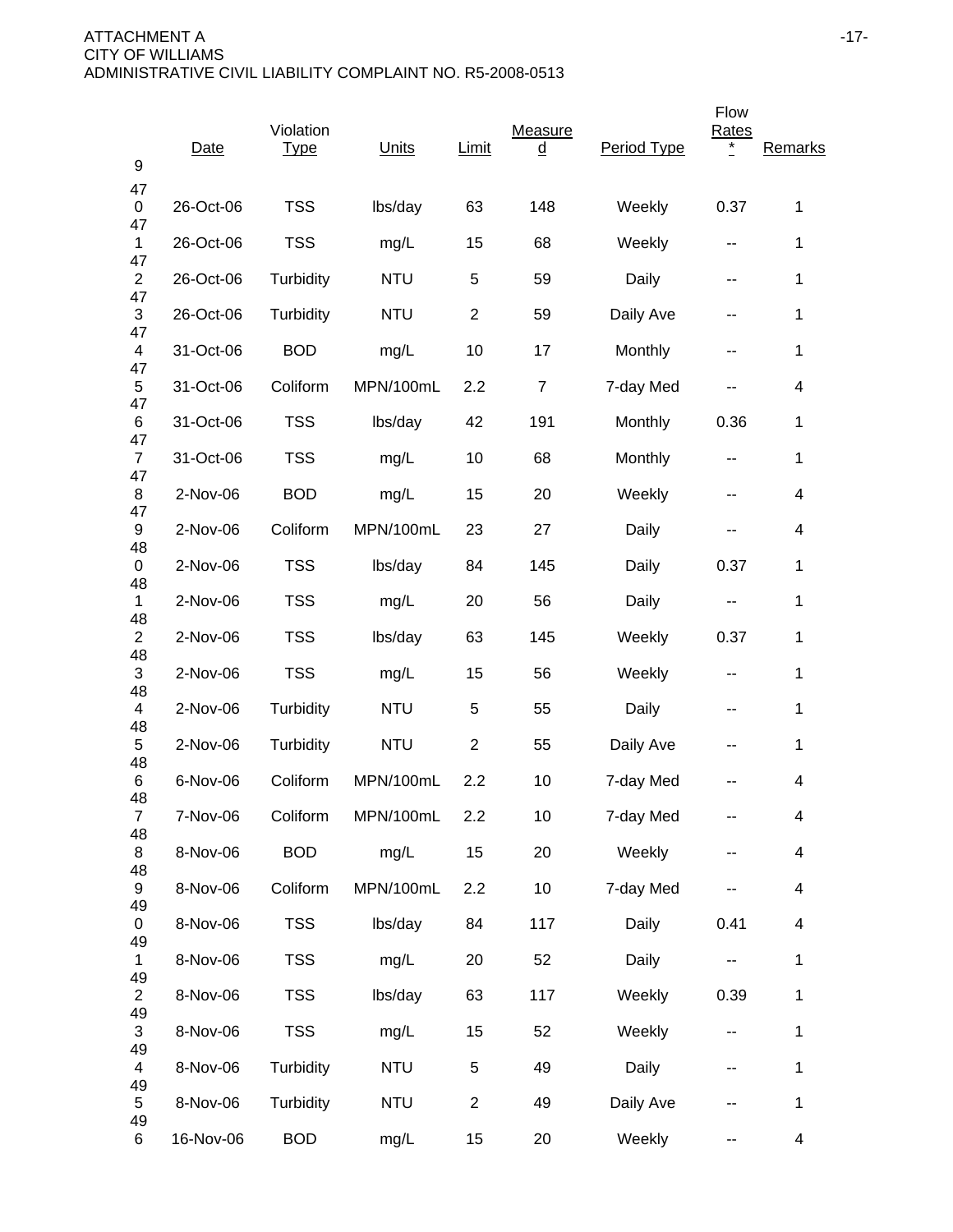| 9                             | Date      | Violation<br><b>Type</b> | Units      | Limit          | Measure<br><u>d</u> | Period Type | Flow<br><b>Rates</b><br>* | Remarks                  |
|-------------------------------|-----------|--------------------------|------------|----------------|---------------------|-------------|---------------------------|--------------------------|
| 47<br>0                       | 26-Oct-06 | <b>TSS</b>               | lbs/day    | 63             | 148                 | Weekly      | 0.37                      | 1                        |
| 47<br>$\mathbf{1}$            | 26-Oct-06 | <b>TSS</b>               | mg/L       | 15             | 68                  | Weekly      | --                        | 1                        |
| 47<br>$\overline{2}$          | 26-Oct-06 | Turbidity                | <b>NTU</b> | 5              | 59                  | Daily       | $\overline{\phantom{a}}$  | 1                        |
| 47<br>3                       | 26-Oct-06 | Turbidity                | <b>NTU</b> | $\overline{c}$ | 59                  | Daily Ave   | --                        | 1                        |
| 47<br>$\overline{4}$          | 31-Oct-06 | <b>BOD</b>               | mg/L       | 10             | 17                  | Monthly     | --                        | $\mathbf{1}$             |
| 47<br>5                       | 31-Oct-06 | Coliform                 | MPN/100mL  | 2.2            | $\overline{7}$      | 7-day Med   |                           | 4                        |
| 47<br>6                       | 31-Oct-06 | <b>TSS</b>               | lbs/day    | 42             | 191                 | Monthly     | 0.36                      | 1                        |
| 47<br>$\overline{7}$          | 31-Oct-06 | <b>TSS</b>               | mg/L       | 10             | 68                  | Monthly     | --                        | $\mathbf{1}$             |
| 47<br>8                       | 2-Nov-06  | <b>BOD</b>               | mg/L       | 15             | 20                  | Weekly      | --                        | $\overline{\mathcal{A}}$ |
| 47<br>9<br>48                 | 2-Nov-06  | Coliform                 | MPN/100mL  | 23             | 27                  | Daily       | --                        | 4                        |
| 0<br>48                       | 2-Nov-06  | <b>TSS</b>               | lbs/day    | 84             | 145                 | Daily       | 0.37                      | 1                        |
| $\mathbf{1}$<br>48            | 2-Nov-06  | <b>TSS</b>               | mg/L       | 20             | 56                  | Daily       | --                        | 1                        |
| $\overline{c}$<br>48          | 2-Nov-06  | <b>TSS</b>               | lbs/day    | 63             | 145                 | Weekly      | 0.37                      | 1                        |
| 3<br>48                       | 2-Nov-06  | <b>TSS</b>               | mg/L       | 15             | 56                  | Weekly      | $\sim$ $\sim$             | 1                        |
| $\overline{\mathbf{4}}$<br>48 | 2-Nov-06  | Turbidity                | <b>NTU</b> | 5              | 55                  | Daily       | --                        | 1                        |
| 5<br>48                       | 2-Nov-06  | Turbidity                | <b>NTU</b> | $\overline{2}$ | 55                  | Daily Ave   | --                        | 1                        |
| 6<br>48                       | 6-Nov-06  | Coliform                 | MPN/100mL  | 2.2            | 10                  | 7-day Med   |                           | 4                        |
| $\overline{7}$<br>48          | 7-Nov-06  | Coliform                 | MPN/100mL  | 2.2            | 10                  | 7-day Med   |                           | 4                        |
| 8<br>48                       | 8-Nov-06  | <b>BOD</b>               | mg/L       | 15             | 20                  | Weekly      | --                        | $\overline{\mathbf{4}}$  |
| 9<br>49                       | 8-Nov-06  | Coliform                 | MPN/100mL  | 2.2            | 10                  | 7-day Med   |                           | $\overline{\mathcal{A}}$ |
| 0<br>49                       | 8-Nov-06  | <b>TSS</b>               | lbs/day    | 84             | 117                 | Daily       | 0.41                      | $\overline{\mathcal{A}}$ |
| $\mathbf{1}$<br>49            | 8-Nov-06  | <b>TSS</b>               | mg/L       | 20             | 52                  | Daily       | $\overline{\phantom{a}}$  | $\mathbf 1$              |
| $\overline{c}$<br>49          | 8-Nov-06  | <b>TSS</b>               | lbs/day    | 63             | 117                 | Weekly      | 0.39                      | $\mathbf 1$              |
| 3<br>49                       | 8-Nov-06  | <b>TSS</b>               | mg/L       | 15             | 52                  | Weekly      | $\overline{\phantom{m}}$  | $\mathbf 1$              |
| 4<br>49                       | 8-Nov-06  | Turbidity                | <b>NTU</b> | 5              | 49                  | Daily       | $\overline{\phantom{a}}$  | $\mathbf{1}$             |
| 5<br>49                       | 8-Nov-06  | Turbidity                | <b>NTU</b> | $\overline{c}$ | 49                  | Daily Ave   | --                        | $\mathbf{1}$             |
| 6                             | 16-Nov-06 | <b>BOD</b>               | mg/L       | 15             | 20                  | Weekly      | --                        | $\overline{\mathcal{A}}$ |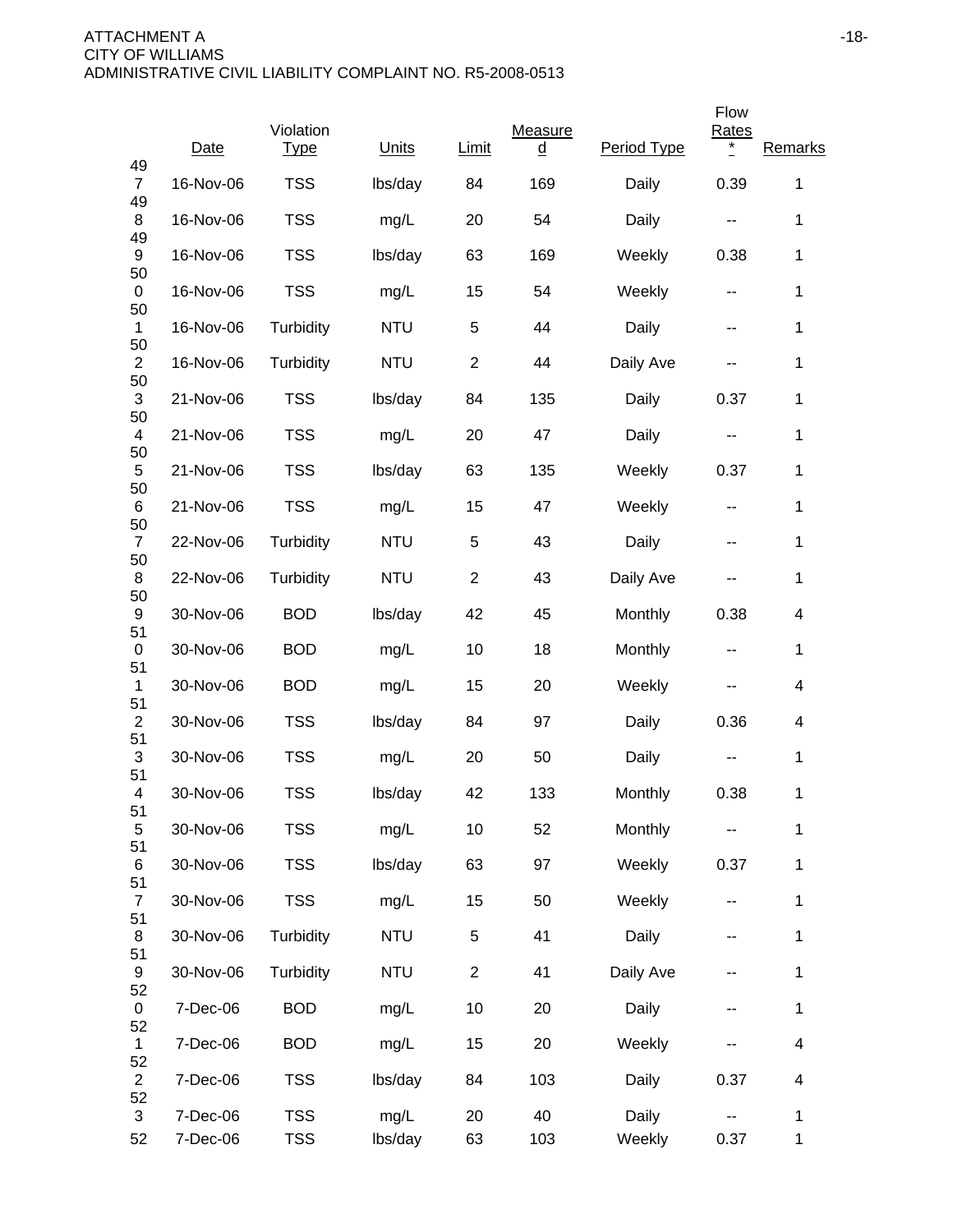|                      |           |                          |            |                |                     |             | Flow                     |                          |
|----------------------|-----------|--------------------------|------------|----------------|---------------------|-------------|--------------------------|--------------------------|
| 49                   | Date      | Violation<br><u>Type</u> | Units      | Limit          | Measure<br><u>d</u> | Period Type | <b>Rates</b><br>$\ast$   | Remarks                  |
| $\overline{7}$       | 16-Nov-06 | <b>TSS</b>               | lbs/day    | 84             | 169                 | Daily       | 0.39                     | $\mathbf 1$              |
| 49<br>8              | 16-Nov-06 | <b>TSS</b>               | mg/L       | 20             | 54                  | Daily       | ۰.                       | 1                        |
| 49<br>9              | 16-Nov-06 | <b>TSS</b>               | lbs/day    | 63             | 169                 | Weekly      | 0.38                     | 1                        |
| 50<br>0              | 16-Nov-06 | <b>TSS</b>               | mg/L       | 15             | 54                  | Weekly      | --                       | 1                        |
| 50<br>$\mathbf{1}$   | 16-Nov-06 | Turbidity                | <b>NTU</b> | 5              | 44                  | Daily       | $\sim$ $\sim$            | 1                        |
| 50<br>$\overline{c}$ | 16-Nov-06 | Turbidity                | <b>NTU</b> | $\overline{2}$ | 44                  | Daily Ave   | $\sim$ $\sim$            | 1                        |
| 50<br>3              | 21-Nov-06 | <b>TSS</b>               | lbs/day    | 84             | 135                 | Daily       | 0.37                     | 1                        |
| 50<br>4              | 21-Nov-06 | <b>TSS</b>               | mg/L       | 20             | 47                  | Daily       | $\sim$ $\sim$            | 1                        |
| 50<br>5              | 21-Nov-06 | <b>TSS</b>               | lbs/day    | 63             | 135                 | Weekly      | 0.37                     | 1                        |
| 50<br>6              | 21-Nov-06 | <b>TSS</b>               | mg/L       | 15             | 47                  | Weekly      | $\sim$ $\sim$            | 1                        |
| 50<br>$\overline{7}$ | 22-Nov-06 | Turbidity                | <b>NTU</b> | 5              | 43                  | Daily       | --                       | 1                        |
| 50<br>8<br>50        | 22-Nov-06 | Turbidity                | <b>NTU</b> | $\overline{2}$ | 43                  | Daily Ave   | $\sim$ $\sim$            | 1                        |
| 9<br>51              | 30-Nov-06 | <b>BOD</b>               | lbs/day    | 42             | 45                  | Monthly     | 0.38                     | 4                        |
| 0<br>51              | 30-Nov-06 | <b>BOD</b>               | mg/L       | 10             | 18                  | Monthly     | $\overline{\phantom{a}}$ | $\mathbf{1}$             |
| 1<br>51              | 30-Nov-06 | <b>BOD</b>               | mg/L       | 15             | 20                  | Weekly      | --                       | 4                        |
| $\overline{2}$<br>51 | 30-Nov-06 | <b>TSS</b>               | lbs/day    | 84             | 97                  | Daily       | 0.36                     | 4                        |
| 3<br>51              | 30-Nov-06 | <b>TSS</b>               | mg/L       | 20             | 50                  | Daily       | --                       | 1                        |
| 4<br>51              | 30-Nov-06 | <b>TSS</b>               | lbs/day    | 42             | 133                 | Monthly     | 0.38                     | 1                        |
| $\,$ 5 $\,$<br>51    | 30-Nov-06 | <b>TSS</b>               | mg/L       | 10             | 52                  | Monthly     |                          | $\mathbf 1$              |
| 6<br>51              | 30-Nov-06 | <b>TSS</b>               | lbs/day    | 63             | 97                  | Weekly      | 0.37                     | $\mathbf 1$              |
| $\overline{7}$<br>51 | 30-Nov-06 | <b>TSS</b>               | mg/L       | 15             | 50                  | Weekly      | ۰.                       | 1                        |
| 8<br>51              | 30-Nov-06 | Turbidity                | <b>NTU</b> | $\,$ 5 $\,$    | 41                  | Daily       | --                       | 1                        |
| 9<br>52              | 30-Nov-06 | Turbidity                | <b>NTU</b> | $\mathbf{2}$   | 41                  | Daily Ave   |                          | 1                        |
| 0<br>52              | 7-Dec-06  | <b>BOD</b>               | mg/L       | 10             | 20                  | Daily       | --                       | $\mathbf 1$              |
| $\mathbf 1$<br>52    | 7-Dec-06  | <b>BOD</b>               | mg/L       | 15             | 20                  | Weekly      | --                       | $\overline{\mathbf{4}}$  |
| $\overline{2}$<br>52 | 7-Dec-06  | <b>TSS</b>               | lbs/day    | 84             | 103                 | Daily       | 0.37                     | $\overline{\mathcal{A}}$ |
| 3                    | 7-Dec-06  | <b>TSS</b>               | mg/L       | 20             | 40                  | Daily       |                          | 1                        |
| 52                   | 7-Dec-06  | <b>TSS</b>               | lbs/day    | 63             | 103                 | Weekly      | 0.37                     | $\mathbf{1}$             |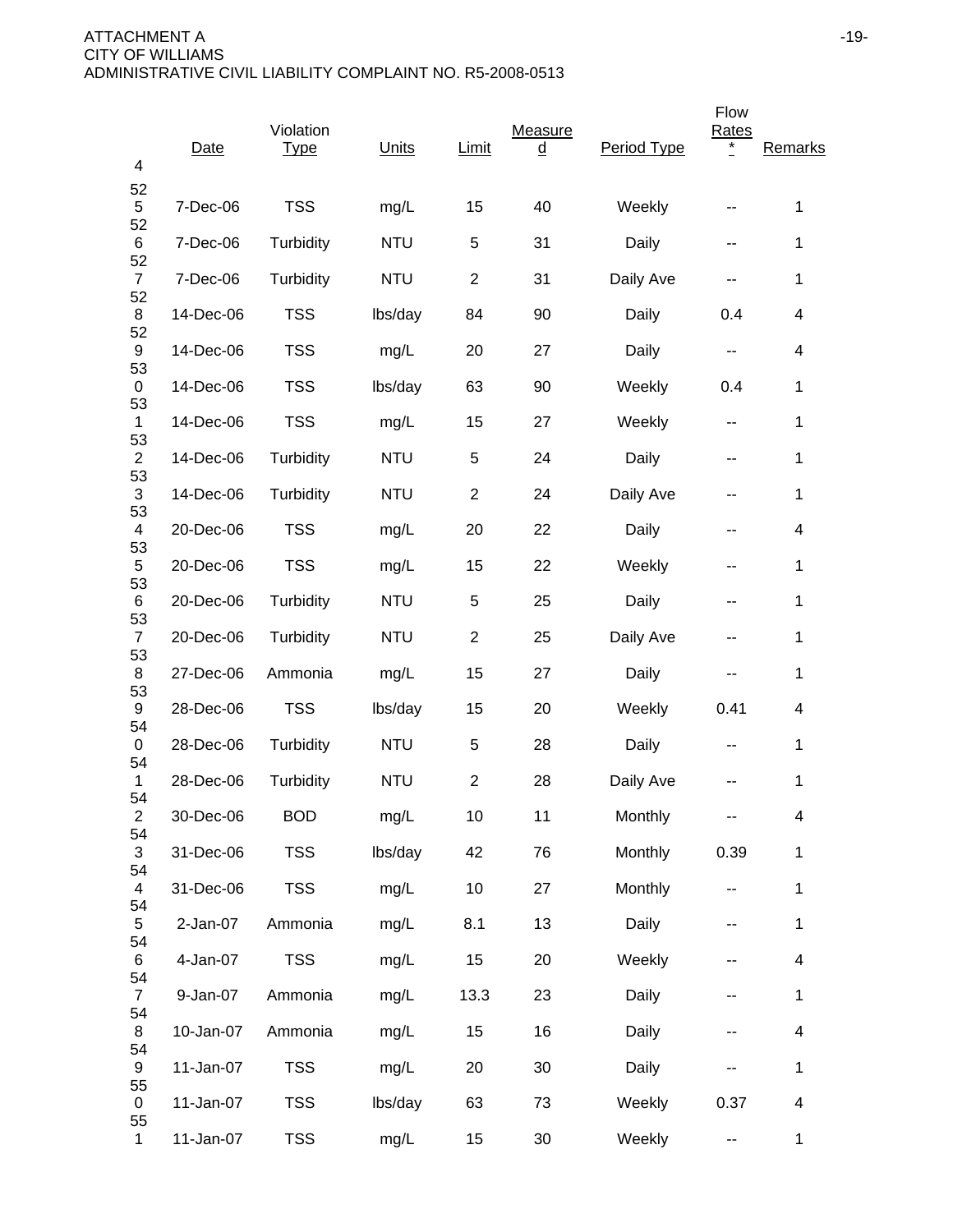| 4                          | Date       | Violation<br><b>Type</b> | Units      | Limit          | Measure<br><u>d</u> | Period Type | Flow<br>Rates<br>* | Remarks                  |
|----------------------------|------------|--------------------------|------------|----------------|---------------------|-------------|--------------------|--------------------------|
| 52<br>5                    | 7-Dec-06   | <b>TSS</b>               | mg/L       | 15             | 40                  | Weekly      | --                 | 1                        |
| 52<br>6                    | 7-Dec-06   | Turbidity                | <b>NTU</b> | 5              | 31                  | Daily       | --                 | 1                        |
| 52<br>$\overline{7}$       | 7-Dec-06   | Turbidity                | <b>NTU</b> | $\overline{2}$ | 31                  | Daily Ave   | --                 | 1                        |
| 52<br>8                    | 14-Dec-06  | <b>TSS</b>               | lbs/day    | 84             | 90                  | Daily       | 0.4                | 4                        |
| 52<br>9                    | 14-Dec-06  | <b>TSS</b>               | mg/L       | 20             | 27                  | Daily       | н.                 | 4                        |
| 53<br>0                    | 14-Dec-06  | <b>TSS</b>               | lbs/day    | 63             | 90                  | Weekly      | 0.4                | 1                        |
| 53<br>1                    | 14-Dec-06  | <b>TSS</b>               | mg/L       | 15             | 27                  | Weekly      | --                 | 1                        |
| 53<br>$\overline{c}$       | 14-Dec-06  | Turbidity                | <b>NTU</b> | 5              | 24                  | Daily       | --                 | 1                        |
| 53<br>$\sqrt{3}$           | 14-Dec-06  | Turbidity                | <b>NTU</b> | $\overline{c}$ | 24                  | Daily Ave   | --                 | 1                        |
| 53<br>4                    | 20-Dec-06  | <b>TSS</b>               | mg/L       | 20             | 22                  | Daily       | --                 | 4                        |
| 53<br>5                    | 20-Dec-06  | <b>TSS</b>               | mg/L       | 15             | 22                  | Weekly      | --                 | 1                        |
| 53<br>6                    | 20-Dec-06  | Turbidity                | <b>NTU</b> | 5              | 25                  | Daily       | --                 | 1                        |
| 53<br>$\overline{7}$<br>53 | 20-Dec-06  | Turbidity                | <b>NTU</b> | $\overline{2}$ | 25                  | Daily Ave   | --                 | 1                        |
| 8<br>53                    | 27-Dec-06  | Ammonia                  | mg/L       | 15             | 27                  | Daily       | --                 | 1                        |
| 9<br>54                    | 28-Dec-06  | <b>TSS</b>               | lbs/day    | 15             | 20                  | Weekly      | 0.41               | 4                        |
| 0<br>54                    | 28-Dec-06  | Turbidity                | <b>NTU</b> | 5              | 28                  | Daily       | --                 | 1                        |
| 1<br>54                    | 28-Dec-06  | Turbidity                | <b>NTU</b> | $\overline{2}$ | 28                  | Daily Ave   |                    | 1                        |
| $\overline{c}$<br>54       | 30-Dec-06  | <b>BOD</b>               | mg/L       | 10             | 11                  | Monthly     |                    | 4                        |
| 3<br>54                    | 31-Dec-06  | <b>TSS</b>               | lbs/day    | 42             | 76                  | Monthly     | 0.39               | 1                        |
| $\overline{4}$<br>54       | 31-Dec-06  | <b>TSS</b>               | mg/L       | 10             | 27                  | Monthly     | --                 | 1                        |
| 5<br>54                    | $2-Jan-07$ | Ammonia                  | mg/L       | 8.1            | 13                  | Daily       | ۰.                 | $\mathbf 1$              |
| 6<br>54                    | 4-Jan-07   | <b>TSS</b>               | mg/L       | 15             | 20                  | Weekly      | --                 | $\overline{\mathbf{4}}$  |
| $\overline{7}$<br>54       | 9-Jan-07   | Ammonia                  | mg/L       | 13.3           | 23                  | Daily       |                    | $\mathbf{1}$             |
| 8<br>54                    | 10-Jan-07  | Ammonia                  | mg/L       | 15             | 16                  | Daily       | --                 | $\overline{4}$           |
| 9<br>55                    | 11-Jan-07  | <b>TSS</b>               | mg/L       | 20             | 30                  | Daily       |                    | $\mathbf 1$              |
| 0<br>55                    | 11-Jan-07  | <b>TSS</b>               | lbs/day    | 63             | 73                  | Weekly      | 0.37               | $\overline{\mathcal{A}}$ |
| $\mathbf 1$                | 11-Jan-07  | <b>TSS</b>               | mg/L       | 15             | 30                  | Weekly      | 44                 | $\mathbf{1}$             |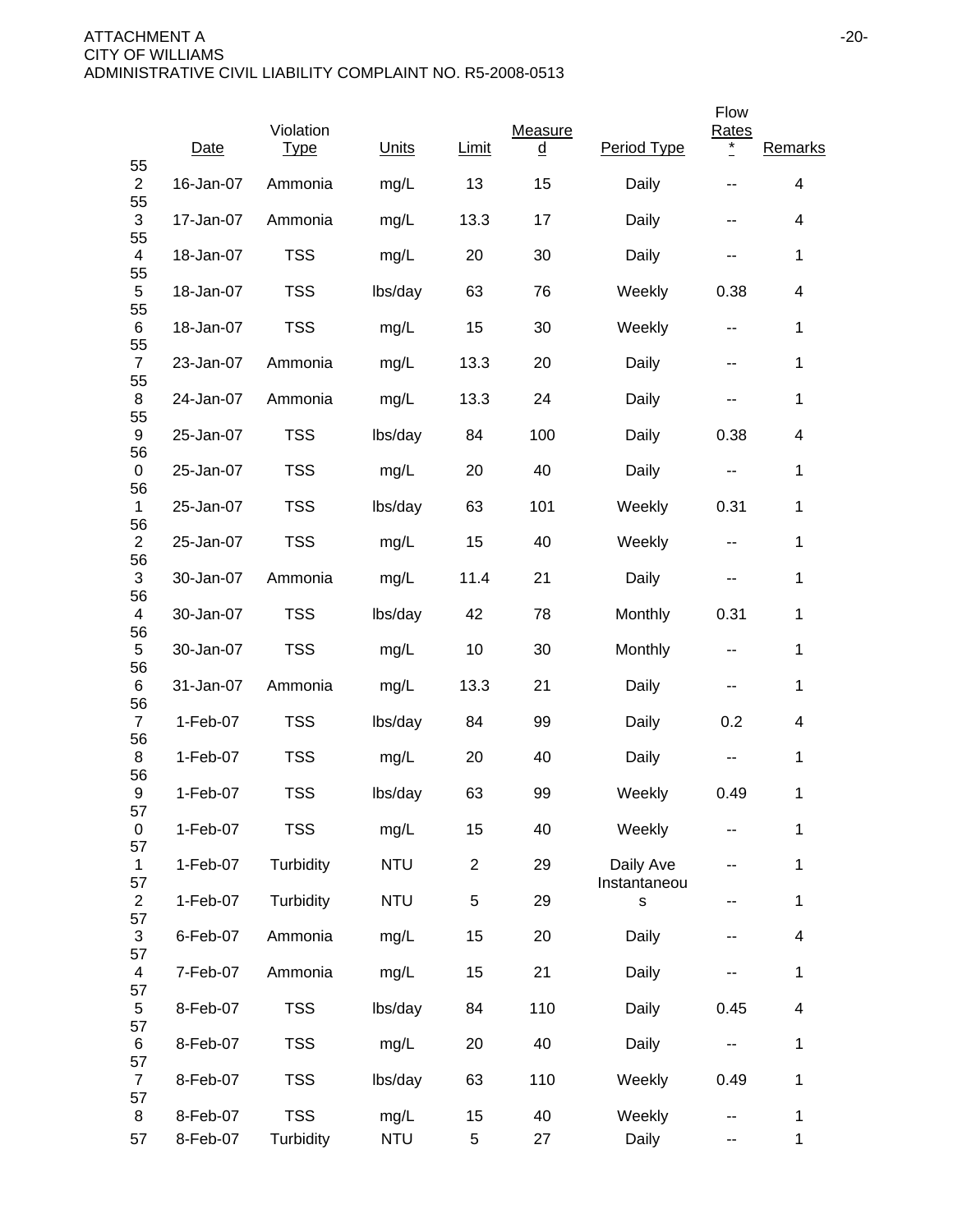|                            |            | Violation   |            |                |                     |                           | Flow                       |                          |
|----------------------------|------------|-------------|------------|----------------|---------------------|---------------------------|----------------------------|--------------------------|
| 55                         | Date       | <b>Type</b> | Units      | Limit          | Measure<br><u>d</u> | Period Type               | <b>Rates</b><br>$^{\star}$ | Remarks                  |
| $\overline{2}$<br>55       | 16-Jan-07  | Ammonia     | mg/L       | 13             | 15                  | Daily                     |                            | 4                        |
| 3<br>55                    | 17-Jan-07  | Ammonia     | mg/L       | 13.3           | 17                  | Daily                     | --                         | 4                        |
| 4<br>55                    | 18-Jan-07  | <b>TSS</b>  | mg/L       | 20             | 30                  | Daily                     | --                         | 1                        |
| $\mathbf 5$<br>55          | 18-Jan-07  | <b>TSS</b>  | lbs/day    | 63             | 76                  | Weekly                    | 0.38                       | 4                        |
| 6<br>55                    | 18-Jan-07  | <b>TSS</b>  | mg/L       | 15             | 30                  | Weekly                    | $\sim$ $\sim$              | 1                        |
| $\overline{7}$<br>55       | 23-Jan-07  | Ammonia     | mg/L       | 13.3           | 20                  | Daily                     | $\overline{\phantom{a}}$   | 1                        |
| 8                          | 24-Jan-07  | Ammonia     | mg/L       | 13.3           | 24                  | Daily                     | --                         | $\mathbf{1}$             |
| 55<br>9<br>56              | 25-Jan-07  | <b>TSS</b>  | lbs/day    | 84             | 100                 | Daily                     | 0.38                       | 4                        |
| 0                          | 25-Jan-07  | <b>TSS</b>  | mg/L       | 20             | 40                  | Daily                     | ۰.                         | 1                        |
| 56<br>$\mathbf{1}$         | 25-Jan-07  | <b>TSS</b>  | lbs/day    | 63             | 101                 | Weekly                    | 0.31                       | 1                        |
| 56<br>$\overline{c}$       | 25-Jan-07  | <b>TSS</b>  | mg/L       | 15             | 40                  | Weekly                    | --                         | 1                        |
| 56<br>3<br>56              | 30-Jan-07  | Ammonia     | mg/L       | 11.4           | 21                  | Daily                     | $\sim$ $\sim$              | $\mathbf 1$              |
| 4                          | 30-Jan-07  | <b>TSS</b>  | lbs/day    | 42             | 78                  | Monthly                   | 0.31                       | $\mathbf{1}$             |
| 56<br>5<br>56              | 30-Jan-07  | <b>TSS</b>  | mg/L       | 10             | 30                  | Monthly                   | $\overline{\phantom{a}}$   | 1                        |
| 6                          | 31-Jan-07  | Ammonia     | mg/L       | 13.3           | 21                  | Daily                     | --                         | $\mathbf 1$              |
| 56<br>$\overline{7}$       | 1-Feb-07   | <b>TSS</b>  | lbs/day    | 84             | 99                  | Daily                     | 0.2                        | 4                        |
| 56<br>8                    | 1-Feb-07   | <b>TSS</b>  | mg/L       | 20             | 40                  | Daily                     | --                         | 1                        |
| 56<br>9<br>57              | 1-Feb-07   | <b>TSS</b>  | lbs/day    | 63             | 99                  | Weekly                    | 0.49                       | 1                        |
| $\pmb{0}$<br>57            | $1-Feb-07$ | <b>TSS</b>  | mg/L       | 15             | 40                  | Weekly                    |                            | 1                        |
| 1<br>57                    | 1-Feb-07   | Turbidity   | <b>NTU</b> | $\overline{2}$ | 29                  | Daily Ave<br>Instantaneou |                            | $\mathbf{1}$             |
| $\overline{c}$<br>57       | 1-Feb-07   | Turbidity   | <b>NTU</b> | $\sqrt{5}$     | 29                  | s                         | --                         | $\mathbf 1$              |
| $\sqrt{3}$                 | 6-Feb-07   | Ammonia     | mg/L       | 15             | 20                  | Daily                     | --                         | $\overline{\mathbf{4}}$  |
| 57<br>4                    | 7-Feb-07   | Ammonia     | mg/L       | 15             | 21                  | Daily                     | --                         | $\mathbf{1}$             |
| 57<br>5                    | 8-Feb-07   | <b>TSS</b>  | lbs/day    | 84             | 110                 | Daily                     | 0.45                       | $\overline{\mathcal{A}}$ |
| 57<br>6                    | 8-Feb-07   | <b>TSS</b>  | mg/L       | 20             | 40                  | Daily                     | $\overline{\phantom{a}}$   | $\mathbf 1$              |
| 57<br>$\overline{7}$<br>57 | 8-Feb-07   | <b>TSS</b>  | lbs/day    | 63             | 110                 | Weekly                    | 0.49                       | $\mathbf{1}$             |
| 8                          | 8-Feb-07   | <b>TSS</b>  | mg/L       | 15             | 40                  | Weekly                    | --                         | 1                        |
| 57                         | 8-Feb-07   | Turbidity   | <b>NTU</b> | 5              | 27                  | Daily                     | --                         | $\mathbf{1}$             |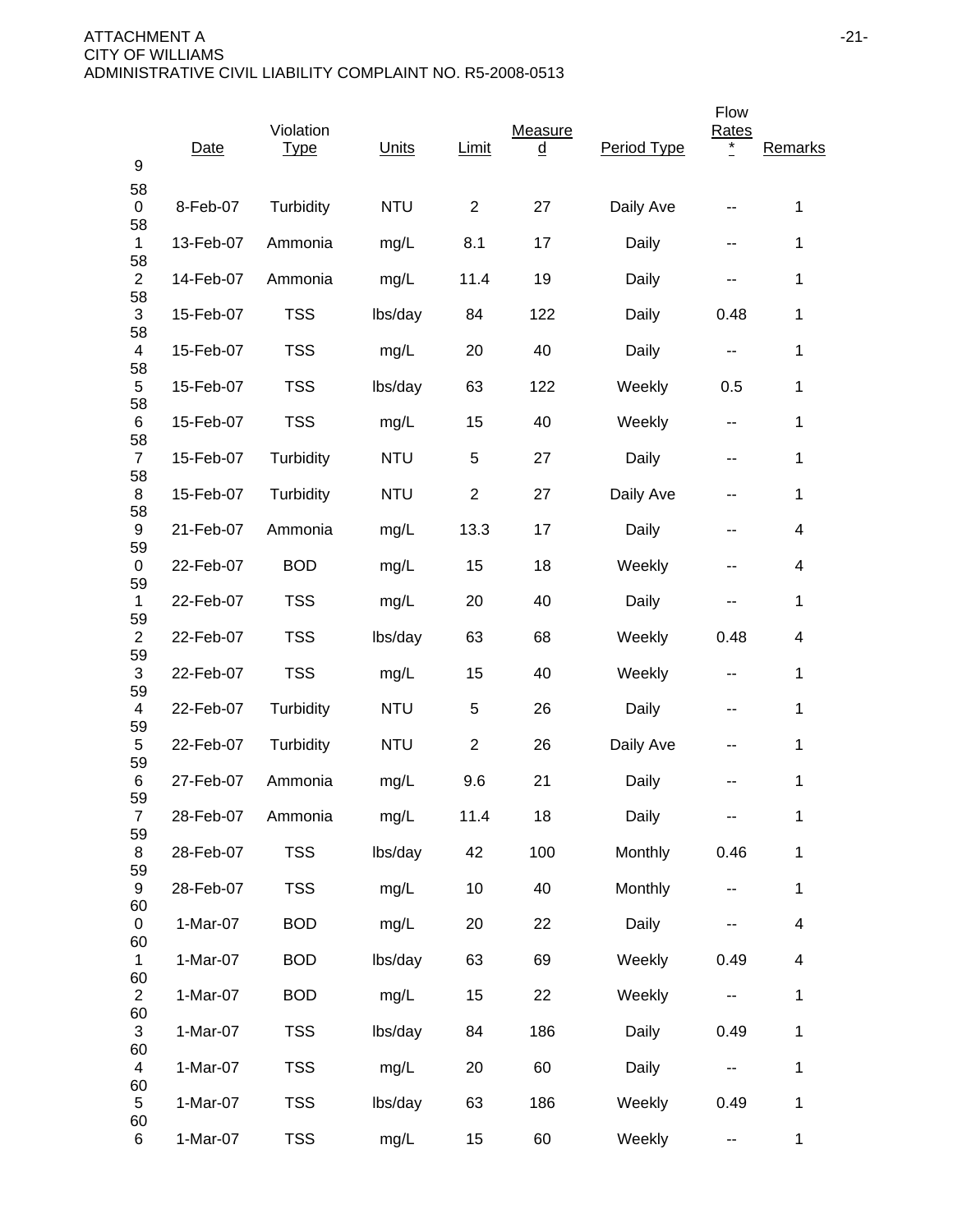| 9                    | Date      | Violation<br><b>Type</b> | Units      | Limit          | Measure<br><u>d</u> | Period Type | Flow<br>Rates<br>* | Remarks      |
|----------------------|-----------|--------------------------|------------|----------------|---------------------|-------------|--------------------|--------------|
| 58<br>0              | 8-Feb-07  | Turbidity                | <b>NTU</b> | 2              | 27                  | Daily Ave   |                    | 1            |
| 58<br>$\mathbf{1}$   | 13-Feb-07 | Ammonia                  | mg/L       | 8.1            | 17                  | Daily       | --                 | 1            |
| 58<br>$\overline{2}$ | 14-Feb-07 | Ammonia                  | mg/L       | 11.4           | 19                  | Daily       | --                 | 1            |
| 58<br>3              | 15-Feb-07 | <b>TSS</b>               | lbs/day    | 84             | 122                 | Daily       | 0.48               | 1            |
| 58<br>4              | 15-Feb-07 | <b>TSS</b>               | mg/L       | 20             | 40                  | Daily       | --                 | 1            |
| 58<br>5              | 15-Feb-07 | <b>TSS</b>               | lbs/day    | 63             | 122                 | Weekly      | 0.5                | 1            |
| 58<br>6              | 15-Feb-07 | <b>TSS</b>               | mg/L       | 15             | 40                  | Weekly      | --                 | 1            |
| 58<br>$\overline{7}$ | 15-Feb-07 | Turbidity                | <b>NTU</b> | 5              | 27                  | Daily       | --                 | 1            |
| 58<br>8              | 15-Feb-07 | Turbidity                | <b>NTU</b> | $\overline{2}$ | 27                  | Daily Ave   | --                 | 1            |
| 58<br>9              | 21-Feb-07 | Ammonia                  | mg/L       | 13.3           | 17                  | Daily       | --                 | 4            |
| 59<br>0              | 22-Feb-07 | <b>BOD</b>               | mg/L       | 15             | 18                  | Weekly      | --                 | 4            |
| 59<br>1              | 22-Feb-07 | <b>TSS</b>               | mg/L       | 20             | 40                  | Daily       | --                 | 1            |
| 59<br>$\overline{2}$ | 22-Feb-07 | <b>TSS</b>               | lbs/day    | 63             | 68                  | Weekly      | 0.48               | 4            |
| 59<br>$\sqrt{3}$     | 22-Feb-07 | <b>TSS</b>               | mg/L       | 15             | 40                  | Weekly      | --                 | 1            |
| 59<br>4              | 22-Feb-07 | Turbidity                | <b>NTU</b> | 5              | 26                  | Daily       | --                 | 1            |
| 59<br>5              | 22-Feb-07 | Turbidity                | <b>NTU</b> | $\overline{2}$ | 26                  | Daily Ave   | --                 | 1            |
| 59<br>6              | 27-Feb-07 | Ammonia                  | mg/L       | 9.6            | 21                  | Daily       |                    | 1            |
| 59<br>$\overline{7}$ | 28-Feb-07 | Ammonia                  | mg/L       | 11.4           | 18                  | Daily       |                    | 1            |
| 59<br>8              | 28-Feb-07 | <b>TSS</b>               | lbs/day    | 42             | 100                 | Monthly     | 0.46               | 1            |
| 59<br>9              | 28-Feb-07 | <b>TSS</b>               | mg/L       | 10             | 40                  | Monthly     |                    | 1            |
| 60<br>0              | 1-Mar-07  | <b>BOD</b>               | mg/L       | 20             | 22                  | Daily       |                    | 4            |
| 60<br>1              | 1-Mar-07  | <b>BOD</b>               | lbs/day    | 63             | 69                  | Weekly      | 0.49               | 4            |
| 60<br>$\overline{2}$ | 1-Mar-07  | <b>BOD</b>               | mg/L       | 15             | 22                  | Weekly      |                    | 1            |
| 60<br>3              | 1-Mar-07  | <b>TSS</b>               | lbs/day    | 84             | 186                 | Daily       | 0.49               | 1            |
| 60<br>$\overline{4}$ | 1-Mar-07  | <b>TSS</b>               | mg/L       | 20             | 60                  | Daily       | --                 | 1            |
| 60<br>5              | 1-Mar-07  | <b>TSS</b>               | lbs/day    | 63             | 186                 | Weekly      | 0.49               | 1            |
| 60<br>6              | 1-Mar-07  | <b>TSS</b>               | mg/L       | 15             | 60                  | Weekly      | 4                  | $\mathbf{1}$ |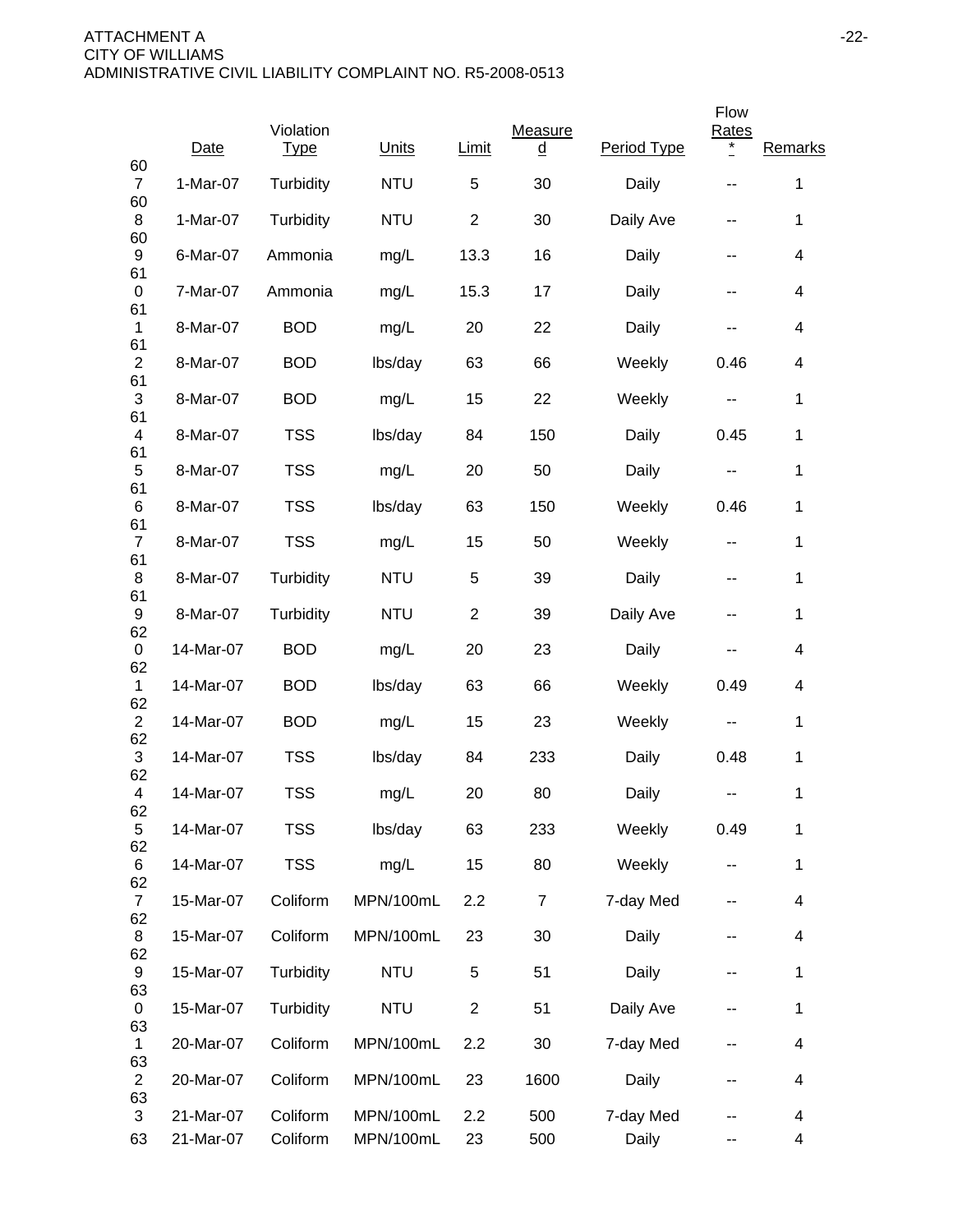|                                 |           | Violation   | Units      | Limit          | Measure        | Period Type | Flow<br><b>Rates</b><br>$\ast$ | Remarks                  |
|---------------------------------|-----------|-------------|------------|----------------|----------------|-------------|--------------------------------|--------------------------|
| 60                              | Date      | <b>Type</b> |            |                | <u>d</u>       |             |                                |                          |
| $\overline{7}$<br>60            | 1-Mar-07  | Turbidity   | <b>NTU</b> | $\mathbf 5$    | 30             | Daily       |                                | $\mathbf 1$              |
| 8<br>60                         | 1-Mar-07  | Turbidity   | <b>NTU</b> | $\overline{2}$ | 30             | Daily Ave   | --                             | 1                        |
| 9<br>61                         | 6-Mar-07  | Ammonia     | mg/L       | 13.3           | 16             | Daily       | --                             | $\overline{\mathcal{A}}$ |
| $\pmb{0}$<br>61                 | 7-Mar-07  | Ammonia     | mg/L       | 15.3           | 17             | Daily       | --                             | 4                        |
| $\mathbf 1$<br>61               | 8-Mar-07  | <b>BOD</b>  | mg/L       | 20             | 22             | Daily       | --                             | 4                        |
| $\overline{2}$                  | 8-Mar-07  | <b>BOD</b>  | lbs/day    | 63             | 66             | Weekly      | 0.46                           | $\overline{\mathcal{A}}$ |
| 61<br>$\ensuremath{\mathsf{3}}$ | 8-Mar-07  | <b>BOD</b>  | mg/L       | 15             | 22             | Weekly      | $\sim$ $\sim$                  | 1                        |
| 61<br>4                         | 8-Mar-07  | <b>TSS</b>  | lbs/day    | 84             | 150            | Daily       | 0.45                           | 1                        |
| 61<br>5                         | 8-Mar-07  | <b>TSS</b>  | mg/L       | 20             | 50             | Daily       | ۰.                             | 1                        |
| 61<br>6                         | 8-Mar-07  | <b>TSS</b>  | lbs/day    | 63             | 150            | Weekly      | 0.46                           | 1                        |
| 61<br>$\overline{7}$            | 8-Mar-07  | <b>TSS</b>  | mg/L       | 15             | 50             | Weekly      | --                             | 1                        |
| 61<br>8                         | 8-Mar-07  | Turbidity   | <b>NTU</b> | 5              | 39             | Daily       | $\overline{\phantom{a}}$       | 1                        |
| 61<br>9                         | 8-Mar-07  | Turbidity   | <b>NTU</b> | $\overline{2}$ | 39             | Daily Ave   | $\overline{\phantom{a}}$       | $\mathbf{1}$             |
| 62<br>0                         | 14-Mar-07 | <b>BOD</b>  | mg/L       | 20             | 23             | Daily       | --                             | 4                        |
| 62<br>1                         | 14-Mar-07 | <b>BOD</b>  | lbs/day    | 63             | 66             | Weekly      | 0.49                           | 4                        |
| 62<br>$\overline{2}$            | 14-Mar-07 | <b>BOD</b>  | mg/L       | 15             | 23             | Weekly      | --                             | 1                        |
| 62<br>$\sqrt{3}$                | 14-Mar-07 | <b>TSS</b>  | lbs/day    | 84             | 233            | Daily       | 0.48                           | 1                        |
| 62<br>4                         | 14-Mar-07 | <b>TSS</b>  | mg/L       | 20             | 80             | Daily       | --                             | 1                        |
| 62<br>5                         | 14-Mar-07 | <b>TSS</b>  | lbs/day    | 63             | 233            | Weekly      | 0.49                           | 1                        |
| 62<br>6                         | 14-Mar-07 | <b>TSS</b>  | mg/L       | 15             | 80             | Weekly      | --                             | $\mathbf{1}$             |
| 62<br>$\overline{7}$            | 15-Mar-07 | Coliform    | MPN/100mL  | 2.2            | $\overline{7}$ | 7-day Med   | --                             | $\overline{\mathcal{A}}$ |
| 62<br>8                         | 15-Mar-07 | Coliform    | MPN/100mL  | 23             | 30             | Daily       | --                             | $\overline{\mathcal{A}}$ |
| 62<br>9                         | 15-Mar-07 | Turbidity   | <b>NTU</b> | 5              | 51             | Daily       | --                             | 1                        |
| 63<br>0                         | 15-Mar-07 | Turbidity   | <b>NTU</b> | $\overline{2}$ | 51             | Daily Ave   | --                             | $\mathbf 1$              |
| 63<br>1                         | 20-Mar-07 | Coliform    | MPN/100mL  | 2.2            | 30             | 7-day Med   | --                             | $\overline{\mathcal{A}}$ |
| 63<br>$\overline{2}$            | 20-Mar-07 | Coliform    | MPN/100mL  | 23             | 1600           | Daily       |                                | 4                        |
| 63<br>3                         | 21-Mar-07 | Coliform    | MPN/100mL  | 2.2            | 500            | 7-day Med   |                                | 4                        |
| 63                              | 21-Mar-07 | Coliform    | MPN/100mL  | 23             | 500            | Daily       | --                             | 4                        |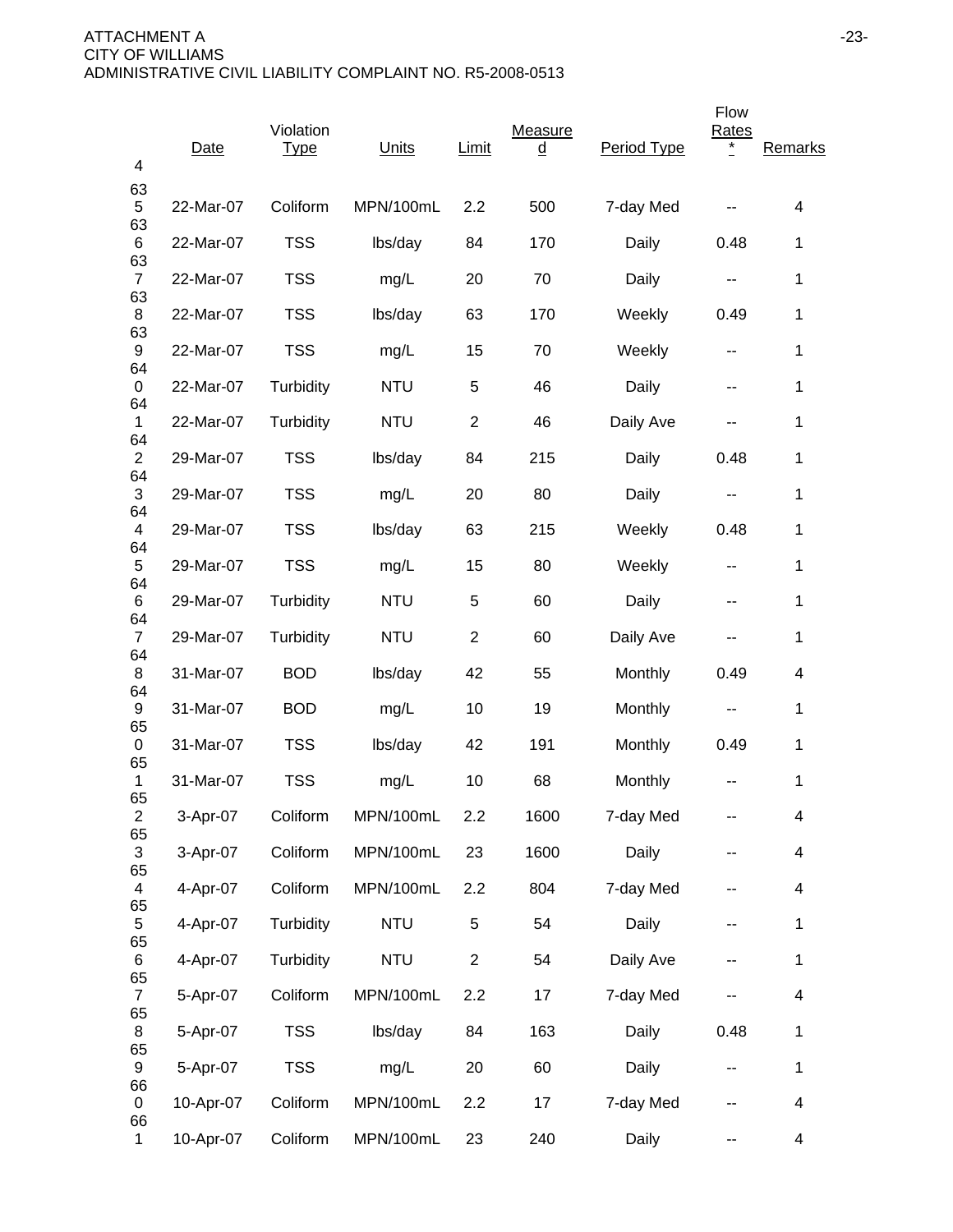| 4                    | Date      | Violation<br><b>Type</b> | Units      | Limit          | Measure<br><u>d</u> | Period Type | Flow<br>Rates<br>* | Remarks     |
|----------------------|-----------|--------------------------|------------|----------------|---------------------|-------------|--------------------|-------------|
| 63<br>$\sqrt{5}$     | 22-Mar-07 | Coliform                 | MPN/100mL  | 2.2            | 500                 | 7-day Med   |                    | 4           |
| 63<br>6              | 22-Mar-07 | <b>TSS</b>               | lbs/day    | 84             | 170                 | Daily       | 0.48               | 1           |
| 63<br>$\overline{7}$ | 22-Mar-07 | <b>TSS</b>               | mg/L       | 20             | 70                  | Daily       | н.                 | 1           |
| 63<br>8              | 22-Mar-07 | <b>TSS</b>               | lbs/day    | 63             | 170                 | Weekly      | 0.49               | 1           |
| 63<br>9              | 22-Mar-07 | <b>TSS</b>               | mg/L       | 15             | 70                  | Weekly      | ۰.                 | $\mathbf 1$ |
| 64<br>0              | 22-Mar-07 | Turbidity                | <b>NTU</b> | 5              | 46                  | Daily       | --                 | $\mathbf 1$ |
| 64<br>1              | 22-Mar-07 | Turbidity                | <b>NTU</b> | $\overline{2}$ | 46                  | Daily Ave   |                    | 1           |
| 64<br>$\overline{2}$ | 29-Mar-07 | <b>TSS</b>               | lbs/day    | 84             | 215                 | Daily       | 0.48               | 1           |
| 64<br>$\sqrt{3}$     | 29-Mar-07 | <b>TSS</b>               | mg/L       | 20             | 80                  | Daily       | --                 | 1           |
| 64<br>4              | 29-Mar-07 | <b>TSS</b>               | lbs/day    | 63             | 215                 | Weekly      | 0.48               | 1           |
| 64<br>5              | 29-Mar-07 | <b>TSS</b>               | mg/L       | 15             | 80                  | Weekly      | --                 | $\mathbf 1$ |
| 64<br>6              | 29-Mar-07 | Turbidity                | <b>NTU</b> | 5              | 60                  | Daily       | --                 | 1           |
| 64<br>$\overline{7}$ | 29-Mar-07 | Turbidity                | <b>NTU</b> | $\overline{2}$ | 60                  | Daily Ave   |                    | 1           |
| 64<br>8              | 31-Mar-07 | <b>BOD</b>               | lbs/day    | 42             | 55                  | Monthly     | 0.49               | 4           |
| 64<br>9              | 31-Mar-07 | <b>BOD</b>               | mg/L       | 10             | 19                  | Monthly     | н.                 | 1           |
| 65<br>0              | 31-Mar-07 | <b>TSS</b>               | lbs/day    | 42             | 191                 | Monthly     | 0.49               | 1           |
| 65<br>1              | 31-Mar-07 | <b>TSS</b>               | mg/L       | 10             | 68                  | Monthly     |                    | 1           |
| 65<br>$\overline{c}$ | 3-Apr-07  | Coliform                 | MPN/100mL  | 2.2            | 1600                | 7-day Med   | --                 | 4           |
| 65<br>3              | 3-Apr-07  | Coliform                 | MPN/100mL  | 23             | 1600                | Daily       | --                 | 4           |
| 65<br>$\overline{4}$ | 4-Apr-07  | Coliform                 | MPN/100mL  | 2.2            | 804                 | 7-day Med   | --                 | 4           |
| 65<br>5              | 4-Apr-07  | Turbidity                | <b>NTU</b> | 5              | 54                  | Daily       | --                 | $\mathbf 1$ |
| 65<br>6              | 4-Apr-07  | Turbidity                | <b>NTU</b> | $\overline{c}$ | 54                  | Daily Ave   | ۰.                 | $\mathbf 1$ |
| 65<br>$\overline{7}$ | 5-Apr-07  | Coliform                 | MPN/100mL  | 2.2            | 17                  | 7-day Med   |                    | 4           |
| 65<br>8              | 5-Apr-07  | <b>TSS</b>               | lbs/day    | 84             | 163                 | Daily       | 0.48               | $\mathbf 1$ |
| 65<br>9              | 5-Apr-07  | <b>TSS</b>               | mg/L       | 20             | 60                  | Daily       | ۰.                 | $\mathbf 1$ |
| 66<br>0              | 10-Apr-07 | Coliform                 | MPN/100mL  | 2.2            | 17                  | 7-day Med   |                    | 4           |
| 66<br>1              | 10-Apr-07 | Coliform                 | MPN/100mL  | 23             | 240                 | Daily       | --                 | 4           |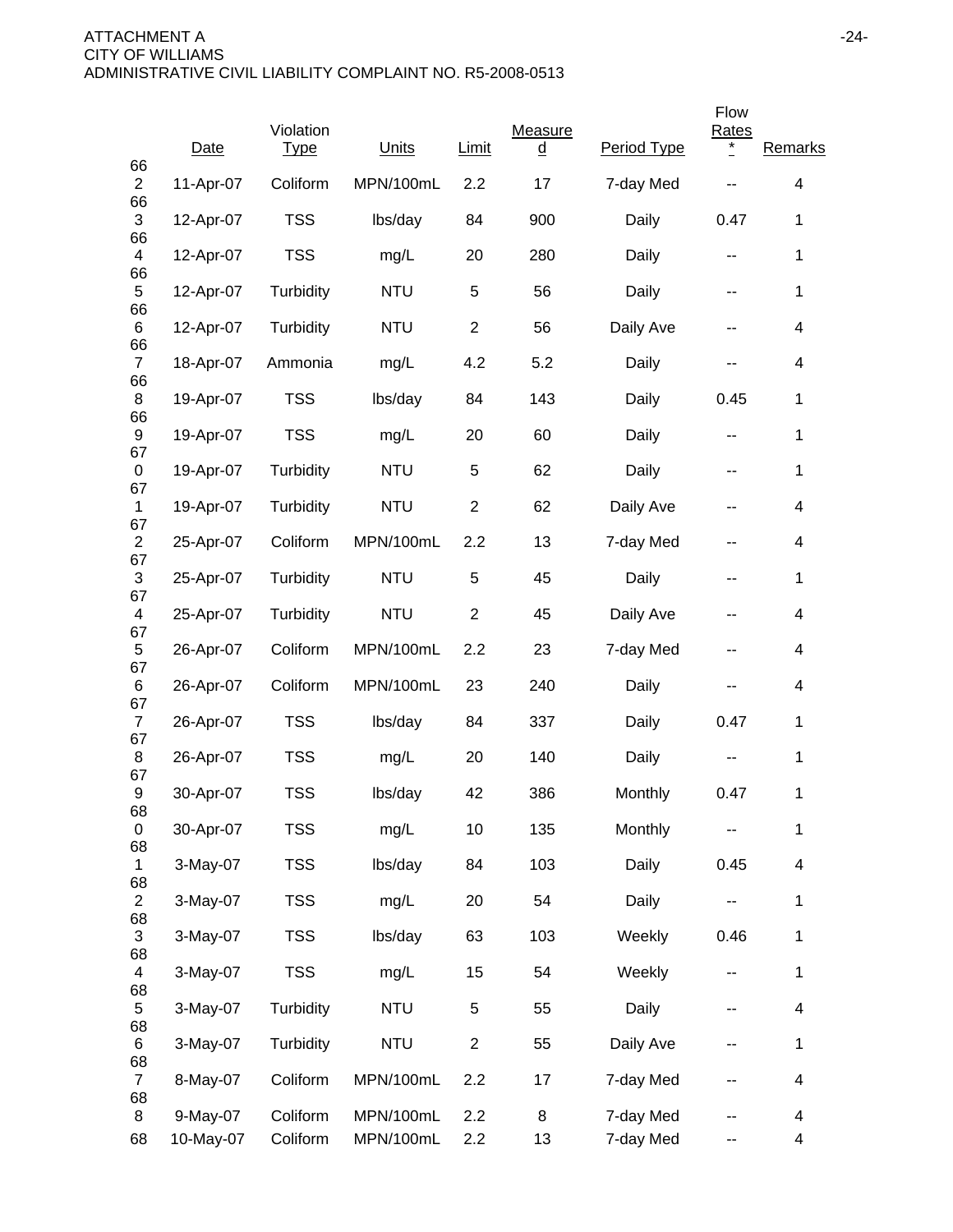|                               |           |                          |            |                |                     |             | Flow                       |                          |
|-------------------------------|-----------|--------------------------|------------|----------------|---------------------|-------------|----------------------------|--------------------------|
| 66                            | Date      | Violation<br><b>Type</b> | Units      | Limit          | Measure<br><u>d</u> | Period Type | <b>Rates</b><br>$^{\star}$ | Remarks                  |
| $\overline{c}$<br>66          | 11-Apr-07 | Coliform                 | MPN/100mL  | 2.2            | 17                  | 7-day Med   |                            | 4                        |
| 3<br>66                       | 12-Apr-07 | <b>TSS</b>               | lbs/day    | 84             | 900                 | Daily       | 0.47                       | 1                        |
| $\overline{\mathbf{4}}$<br>66 | 12-Apr-07 | <b>TSS</b>               | mg/L       | 20             | 280                 | Daily       | --                         | 1                        |
| 5                             | 12-Apr-07 | Turbidity                | <b>NTU</b> | 5              | 56                  | Daily       | --                         | 1                        |
| 66<br>6                       | 12-Apr-07 | Turbidity                | <b>NTU</b> | $\overline{2}$ | 56                  | Daily Ave   | --                         | $\overline{\mathcal{A}}$ |
| 66<br>$\overline{7}$          | 18-Apr-07 | Ammonia                  | mg/L       | 4.2            | 5.2                 | Daily       | --                         | 4                        |
| 66<br>8                       | 19-Apr-07 | <b>TSS</b>               | lbs/day    | 84             | 143                 | Daily       | 0.45                       | 1                        |
| 66<br>9<br>67                 | 19-Apr-07 | <b>TSS</b>               | mg/L       | 20             | 60                  | Daily       | $\sim$ $\sim$              | 1                        |
| 0                             | 19-Apr-07 | Turbidity                | <b>NTU</b> | 5              | 62                  | Daily       | $\overline{\phantom{a}}$   | 1                        |
| 67<br>$\mathbf{1}$            | 19-Apr-07 | Turbidity                | <b>NTU</b> | $\overline{2}$ | 62                  | Daily Ave   | --                         | 4                        |
| 67<br>$\overline{c}$          | 25-Apr-07 | Coliform                 | MPN/100mL  | 2.2            | 13                  | 7-day Med   | --                         | $\overline{\mathcal{A}}$ |
| 67<br>3<br>67                 | 25-Apr-07 | Turbidity                | <b>NTU</b> | $\overline{5}$ | 45                  | Daily       | $\overline{\phantom{a}}$   | 1                        |
| 4                             | 25-Apr-07 | Turbidity                | <b>NTU</b> | $\overline{2}$ | 45                  | Daily Ave   | $\overline{\phantom{a}}$   | 4                        |
| 67<br>5                       | 26-Apr-07 | Coliform                 | MPN/100mL  | 2.2            | 23                  | 7-day Med   | --                         | 4                        |
| 67<br>6                       | 26-Apr-07 | Coliform                 | MPN/100mL  | 23             | 240                 | Daily       | --                         | 4                        |
| 67<br>$\overline{7}$<br>67    | 26-Apr-07 | <b>TSS</b>               | lbs/day    | 84             | 337                 | Daily       | 0.47                       | 1                        |
| 8<br>67                       | 26-Apr-07 | <b>TSS</b>               | mg/L       | 20             | 140                 | Daily       | --                         | 1                        |
| 9                             | 30-Apr-07 | <b>TSS</b>               | lbs/day    | 42             | 386                 | Monthly     | 0.47                       | 1                        |
| 68<br>$\mathbf 0$             | 30-Apr-07 | <b>TSS</b>               | mg/L       | 10             | 135                 | Monthly     |                            | $\mathbf 1$              |
| 68<br>1                       | 3-May-07  | <b>TSS</b>               | lbs/day    | 84             | 103                 | Daily       | 0.45                       | 4                        |
| 68<br>$\overline{c}$          | 3-May-07  | <b>TSS</b>               | mg/L       | 20             | 54                  | Daily       | --                         | 1                        |
| 68<br>3                       | 3-May-07  | <b>TSS</b>               | lbs/day    | 63             | 103                 | Weekly      | 0.46                       | 1                        |
| 68<br>4                       | 3-May-07  | <b>TSS</b>               | mg/L       | 15             | 54                  | Weekly      | --                         | 1                        |
| 68<br>5                       | 3-May-07  | Turbidity                | <b>NTU</b> | 5              | 55                  | Daily       | --                         | $\overline{\mathcal{A}}$ |
| 68<br>6                       | 3-May-07  | Turbidity                | <b>NTU</b> | $\overline{c}$ | 55                  | Daily Ave   | --                         | 1                        |
| 68<br>$\overline{7}$          | 8-May-07  | Coliform                 | MPN/100mL  | 2.2            | 17                  | 7-day Med   |                            | $\overline{\mathcal{A}}$ |
| 68<br>8                       | 9-May-07  | Coliform                 | MPN/100mL  | 2.2            | 8                   | 7-day Med   |                            | 4                        |
| 68                            | 10-May-07 | Coliform                 | MPN/100mL  | 2.2            | 13                  | 7-day Med   | --                         | 4                        |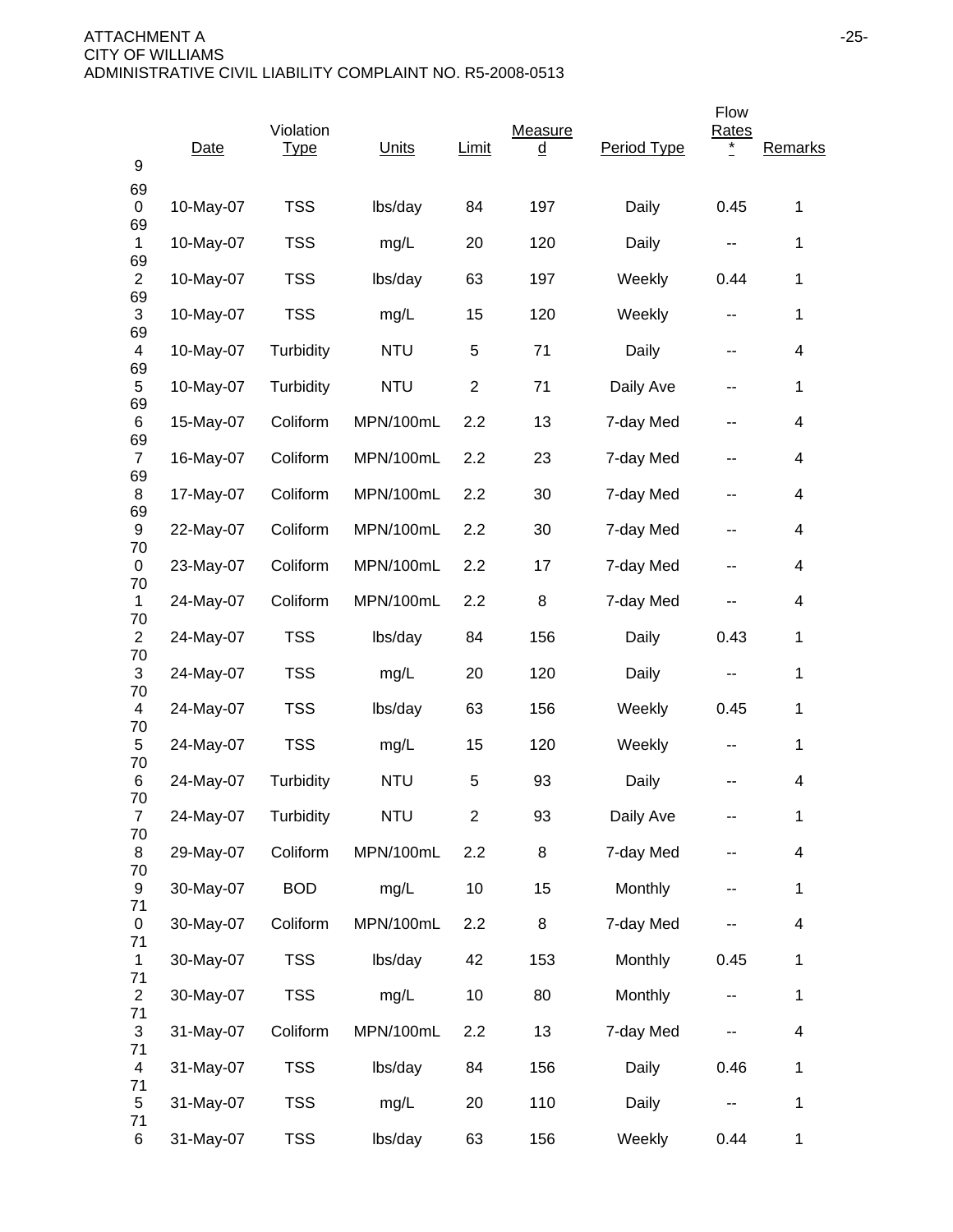| 9                    | Date      | Violation<br><b>Type</b> | Units      | Limit          | Measure<br><u>d</u> | Period Type | Flow<br><b>Rates</b>     | Remarks                  |
|----------------------|-----------|--------------------------|------------|----------------|---------------------|-------------|--------------------------|--------------------------|
| 69<br>0              | 10-May-07 | <b>TSS</b>               | lbs/day    | 84             | 197                 | Daily       | 0.45                     | $\mathbf{1}$             |
| 69<br>$\mathbf{1}$   | 10-May-07 | <b>TSS</b>               | mg/L       | 20             | 120                 | Daily       | --                       | 1                        |
| 69<br>$\overline{c}$ | 10-May-07 | <b>TSS</b>               | lbs/day    | 63             | 197                 | Weekly      | 0.44                     | $\mathbf{1}$             |
| 69<br>3              | 10-May-07 | <b>TSS</b>               | mg/L       | 15             | 120                 | Weekly      | $\overline{\phantom{a}}$ | 1                        |
| 69<br>4              | 10-May-07 | Turbidity                | <b>NTU</b> | 5              | 71                  | Daily       | --                       | 4                        |
| 69<br>5              | 10-May-07 | Turbidity                | <b>NTU</b> | $\overline{c}$ | 71                  | Daily Ave   | --                       | $\mathbf{1}$             |
| 69<br>6              | 15-May-07 | Coliform                 | MPN/100mL  | 2.2            | 13                  | 7-day Med   |                          | 4                        |
| 69<br>$\overline{7}$ | 16-May-07 | Coliform                 | MPN/100mL  | 2.2            | 23                  | 7-day Med   | --                       | 4                        |
| 69<br>8              | 17-May-07 | Coliform                 | MPN/100mL  | 2.2            | 30                  | 7-day Med   | --                       | 4                        |
| 69<br>9              | 22-May-07 | Coliform                 | MPN/100mL  | 2.2            | 30                  | 7-day Med   | $\overline{\phantom{a}}$ | 4                        |
| 70<br>0              | 23-May-07 | Coliform                 | MPN/100mL  | 2.2            | 17                  | 7-day Med   | --                       | 4                        |
| 70<br>1              | 24-May-07 | Coliform                 | MPN/100mL  | 2.2            | 8                   | 7-day Med   | --                       | 4                        |
| 70<br>$\overline{2}$ | 24-May-07 | <b>TSS</b>               | lbs/day    | 84             | 156                 | Daily       | 0.43                     | $\mathbf{1}$             |
| 70<br>3              | 24-May-07 | <b>TSS</b>               | mg/L       | 20             | 120                 | Daily       | --                       | 1                        |
| 70<br>4              | 24-May-07 | <b>TSS</b>               | lbs/day    | 63             | 156                 | Weekly      | 0.45                     | $\mathbf{1}$             |
| 70<br>5              | 24-May-07 | <b>TSS</b>               | mg/L       | 15             | 120                 | Weekly      | $\overline{\phantom{a}}$ | 1                        |
| 70<br>6              | 24-May-07 | Turbidity                | <b>NTU</b> | 5              | 93                  | Daily       |                          | 4                        |
| 70<br>$\overline{7}$ | 24-May-07 | Turbidity                | <b>NTU</b> | $\overline{2}$ | 93                  | Daily Ave   |                          | $\mathbf 1$              |
| 70<br>8              | 29-May-07 | Coliform                 | MPN/100mL  | 2.2            | 8                   | 7-day Med   | --                       | $\overline{\mathbf{4}}$  |
| 70<br>9              | 30-May-07 | <b>BOD</b>               | mg/L       | 10             | 15                  | Monthly     |                          | $\mathbf{1}$             |
| 71<br>0              | 30-May-07 | Coliform                 | MPN/100mL  | 2.2            | 8                   | 7-day Med   |                          | $\overline{\mathcal{A}}$ |
| 71<br>$\mathbf{1}$   | 30-May-07 | <b>TSS</b>               | lbs/day    | 42             | 153                 | Monthly     | 0.45                     | $\mathbf{1}$             |
| 71<br>$\overline{c}$ | 30-May-07 | <b>TSS</b>               | mg/L       | 10             | 80                  | Monthly     | --                       | $\mathbf 1$              |
| 71<br>$\sqrt{3}$     | 31-May-07 | Coliform                 | MPN/100mL  | 2.2            | 13                  | 7-day Med   |                          | $\overline{\mathcal{A}}$ |
| 71<br>4              | 31-May-07 | <b>TSS</b>               | lbs/day    | 84             | 156                 | Daily       | 0.46                     | 1                        |
| 71<br>5              | 31-May-07 | <b>TSS</b>               | mg/L       | 20             | 110                 | Daily       | --                       | $\mathbf{1}$             |
| 71<br>6              | 31-May-07 | <b>TSS</b>               | lbs/day    | 63             | 156                 | Weekly      | 0.44                     | $\mathbf{1}$             |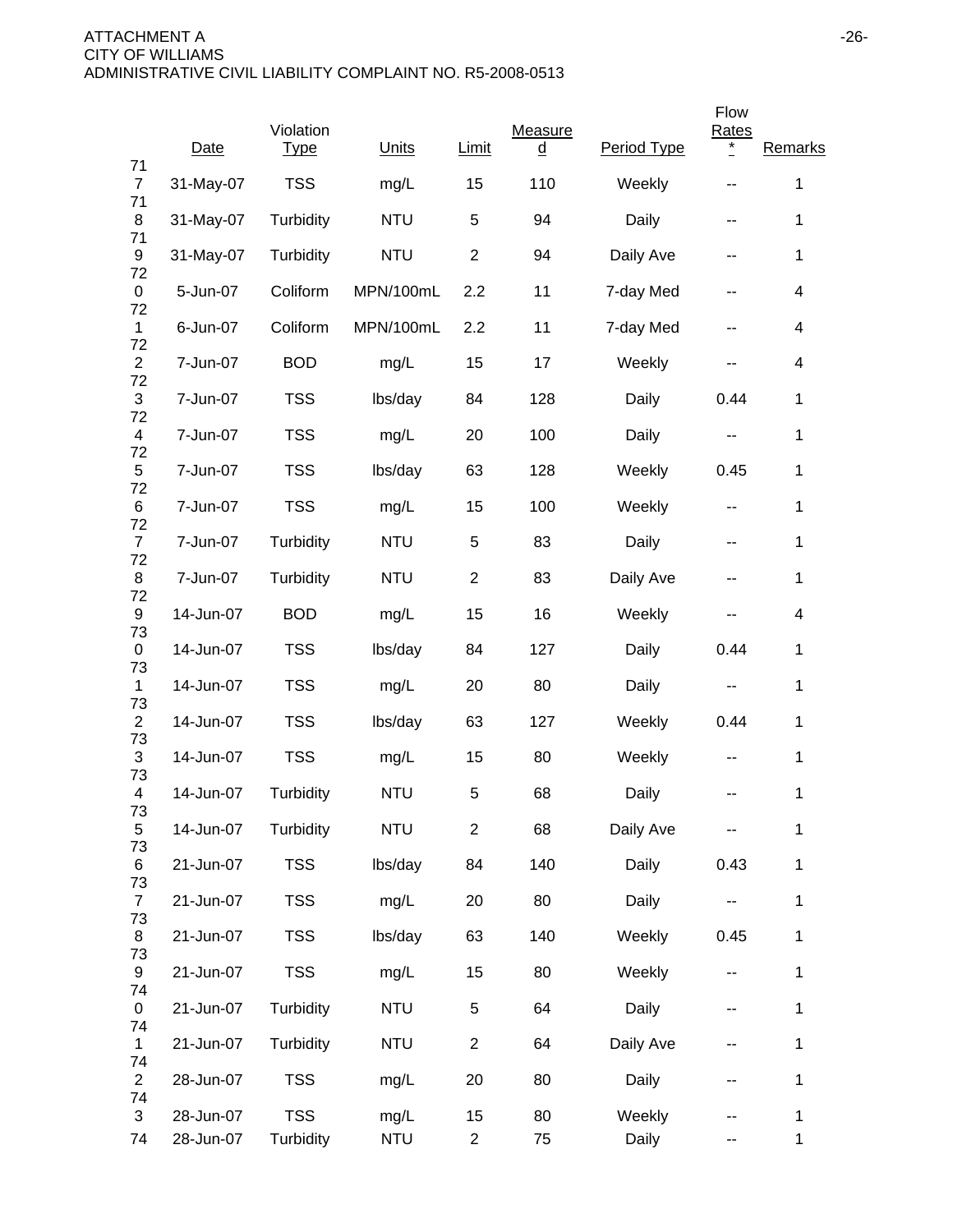|                            | Date                   | Violation<br><b>Type</b> | Units              | Limit                | Measure<br>$\overline{\mathsf{q}}$ | Period Type     | Flow<br>Rates<br>$\ast$ | Remarks           |
|----------------------------|------------------------|--------------------------|--------------------|----------------------|------------------------------------|-----------------|-------------------------|-------------------|
| 71<br>$\overline{7}$       | 31-May-07              | <b>TSS</b>               | mg/L               | 15                   | 110                                | Weekly          |                         | 1                 |
| 71<br>8                    | 31-May-07              | Turbidity                | <b>NTU</b>         | 5                    | 94                                 | Daily           | --                      | 1                 |
| 71<br>9                    | 31-May-07              | Turbidity                | <b>NTU</b>         | $\overline{2}$       | 94                                 | Daily Ave       | --                      | 1                 |
| 72<br>0                    | 5-Jun-07               | Coliform                 | MPN/100mL          | 2.2                  | 11                                 | 7-day Med       | --                      | 4                 |
| 72<br>1                    | 6-Jun-07               | Coliform                 | MPN/100mL          | 2.2                  | 11                                 | 7-day Med       | --                      | 4                 |
| 72<br>$\overline{2}$       | 7-Jun-07               | <b>BOD</b>               | mg/L               | 15                   | 17                                 | Weekly          | --                      | 4                 |
| 72<br>$\sqrt{3}$           | 7-Jun-07               | <b>TSS</b>               | lbs/day            | 84                   | 128                                | Daily           | 0.44                    | 1                 |
| 72<br>$\overline{4}$<br>72 | 7-Jun-07               | <b>TSS</b>               | mg/L               | 20                   | 100                                | Daily           | --                      | 1                 |
| 5<br>72                    | 7-Jun-07               | <b>TSS</b>               | lbs/day            | 63                   | 128                                | Weekly          | 0.45                    | 1                 |
| 6<br>72                    | 7-Jun-07               | <b>TSS</b>               | mg/L               | 15                   | 100                                | Weekly          | $\sim$ $\sim$           | 1                 |
| $\overline{7}$<br>72       | 7-Jun-07               | Turbidity                | <b>NTU</b>         | 5                    | 83                                 | Daily           | --                      | 1                 |
| 8<br>72                    | 7-Jun-07               | Turbidity                | <b>NTU</b>         | $\overline{2}$       | 83                                 | Daily Ave       | --                      | 1                 |
| 9<br>73                    | 14-Jun-07              | <b>BOD</b>               | mg/L               | 15                   | 16                                 | Weekly          |                         | 4                 |
| 0<br>73                    | 14-Jun-07              | <b>TSS</b>               | lbs/day            | 84                   | 127                                | Daily           | 0.44                    | 1                 |
| 1<br>73                    | 14-Jun-07              | <b>TSS</b>               | mg/L               | 20                   | 80                                 | Daily           | ۰.                      | 1                 |
| $\overline{2}$<br>73       | 14-Jun-07              | <b>TSS</b>               | lbs/day            | 63                   | 127                                | Weekly          | 0.44                    | 1                 |
| 3<br>73                    | 14-Jun-07              | <b>TSS</b>               | mg/L               | 15                   | 80                                 | Weekly          | --                      | 1                 |
| 4<br>73                    | 14-Jun-07              | Turbidity                | <b>NTU</b>         | 5                    | 68                                 | Daily           |                         | 1                 |
| $\sqrt{5}$<br>73           | 14-Jun-07              | Turbidity                | <b>NTU</b>         | $\overline{2}$       | 68                                 | Daily Ave       |                         | 1                 |
| 6<br>73                    | 21-Jun-07              | <b>TSS</b>               | lbs/day            | 84                   | 140                                | Daily           | 0.43                    | 1                 |
| $\overline{7}$<br>73       | 21-Jun-07              | <b>TSS</b>               | mg/L               | 20                   | 80                                 | Daily           | ۰.                      | 1                 |
| 8<br>73                    | 21-Jun-07              | <b>TSS</b>               | lbs/day            | 63                   | 140                                | Weekly          | 0.45                    | 1                 |
| 9<br>74                    | 21-Jun-07              | <b>TSS</b>               | mg/L               | 15                   | 80                                 | Weekly          | ۰.                      | 1                 |
| 0<br>74                    | 21-Jun-07              | Turbidity                | <b>NTU</b>         | 5                    | 64                                 | Daily           | --                      | 1                 |
| $\mathbf{1}$<br>74         | 21-Jun-07              | Turbidity                | <b>NTU</b>         | $\overline{2}$       | 64                                 | Daily Ave       | --                      | 1                 |
| $\overline{2}$<br>74       | 28-Jun-07              | <b>TSS</b>               | mg/L               | 20                   | 80                                 | Daily           | --                      | 1                 |
| 3<br>74                    | 28-Jun-07<br>28-Jun-07 | <b>TSS</b><br>Turbidity  | mg/L<br><b>NTU</b> | 15<br>$\overline{c}$ | 80<br>75                           | Weekly<br>Daily | --                      | 1<br>$\mathbf{1}$ |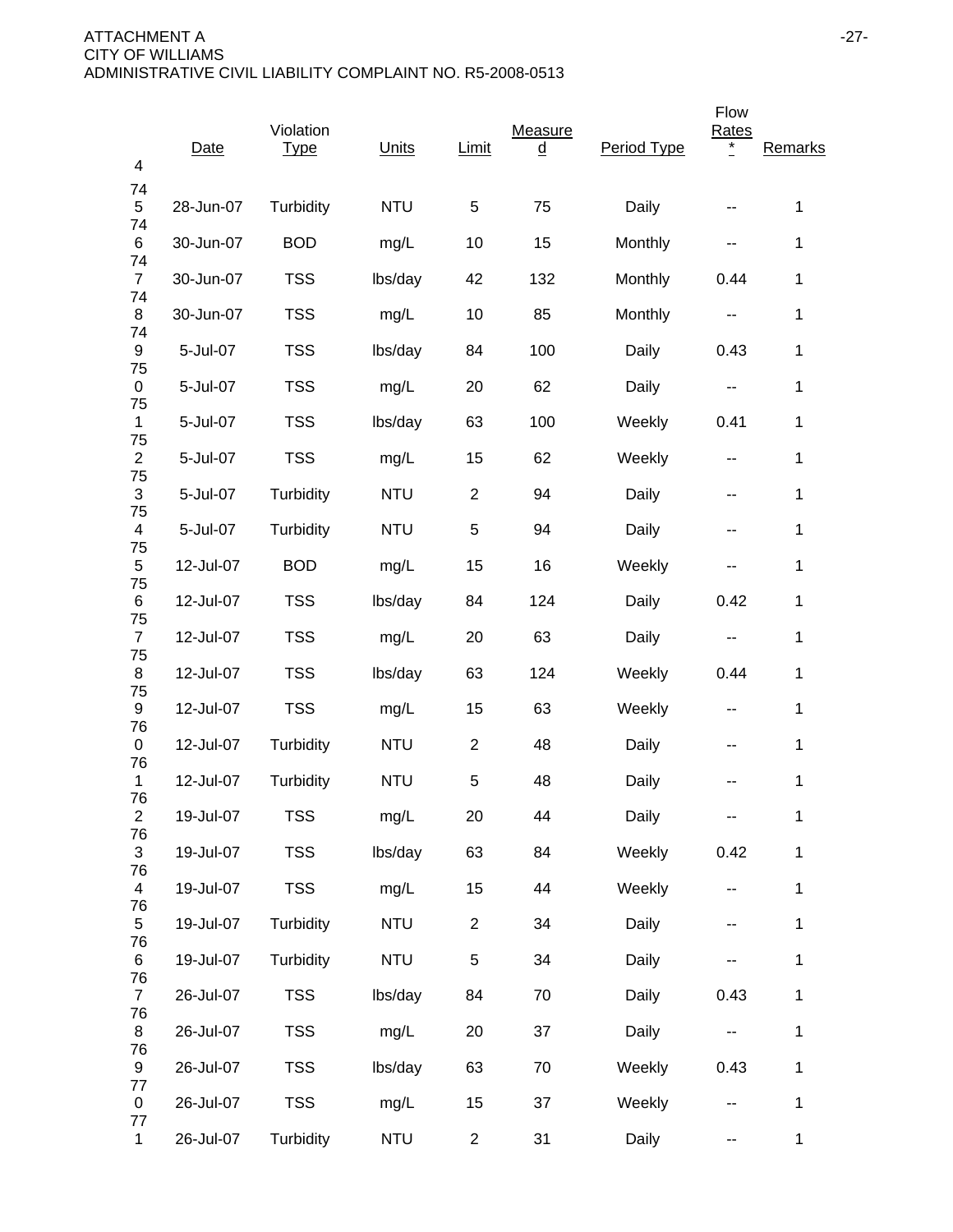| 4                             | Date      | Violation<br><b>Type</b> | Units      | Limit          | Measure<br><u>d</u> | Period Type | Flow<br>Rates<br>$^{\star}$ | Remarks      |
|-------------------------------|-----------|--------------------------|------------|----------------|---------------------|-------------|-----------------------------|--------------|
| 74<br>5                       | 28-Jun-07 | Turbidity                | <b>NTU</b> | $\,$ 5 $\,$    | 75                  | Daily       |                             | 1            |
| 74<br>6                       | 30-Jun-07 | <b>BOD</b>               | mg/L       | 10             | 15                  | Monthly     | --                          | 1            |
| 74<br>$\overline{7}$          | 30-Jun-07 | <b>TSS</b>               | lbs/day    | 42             | 132                 | Monthly     | 0.44                        | 1            |
| 74<br>8                       | 30-Jun-07 | <b>TSS</b>               | mg/L       | 10             | 85                  | Monthly     | $\overline{\phantom{m}}$    | 1            |
| 74<br>9                       | 5-Jul-07  | <b>TSS</b>               | lbs/day    | 84             | 100                 | Daily       | 0.43                        | 1            |
| 75<br>0                       | 5-Jul-07  | <b>TSS</b>               | mg/L       | 20             | 62                  | Daily       | --                          | 1            |
| 75<br>1                       | 5-Jul-07  | <b>TSS</b>               | lbs/day    | 63             | 100                 | Weekly      | 0.41                        | 1            |
| 75<br>$\overline{2}$          | 5-Jul-07  | <b>TSS</b>               | mg/L       | 15             | 62                  | Weekly      | --                          | 1            |
| 75<br>$\sqrt{3}$              | 5-Jul-07  | Turbidity                | <b>NTU</b> | $\overline{c}$ | 94                  | Daily       | --                          | 1            |
| 75<br>$\overline{\mathbf{4}}$ | 5-Jul-07  | Turbidity                | <b>NTU</b> | 5              | 94                  | Daily       | --                          | 1            |
| 75<br>$\mathbf 5$             | 12-Jul-07 | <b>BOD</b>               | mg/L       | 15             | 16                  | Weekly      | --                          | 1            |
| 75<br>6                       | 12-Jul-07 | <b>TSS</b>               | lbs/day    | 84             | 124                 | Daily       | 0.42                        | 1            |
| 75<br>$\overline{7}$          | 12-Jul-07 | <b>TSS</b>               | mg/L       | 20             | 63                  | Daily       |                             | 1            |
| 75<br>8                       | 12-Jul-07 | <b>TSS</b>               | lbs/day    | 63             | 124                 | Weekly      | 0.44                        | 1            |
| 75<br>9                       | 12-Jul-07 | <b>TSS</b>               | mg/L       | 15             | 63                  | Weekly      | --                          | 1            |
| 76<br>0                       | 12-Jul-07 | Turbidity                | <b>NTU</b> | $\overline{2}$ | 48                  | Daily       | --                          | 1            |
| 76<br>1                       | 12-Jul-07 | Turbidity                | <b>NTU</b> | 5              | 48                  | Daily       |                             | 1            |
| 76<br>$\boldsymbol{2}$        | 19-Jul-07 | <b>TSS</b>               | mg/L       | 20             | 44                  | Daily       |                             | 1            |
| 76<br>3                       | 19-Jul-07 | <b>TSS</b>               | lbs/day    | 63             | 84                  | Weekly      | 0.42                        | 1            |
| 76<br>$\overline{4}$          | 19-Jul-07 | <b>TSS</b>               | mg/L       | 15             | 44                  | Weekly      |                             | 1            |
| 76<br>5                       | 19-Jul-07 | Turbidity                | <b>NTU</b> | $\overline{2}$ | 34                  | Daily       | ۰.                          | 1            |
| 76<br>6                       | 19-Jul-07 | Turbidity                | <b>NTU</b> | 5              | 34                  | Daily       | --                          | $\mathbf 1$  |
| 76<br>$\overline{7}$          | 26-Jul-07 | <b>TSS</b>               | lbs/day    | 84             | 70                  | Daily       | 0.43                        | 1            |
| 76<br>8                       | 26-Jul-07 | <b>TSS</b>               | mg/L       | 20             | 37                  | Daily       | ۰.                          | 1            |
| 76<br>9<br>77                 | 26-Jul-07 | <b>TSS</b>               | lbs/day    | 63             | 70                  | Weekly      | 0.43                        | 1            |
| 0<br>77                       | 26-Jul-07 | <b>TSS</b>               | mg/L       | 15             | 37                  | Weekly      | ۰.                          | 1            |
| $\mathbf{1}$                  | 26-Jul-07 | Turbidity                | <b>NTU</b> | $\overline{2}$ | 31                  | Daily       | --                          | $\mathbf{1}$ |